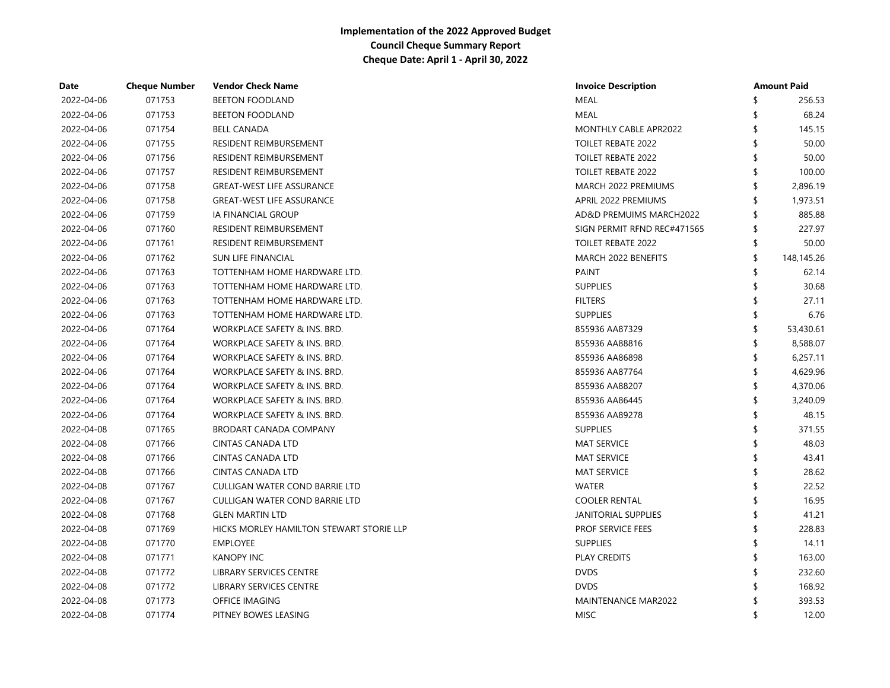| Date       | <b>Cheque Number</b> | <b>Vendor Check Name</b>                 | <b>Invoice Description</b>  |     | <b>Amount Paid</b> |
|------------|----------------------|------------------------------------------|-----------------------------|-----|--------------------|
| 2022-04-06 | 071753               | <b>BEETON FOODLAND</b>                   | <b>MEAL</b>                 |     | 256.53             |
| 2022-04-06 | 071753               | <b>BEETON FOODLAND</b>                   | <b>MEAL</b>                 |     | 68.24              |
| 2022-04-06 | 071754               | <b>BELL CANADA</b>                       | MONTHLY CABLE APR2022       |     | 145.15             |
| 2022-04-06 | 071755               | RESIDENT REIMBURSEMENT                   | <b>TOILET REBATE 2022</b>   |     | 50.00              |
| 2022-04-06 | 071756               | RESIDENT REIMBURSEMENT                   | <b>TOILET REBATE 2022</b>   |     | 50.00              |
| 2022-04-06 | 071757               | RESIDENT REIMBURSEMENT                   | <b>TOILET REBATE 2022</b>   | \$. | 100.00             |
| 2022-04-06 | 071758               | <b>GREAT-WEST LIFE ASSURANCE</b>         | MARCH 2022 PREMIUMS         | \$  | 2,896.19           |
| 2022-04-06 | 071758               | <b>GREAT-WEST LIFE ASSURANCE</b>         | APRIL 2022 PREMIUMS         |     | 1,973.51           |
| 2022-04-06 | 071759               | IA FINANCIAL GROUP                       | AD&D PREMUIMS MARCH2022     |     | 885.88             |
| 2022-04-06 | 071760               | RESIDENT REIMBURSEMENT                   | SIGN PERMIT RFND REC#471565 | \$  | 227.97             |
| 2022-04-06 | 071761               | <b>RESIDENT REIMBURSEMENT</b>            | <b>TOILET REBATE 2022</b>   | \$  | 50.00              |
| 2022-04-06 | 071762               | <b>SUN LIFE FINANCIAL</b>                | MARCH 2022 BENEFITS         | \$  | 148,145.26         |
| 2022-04-06 | 071763               | TOTTENHAM HOME HARDWARE LTD.             | <b>PAINT</b>                |     | 62.14              |
| 2022-04-06 | 071763               | TOTTENHAM HOME HARDWARE LTD.             | <b>SUPPLIES</b>             |     | 30.68              |
| 2022-04-06 | 071763               | TOTTENHAM HOME HARDWARE LTD.             | <b>FILTERS</b>              |     | 27.11              |
| 2022-04-06 | 071763               | TOTTENHAM HOME HARDWARE LTD.             | <b>SUPPLIES</b>             |     | 6.76               |
| 2022-04-06 | 071764               | WORKPLACE SAFETY & INS. BRD.             | 855936 AA87329              |     | 53,430.61          |
| 2022-04-06 | 071764               | WORKPLACE SAFETY & INS. BRD.             | 855936 AA88816              |     | 8,588.07           |
| 2022-04-06 | 071764               | WORKPLACE SAFETY & INS. BRD.             | 855936 AA86898              |     | 6,257.11           |
| 2022-04-06 | 071764               | WORKPLACE SAFETY & INS. BRD.             | 855936 AA87764              |     | 4,629.96           |
| 2022-04-06 | 071764               | WORKPLACE SAFETY & INS. BRD.             | 855936 AA88207              |     | 4,370.06           |
| 2022-04-06 | 071764               | WORKPLACE SAFETY & INS. BRD.             | 855936 AA86445              | ≮   | 3,240.09           |
| 2022-04-06 | 071764               | WORKPLACE SAFETY & INS. BRD.             | 855936 AA89278              |     | 48.15              |
| 2022-04-08 | 071765               | <b>BRODART CANADA COMPANY</b>            | <b>SUPPLIES</b>             |     | 371.55             |
| 2022-04-08 | 071766               | <b>CINTAS CANADA LTD</b>                 | <b>MAT SERVICE</b>          | \$. | 48.03              |
| 2022-04-08 | 071766               | <b>CINTAS CANADA LTD</b>                 | <b>MAT SERVICE</b>          | \$. | 43.41              |
| 2022-04-08 | 071766               | <b>CINTAS CANADA LTD</b>                 | <b>MAT SERVICE</b>          | \$. | 28.62              |
| 2022-04-08 | 071767               | CULLIGAN WATER COND BARRIE LTD           | <b>WATER</b>                | ≮   | 22.52              |
| 2022-04-08 | 071767               | <b>CULLIGAN WATER COND BARRIE LTD</b>    | <b>COOLER RENTAL</b>        |     | 16.95              |
| 2022-04-08 | 071768               | <b>GLEN MARTIN LTD</b>                   | <b>JANITORIAL SUPPLIES</b>  |     | 41.21              |
| 2022-04-08 | 071769               | HICKS MORLEY HAMILTON STEWART STORIE LLP | <b>PROF SERVICE FEES</b>    |     | 228.83             |
| 2022-04-08 | 071770               | <b>EMPLOYEE</b>                          | <b>SUPPLIES</b>             |     | 14.11              |
| 2022-04-08 | 071771               | <b>KANOPY INC</b>                        | <b>PLAY CREDITS</b>         |     | 163.00             |
| 2022-04-08 | 071772               | LIBRARY SERVICES CENTRE                  | <b>DVDS</b>                 | ¢   | 232.60             |
| 2022-04-08 | 071772               | LIBRARY SERVICES CENTRE                  | <b>DVDS</b>                 |     | 168.92             |
| 2022-04-08 | 071773               | OFFICE IMAGING                           | MAINTENANCE MAR2022         |     | 393.53             |
| 2022-04-08 | 071774               | PITNEY BOWES LEASING                     | <b>MISC</b>                 | ≮   | 12.00              |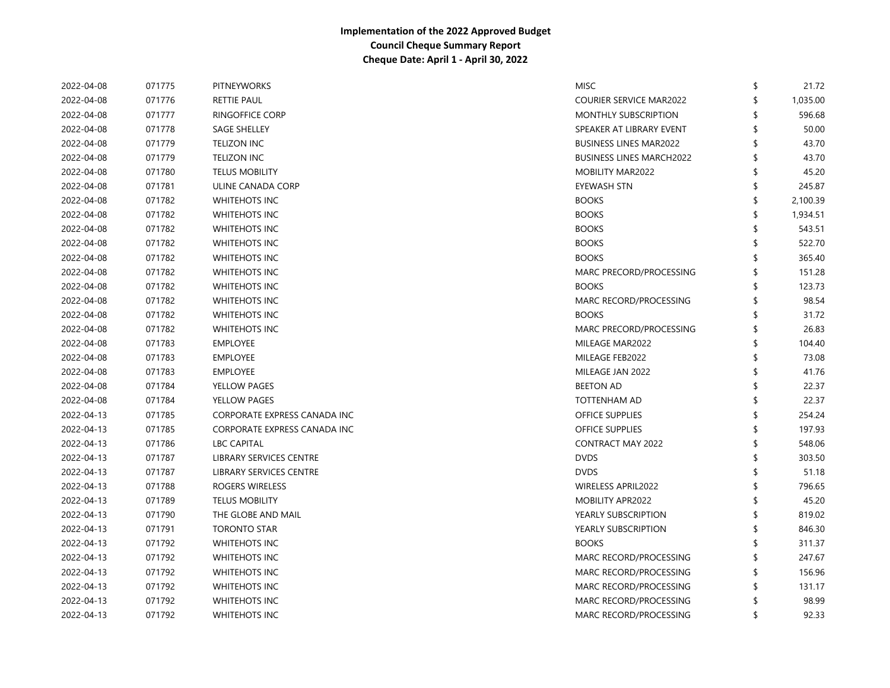| 2022-04-08 | 071775 | <b>PITNEYWORKS</b>           | <b>MISC</b>                     | \$<br>21.72    |
|------------|--------|------------------------------|---------------------------------|----------------|
| 2022-04-08 | 071776 | <b>RETTIE PAUL</b>           | <b>COURIER SERVICE MAR2022</b>  | \$<br>1,035.00 |
| 2022-04-08 | 071777 | <b>RINGOFFICE CORP</b>       | <b>MONTHLY SUBSCRIPTION</b>     | 596.68         |
| 2022-04-08 | 071778 | <b>SAGE SHELLEY</b>          | SPEAKER AT LIBRARY EVENT        | 50.00          |
| 2022-04-08 | 071779 | <b>TELIZON INC</b>           | <b>BUSINESS LINES MAR2022</b>   | \$<br>43.70    |
| 2022-04-08 | 071779 | <b>TELIZON INC</b>           | <b>BUSINESS LINES MARCH2022</b> | \$<br>43.70    |
| 2022-04-08 | 071780 | <b>TELUS MOBILITY</b>        | <b>MOBILITY MAR2022</b>         | \$<br>45.20    |
| 2022-04-08 | 071781 | ULINE CANADA CORP            | <b>EYEWASH STN</b>              | \$<br>245.87   |
| 2022-04-08 | 071782 | <b>WHITEHOTS INC</b>         | <b>BOOKS</b>                    | \$<br>2,100.39 |
| 2022-04-08 | 071782 | <b>WHITEHOTS INC</b>         | <b>BOOKS</b>                    | \$<br>1,934.51 |
| 2022-04-08 | 071782 | <b>WHITEHOTS INC</b>         | <b>BOOKS</b>                    | 543.51         |
| 2022-04-08 | 071782 | <b>WHITEHOTS INC</b>         | <b>BOOKS</b>                    | \$<br>522.70   |
| 2022-04-08 | 071782 | <b>WHITEHOTS INC</b>         | <b>BOOKS</b>                    | 365.40         |
| 2022-04-08 | 071782 | <b>WHITEHOTS INC</b>         | MARC PRECORD/PROCESSING         | \$<br>151.28   |
| 2022-04-08 | 071782 | <b>WHITEHOTS INC</b>         | <b>BOOKS</b>                    | \$<br>123.73   |
| 2022-04-08 | 071782 | <b>WHITEHOTS INC</b>         | MARC RECORD/PROCESSING          | \$<br>98.54    |
| 2022-04-08 | 071782 | <b>WHITEHOTS INC</b>         | <b>BOOKS</b>                    | \$<br>31.72    |
| 2022-04-08 | 071782 | <b>WHITEHOTS INC</b>         | MARC PRECORD/PROCESSING         | \$<br>26.83    |
| 2022-04-08 | 071783 | <b>EMPLOYEE</b>              | MILEAGE MAR2022                 | \$<br>104.40   |
| 2022-04-08 | 071783 | <b>EMPLOYEE</b>              | MILEAGE FEB2022                 | \$<br>73.08    |
| 2022-04-08 | 071783 | <b>EMPLOYEE</b>              | MILEAGE JAN 2022                | \$<br>41.76    |
| 2022-04-08 | 071784 | YELLOW PAGES                 | <b>BEETON AD</b>                | \$<br>22.37    |
| 2022-04-08 | 071784 | YELLOW PAGES                 | <b>TOTTENHAM AD</b>             | \$<br>22.37    |
| 2022-04-13 | 071785 | CORPORATE EXPRESS CANADA INC | <b>OFFICE SUPPLIES</b>          | \$<br>254.24   |
| 2022-04-13 | 071785 | CORPORATE EXPRESS CANADA INC | <b>OFFICE SUPPLIES</b>          | 197.93         |
| 2022-04-13 | 071786 | <b>LBC CAPITAL</b>           | <b>CONTRACT MAY 2022</b>        | \$<br>548.06   |
| 2022-04-13 | 071787 | LIBRARY SERVICES CENTRE      | <b>DVDS</b>                     | \$<br>303.50   |
| 2022-04-13 | 071787 | LIBRARY SERVICES CENTRE      | <b>DVDS</b>                     | \$<br>51.18    |
| 2022-04-13 | 071788 | ROGERS WIRELESS              | <b>WIRELESS APRIL2022</b>       | 796.65         |
| 2022-04-13 | 071789 | <b>TELUS MOBILITY</b>        | MOBILITY APR2022                | 45.20          |
| 2022-04-13 | 071790 | THE GLOBE AND MAIL           | YEARLY SUBSCRIPTION             | 819.02         |
| 2022-04-13 | 071791 | <b>TORONTO STAR</b>          | YEARLY SUBSCRIPTION             | 846.30         |
| 2022-04-13 | 071792 | <b>WHITEHOTS INC</b>         | <b>BOOKS</b>                    | 311.37         |
| 2022-04-13 | 071792 | <b>WHITEHOTS INC</b>         | MARC RECORD/PROCESSING          | 247.67         |
| 2022-04-13 | 071792 | <b>WHITEHOTS INC</b>         | MARC RECORD/PROCESSING          | 156.96         |
| 2022-04-13 | 071792 | <b>WHITEHOTS INC</b>         | MARC RECORD/PROCESSING          | 131.17         |
| 2022-04-13 | 071792 | <b>WHITEHOTS INC</b>         | MARC RECORD/PROCESSING          | 98.99          |
| 2022-04-13 | 071792 | <b>WHITEHOTS INC</b>         | MARC RECORD/PROCESSING          | \$<br>92.33    |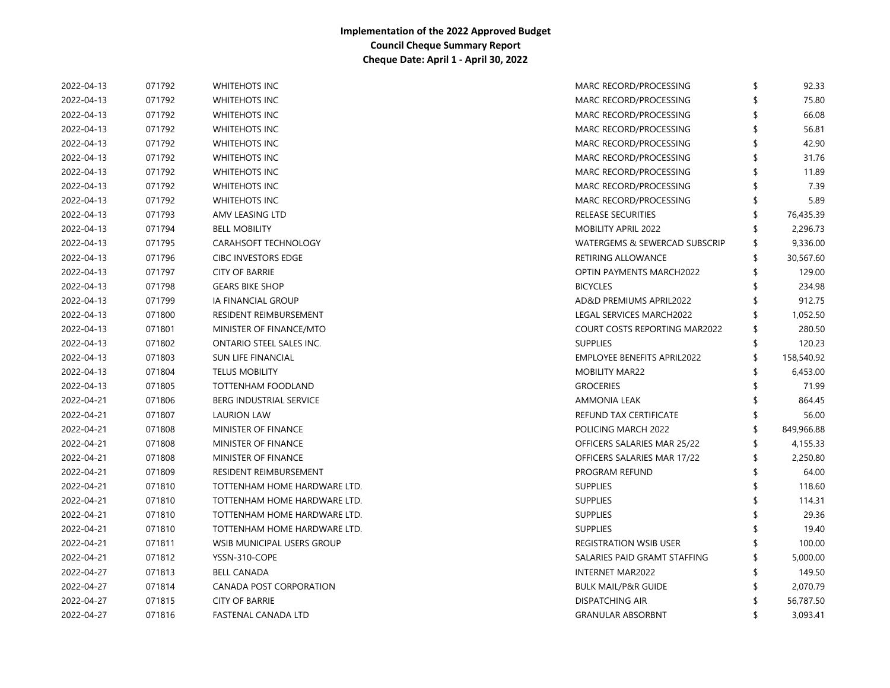| 2022-04-13 | 071792 | <b>WHITEHOTS INC</b>           | MARC RECORD/PROCESSING          | \$  | 92.33      |
|------------|--------|--------------------------------|---------------------------------|-----|------------|
| 2022-04-13 | 071792 | <b>WHITEHOTS INC</b>           | MARC RECORD/PROCESSING          |     | 75.80      |
| 2022-04-13 | 071792 | <b>WHITEHOTS INC</b>           | MARC RECORD/PROCESSING          |     | 66.08      |
| 2022-04-13 | 071792 | WHITEHOTS INC                  | MARC RECORD/PROCESSING          |     | 56.81      |
| 2022-04-13 | 071792 | WHITEHOTS INC                  | MARC RECORD/PROCESSING          |     | 42.90      |
| 2022-04-13 | 071792 | WHITEHOTS INC                  | MARC RECORD/PROCESSING          |     | 31.76      |
| 2022-04-13 | 071792 | <b>WHITEHOTS INC</b>           | MARC RECORD/PROCESSING          |     | 11.89      |
| 2022-04-13 | 071792 | <b>WHITEHOTS INC</b>           | MARC RECORD/PROCESSING          |     | 7.39       |
| 2022-04-13 | 071792 | <b>WHITEHOTS INC</b>           | MARC RECORD/PROCESSING          | S   | 5.89       |
| 2022-04-13 | 071793 | AMV LEASING LTD                | <b>RELEASE SECURITIES</b>       | \$  | 76,435.39  |
| 2022-04-13 | 071794 | <b>BELL MOBILITY</b>           | <b>MOBILITY APRIL 2022</b>      |     | 2,296.73   |
| 2022-04-13 | 071795 | CARAHSOFT TECHNOLOGY           | WATERGEMS & SEWERCAD SUBSCRIP   | \$  | 9,336.00   |
| 2022-04-13 | 071796 | <b>CIBC INVESTORS EDGE</b>     | <b>RETIRING ALLOWANCE</b>       | \$  | 30,567.60  |
| 2022-04-13 | 071797 | <b>CITY OF BARRIE</b>          | <b>OPTIN PAYMENTS MARCH2022</b> |     | 129.00     |
| 2022-04-13 | 071798 | <b>GEARS BIKE SHOP</b>         | <b>BICYCLES</b>                 |     | 234.98     |
| 2022-04-13 | 071799 | IA FINANCIAL GROUP             | AD&D PREMIUMS APRIL2022         | \$  | 912.75     |
| 2022-04-13 | 071800 | RESIDENT REIMBURSEMENT         | LEGAL SERVICES MARCH2022        | \$  | 1,052.50   |
| 2022-04-13 | 071801 | MINISTER OF FINANCE/MTO        | COURT COSTS REPORTING MAR2022   | \$  | 280.50     |
| 2022-04-13 | 071802 | ONTARIO STEEL SALES INC.       | <b>SUPPLIES</b>                 | S   | 120.23     |
| 2022-04-13 | 071803 | <b>SUN LIFE FINANCIAL</b>      | EMPLOYEE BENEFITS APRIL2022     | \$  | 158,540.92 |
| 2022-04-13 | 071804 | <b>TELUS MOBILITY</b>          | <b>MOBILITY MAR22</b>           | \$  | 6,453.00   |
| 2022-04-13 | 071805 | TOTTENHAM FOODLAND             | <b>GROCERIES</b>                |     | 71.99      |
| 2022-04-21 | 071806 | <b>BERG INDUSTRIAL SERVICE</b> | <b>AMMONIA LEAK</b>             |     | 864.45     |
| 2022-04-21 | 071807 | <b>LAURION LAW</b>             | REFUND TAX CERTIFICATE          | S   | 56.00      |
| 2022-04-21 | 071808 | MINISTER OF FINANCE            | POLICING MARCH 2022             |     | 849,966.88 |
| 2022-04-21 | 071808 | MINISTER OF FINANCE            | OFFICERS SALARIES MAR 25/22     |     | 4,155.33   |
| 2022-04-21 | 071808 | MINISTER OF FINANCE            | OFFICERS SALARIES MAR 17/22     | \$  | 2,250.80   |
| 2022-04-21 | 071809 | RESIDENT REIMBURSEMENT         | <b>PROGRAM REFUND</b>           | -\$ | 64.00      |
| 2022-04-21 | 071810 | TOTTENHAM HOME HARDWARE LTD.   | <b>SUPPLIES</b>                 | \$  | 118.60     |
| 2022-04-21 | 071810 | TOTTENHAM HOME HARDWARE LTD.   | <b>SUPPLIES</b>                 | \$  | 114.31     |
| 2022-04-21 | 071810 | TOTTENHAM HOME HARDWARE LTD.   | <b>SUPPLIES</b>                 |     | 29.36      |
| 2022-04-21 | 071810 | TOTTENHAM HOME HARDWARE LTD.   | <b>SUPPLIES</b>                 |     | 19.40      |
| 2022-04-21 | 071811 | WSIB MUNICIPAL USERS GROUP     | <b>REGISTRATION WSIB USER</b>   |     | 100.00     |
| 2022-04-21 | 071812 | YSSN-310-COPE                  | SALARIES PAID GRAMT STAFFING    |     | 5,000.00   |
| 2022-04-27 | 071813 | <b>BELL CANADA</b>             | INTERNET MAR2022                |     | 149.50     |
| 2022-04-27 | 071814 | CANADA POST CORPORATION        | <b>BULK MAIL/P&amp;R GUIDE</b>  |     | 2,070.79   |
| 2022-04-27 | 071815 | <b>CITY OF BARRIE</b>          | <b>DISPATCHING AIR</b>          |     | 56,787.50  |
| 2022-04-27 | 071816 | FASTENAL CANADA LTD            | <b>GRANULAR ABSORBNT</b>        | \$  | 3,093.41   |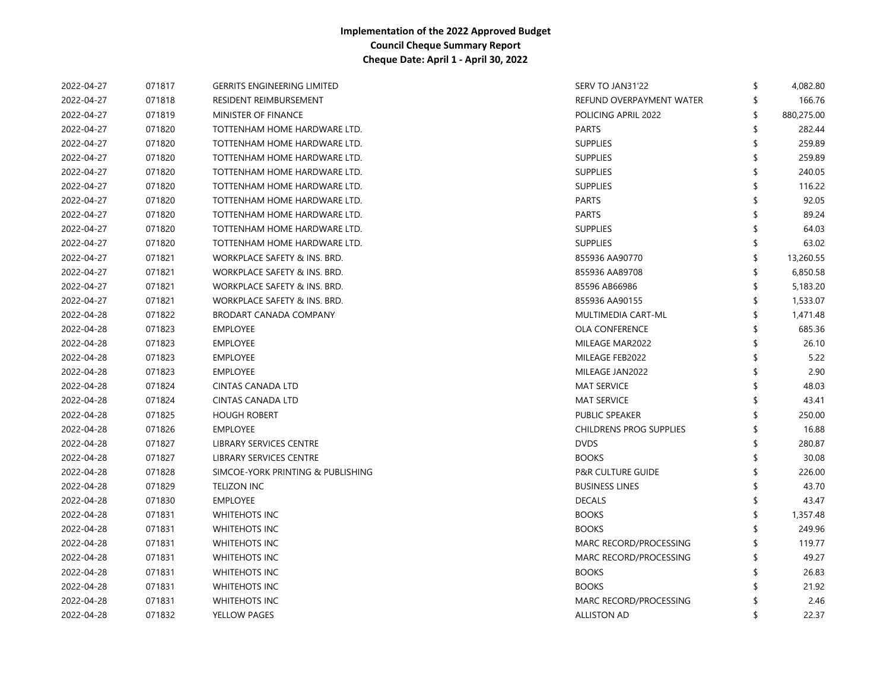| 2022-04-27 | 071817 | <b>GERRITS ENGINEERING LIMITED</b> | SERV TO JAN31'22               | \$  | 4,082.80   |
|------------|--------|------------------------------------|--------------------------------|-----|------------|
| 2022-04-27 | 071818 | <b>RESIDENT REIMBURSEMENT</b>      | REFUND OVERPAYMENT WATER       | \$  | 166.76     |
| 2022-04-27 | 071819 | MINISTER OF FINANCE                | POLICING APRIL 2022            |     | 880,275.00 |
| 2022-04-27 | 071820 | TOTTENHAM HOME HARDWARE LTD.       | <b>PARTS</b>                   |     | 282.44     |
| 2022-04-27 | 071820 | TOTTENHAM HOME HARDWARE LTD.       | <b>SUPPLIES</b>                |     | 259.89     |
| 2022-04-27 | 071820 | TOTTENHAM HOME HARDWARE LTD.       | <b>SUPPLIES</b>                |     | 259.89     |
| 2022-04-27 | 071820 | TOTTENHAM HOME HARDWARE LTD.       | <b>SUPPLIES</b>                |     | 240.05     |
| 2022-04-27 | 071820 | TOTTENHAM HOME HARDWARE LTD.       | <b>SUPPLIES</b>                |     | 116.22     |
| 2022-04-27 | 071820 | TOTTENHAM HOME HARDWARE LTD.       | <b>PARTS</b>                   |     | 92.05      |
| 2022-04-27 | 071820 | TOTTENHAM HOME HARDWARE LTD.       | <b>PARTS</b>                   |     | 89.24      |
| 2022-04-27 | 071820 | TOTTENHAM HOME HARDWARE LTD.       | <b>SUPPLIES</b>                |     | 64.03      |
| 2022-04-27 | 071820 | TOTTENHAM HOME HARDWARE LTD.       | <b>SUPPLIES</b>                |     | 63.02      |
| 2022-04-27 | 071821 | WORKPLACE SAFETY & INS. BRD.       | 855936 AA90770                 | \$  | 13,260.55  |
| 2022-04-27 | 071821 | WORKPLACE SAFETY & INS. BRD.       | 855936 AA89708                 |     | 6,850.58   |
| 2022-04-27 | 071821 | WORKPLACE SAFETY & INS. BRD.       | 85596 AB66986                  | \$  | 5,183.20   |
| 2022-04-27 | 071821 | WORKPLACE SAFETY & INS. BRD.       | 855936 AA90155                 | \$  | 1,533.07   |
| 2022-04-28 | 071822 | <b>BRODART CANADA COMPANY</b>      | MULTIMEDIA CART-ML             | \$  | 1,471.48   |
| 2022-04-28 | 071823 | <b>EMPLOYEE</b>                    | <b>OLA CONFERENCE</b>          |     | 685.36     |
| 2022-04-28 | 071823 | <b>EMPLOYEE</b>                    | MILEAGE MAR2022                |     | 26.10      |
| 2022-04-28 | 071823 | <b>EMPLOYEE</b>                    | MILEAGE FEB2022                |     | 5.22       |
| 2022-04-28 | 071823 | <b>EMPLOYEE</b>                    | MILEAGE JAN2022                |     | 2.90       |
| 2022-04-28 | 071824 | <b>CINTAS CANADA LTD</b>           | <b>MAT SERVICE</b>             |     | 48.03      |
| 2022-04-28 | 071824 | CINTAS CANADA LTD                  | <b>MAT SERVICE</b>             |     | 43.41      |
| 2022-04-28 | 071825 | <b>HOUGH ROBERT</b>                | <b>PUBLIC SPEAKER</b>          |     | 250.00     |
| 2022-04-28 | 071826 | <b>EMPLOYEE</b>                    | <b>CHILDRENS PROG SUPPLIES</b> |     | 16.88      |
| 2022-04-28 | 071827 | <b>LIBRARY SERVICES CENTRE</b>     | <b>DVDS</b>                    |     | 280.87     |
| 2022-04-28 | 071827 | <b>LIBRARY SERVICES CENTRE</b>     | <b>BOOKS</b>                   |     | 30.08      |
| 2022-04-28 | 071828 | SIMCOE-YORK PRINTING & PUBLISHING  | <b>P&amp;R CULTURE GUIDE</b>   |     | 226.00     |
| 2022-04-28 | 071829 | <b>TELIZON INC</b>                 | <b>BUSINESS LINES</b>          |     | 43.70      |
| 2022-04-28 | 071830 | <b>EMPLOYEE</b>                    | <b>DECALS</b>                  |     | 43.47      |
| 2022-04-28 | 071831 | <b>WHITEHOTS INC</b>               | <b>BOOKS</b>                   |     | 1,357.48   |
| 2022-04-28 | 071831 | <b>WHITEHOTS INC</b>               | <b>BOOKS</b>                   |     | 249.96     |
| 2022-04-28 | 071831 | <b>WHITEHOTS INC</b>               | MARC RECORD/PROCESSING         |     | 119.77     |
| 2022-04-28 | 071831 | <b>WHITEHOTS INC</b>               | MARC RECORD/PROCESSING         | \$. | 49.27      |
| 2022-04-28 | 071831 | <b>WHITEHOTS INC</b>               | <b>BOOKS</b>                   |     | 26.83      |
| 2022-04-28 | 071831 | <b>WHITEHOTS INC</b>               | <b>BOOKS</b>                   |     | 21.92      |
| 2022-04-28 | 071831 | <b>WHITEHOTS INC</b>               | MARC RECORD/PROCESSING         |     | 2.46       |
| 2022-04-28 | 071832 | YELLOW PAGES                       | <b>ALLISTON AD</b>             |     | 22.37      |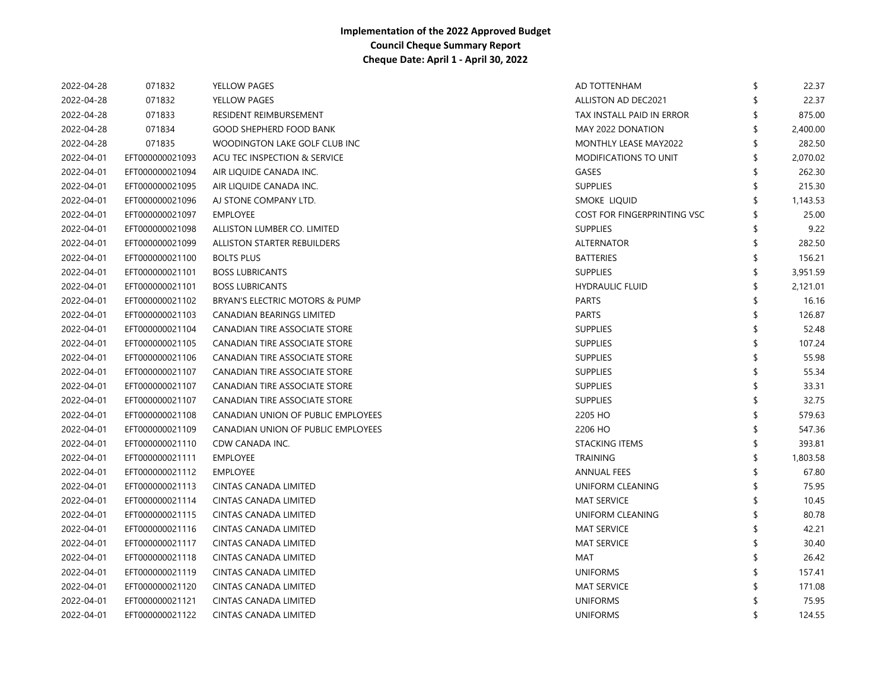| 2022-04-28 | 071832          | YELLOW PAGES                       | AD TOTTENHAM                 | \$ | 22.37    |
|------------|-----------------|------------------------------------|------------------------------|----|----------|
| 2022-04-28 | 071832          | YELLOW PAGES                       | ALLISTON AD DEC2021          |    | 22.37    |
| 2022-04-28 | 071833          | RESIDENT REIMBURSEMENT             | TAX INSTALL PAID IN ERROR    |    | 875.00   |
| 2022-04-28 | 071834          | <b>GOOD SHEPHERD FOOD BANK</b>     | MAY 2022 DONATION            | \$ | 2,400.00 |
| 2022-04-28 | 071835          | WOODINGTON LAKE GOLF CLUB INC      | MONTHLY LEASE MAY2022        |    | 282.50   |
| 2022-04-01 | EFT000000021093 | ACU TEC INSPECTION & SERVICE       | <b>MODIFICATIONS TO UNIT</b> | \$ | 2,070.02 |
| 2022-04-01 | EFT000000021094 | AIR LIQUIDE CANADA INC.            | GASES                        | \$ | 262.30   |
| 2022-04-01 | EFT000000021095 | AIR LIQUIDE CANADA INC.            | <b>SUPPLIES</b>              | \$ | 215.30   |
| 2022-04-01 | EFT000000021096 | AJ STONE COMPANY LTD.              | SMOKE LIQUID                 | \$ | 1,143.53 |
| 2022-04-01 | EFT000000021097 | <b>EMPLOYEE</b>                    | COST FOR FINGERPRINTING VSC  | \$ | 25.00    |
| 2022-04-01 | EFT000000021098 | ALLISTON LUMBER CO. LIMITED        | <b>SUPPLIES</b>              | \$ | 9.22     |
| 2022-04-01 | EFT000000021099 | ALLISTON STARTER REBUILDERS        | <b>ALTERNATOR</b>            | ß. | 282.50   |
| 2022-04-01 | EFT000000021100 | <b>BOLTS PLUS</b>                  | <b>BATTERIES</b>             | \$ | 156.21   |
| 2022-04-01 | EFT000000021101 | <b>BOSS LUBRICANTS</b>             | <b>SUPPLIES</b>              |    | 3,951.59 |
| 2022-04-01 | EFT000000021101 | <b>BOSS LUBRICANTS</b>             | <b>HYDRAULIC FLUID</b>       | \$ | 2,121.01 |
| 2022-04-01 | EFT000000021102 | BRYAN'S ELECTRIC MOTORS & PUMP     | <b>PARTS</b>                 |    | 16.16    |
| 2022-04-01 | EFT000000021103 | CANADIAN BEARINGS LIMITED          | <b>PARTS</b>                 | \$ | 126.87   |
| 2022-04-01 | EFT000000021104 | CANADIAN TIRE ASSOCIATE STORE      | <b>SUPPLIES</b>              | \$ | 52.48    |
| 2022-04-01 | EFT000000021105 | CANADIAN TIRE ASSOCIATE STORE      | <b>SUPPLIES</b>              | S  | 107.24   |
| 2022-04-01 | EFT000000021106 | CANADIAN TIRE ASSOCIATE STORE      | <b>SUPPLIES</b>              | \$ | 55.98    |
| 2022-04-01 | EFT000000021107 | CANADIAN TIRE ASSOCIATE STORE      | <b>SUPPLIES</b>              | \$ | 55.34    |
| 2022-04-01 | EFT000000021107 | CANADIAN TIRE ASSOCIATE STORE      | <b>SUPPLIES</b>              | S  | 33.31    |
| 2022-04-01 | EFT000000021107 | CANADIAN TIRE ASSOCIATE STORE      | <b>SUPPLIES</b>              |    | 32.75    |
| 2022-04-01 | EFT000000021108 | CANADIAN UNION OF PUBLIC EMPLOYEES | 2205 HO                      | \$ | 579.63   |
| 2022-04-01 | EFT000000021109 | CANADIAN UNION OF PUBLIC EMPLOYEES | 2206 HO                      | S  | 547.36   |
| 2022-04-01 | EFT000000021110 | CDW CANADA INC.                    | <b>STACKING ITEMS</b>        | \$ | 393.81   |
| 2022-04-01 | EFT000000021111 | <b>EMPLOYEE</b>                    | <b>TRAINING</b>              | \$ | 1,803.58 |
| 2022-04-01 | EFT000000021112 | <b>EMPLOYEE</b>                    | ANNUAL FEES                  |    | 67.80    |
| 2022-04-01 | EFT000000021113 | CINTAS CANADA LIMITED              | UNIFORM CLEANING             | \$ | 75.95    |
| 2022-04-01 | EFT000000021114 | <b>CINTAS CANADA LIMITED</b>       | <b>MAT SERVICE</b>           | \$ | 10.45    |
| 2022-04-01 | EFT000000021115 | CINTAS CANADA LIMITED              | UNIFORM CLEANING             |    | 80.78    |
| 2022-04-01 | EFT000000021116 | CINTAS CANADA LIMITED              | <b>MAT SERVICE</b>           |    | 42.21    |
| 2022-04-01 | EFT000000021117 | <b>CINTAS CANADA LIMITED</b>       | <b>MAT SERVICE</b>           |    | 30.40    |
| 2022-04-01 | EFT000000021118 | CINTAS CANADA LIMITED              | MAT                          |    | 26.42    |
| 2022-04-01 | EFT000000021119 | CINTAS CANADA LIMITED              | <b>UNIFORMS</b>              |    | 157.41   |
| 2022-04-01 | EFT000000021120 | <b>CINTAS CANADA LIMITED</b>       | <b>MAT SERVICE</b>           |    | 171.08   |
| 2022-04-01 | EFT000000021121 | CINTAS CANADA LIMITED              | <b>UNIFORMS</b>              |    | 75.95    |
| 2022-04-01 | EFT000000021122 | <b>CINTAS CANADA LIMITED</b>       | <b>UNIFORMS</b>              | \$ | 124.55   |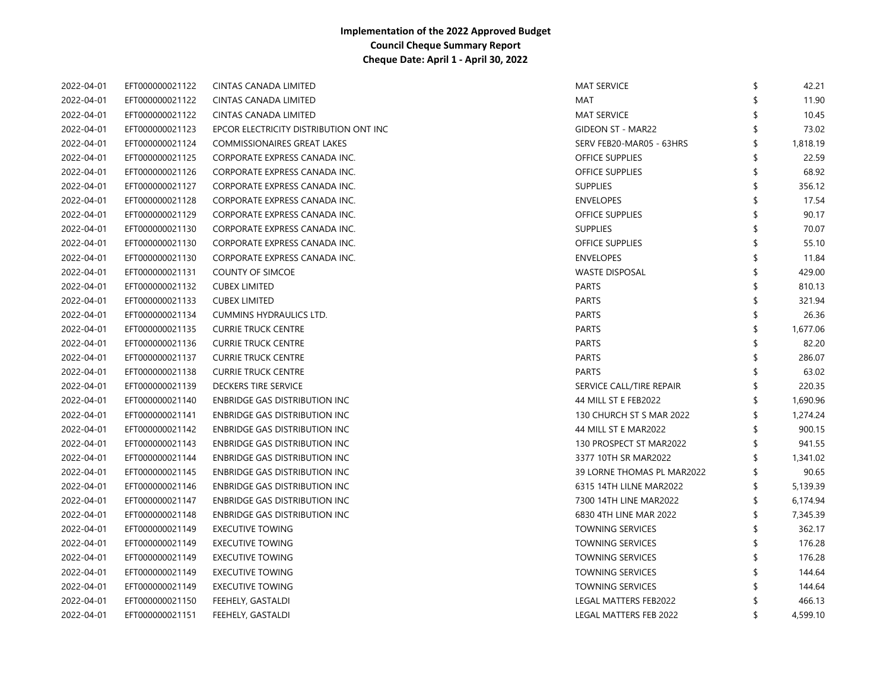| 2022-04-01 | EFT000000021122 | <b>CINTAS CANADA LIMITED</b>           | <b>MAT SERVICE</b>         | \$<br>42.21    |
|------------|-----------------|----------------------------------------|----------------------------|----------------|
| 2022-04-01 | EFT000000021122 | CINTAS CANADA LIMITED                  | MAT                        | 11.90          |
| 2022-04-01 | EFT000000021122 | <b>CINTAS CANADA LIMITED</b>           | <b>MAT SERVICE</b>         | 10.45          |
| 2022-04-01 | EFT000000021123 | EPCOR ELECTRICITY DISTRIBUTION ONT INC | <b>GIDEON ST - MAR22</b>   | 73.02          |
| 2022-04-01 | EFT000000021124 | <b>COMMISSIONAIRES GREAT LAKES</b>     | SERV FEB20-MAR05 - 63HRS   | \$<br>1,818.19 |
| 2022-04-01 | EFT000000021125 | CORPORATE EXPRESS CANADA INC.          | <b>OFFICE SUPPLIES</b>     | \$<br>22.59    |
| 2022-04-01 | EFT000000021126 | CORPORATE EXPRESS CANADA INC.          | <b>OFFICE SUPPLIES</b>     | \$<br>68.92    |
| 2022-04-01 | EFT000000021127 | CORPORATE EXPRESS CANADA INC.          | <b>SUPPLIES</b>            | \$<br>356.12   |
| 2022-04-01 | EFT000000021128 | CORPORATE EXPRESS CANADA INC.          | <b>ENVELOPES</b>           | \$<br>17.54    |
| 2022-04-01 | EFT000000021129 | CORPORATE EXPRESS CANADA INC.          | <b>OFFICE SUPPLIES</b>     | \$<br>90.17    |
| 2022-04-01 | EFT000000021130 | CORPORATE EXPRESS CANADA INC.          | <b>SUPPLIES</b>            | \$<br>70.07    |
| 2022-04-01 | EFT000000021130 | CORPORATE EXPRESS CANADA INC.          | OFFICE SUPPLIES            | 55.10          |
| 2022-04-01 | EFT000000021130 | CORPORATE EXPRESS CANADA INC.          | <b>ENVELOPES</b>           | 11.84          |
| 2022-04-01 | EFT000000021131 | <b>COUNTY OF SIMCOE</b>                | <b>WASTE DISPOSAL</b>      | \$<br>429.00   |
| 2022-04-01 | EFT000000021132 | <b>CUBEX LIMITED</b>                   | <b>PARTS</b>               | 810.13         |
| 2022-04-01 | EFT000000021133 | <b>CUBEX LIMITED</b>                   | <b>PARTS</b>               | 321.94         |
| 2022-04-01 | EFT000000021134 | <b>CUMMINS HYDRAULICS LTD.</b>         | <b>PARTS</b>               | \$<br>26.36    |
| 2022-04-01 | EFT000000021135 | <b>CURRIE TRUCK CENTRE</b>             | <b>PARTS</b>               | \$<br>1,677.06 |
| 2022-04-01 | EFT000000021136 | <b>CURRIE TRUCK CENTRE</b>             | <b>PARTS</b>               | \$<br>82.20    |
| 2022-04-01 | EFT000000021137 | <b>CURRIE TRUCK CENTRE</b>             | <b>PARTS</b>               | \$<br>286.07   |
| 2022-04-01 | EFT000000021138 | <b>CURRIE TRUCK CENTRE</b>             | <b>PARTS</b>               | 63.02          |
| 2022-04-01 | EFT000000021139 | DECKERS TIRE SERVICE                   | SERVICE CALL/TIRE REPAIR   | \$<br>220.35   |
| 2022-04-01 | EFT000000021140 | <b>ENBRIDGE GAS DISTRIBUTION INC</b>   | 44 MILL ST E FEB2022       | \$<br>1,690.96 |
| 2022-04-01 | EFT000000021141 | <b>ENBRIDGE GAS DISTRIBUTION INC</b>   | 130 CHURCH ST S MAR 2022   | \$<br>1,274.24 |
| 2022-04-01 | EFT000000021142 | <b>ENBRIDGE GAS DISTRIBUTION INC</b>   | 44 MILL ST E MAR2022       | \$<br>900.15   |
| 2022-04-01 | EFT000000021143 | <b>ENBRIDGE GAS DISTRIBUTION INC</b>   | 130 PROSPECT ST MAR2022    | \$<br>941.55   |
| 2022-04-01 | EFT000000021144 | <b>ENBRIDGE GAS DISTRIBUTION INC</b>   | 3377 10TH SR MAR2022       | \$<br>1,341.02 |
| 2022-04-01 | EFT000000021145 | <b>ENBRIDGE GAS DISTRIBUTION INC</b>   | 39 LORNE THOMAS PL MAR2022 | \$<br>90.65    |
| 2022-04-01 | EFT000000021146 | ENBRIDGE GAS DISTRIBUTION INC          | 6315 14TH LILNE MAR2022    | \$<br>5,139.39 |
| 2022-04-01 | EFT000000021147 | ENBRIDGE GAS DISTRIBUTION INC          | 7300 14TH LINE MAR2022     | \$<br>6,174.94 |
| 2022-04-01 | EFT000000021148 | ENBRIDGE GAS DISTRIBUTION INC          | 6830 4TH LINE MAR 2022     | \$<br>7,345.39 |
| 2022-04-01 | EFT000000021149 | <b>EXECUTIVE TOWING</b>                | <b>TOWNING SERVICES</b>    | \$<br>362.17   |
| 2022-04-01 | EFT000000021149 | <b>EXECUTIVE TOWING</b>                | <b>TOWNING SERVICES</b>    | \$<br>176.28   |
| 2022-04-01 | EFT000000021149 | <b>EXECUTIVE TOWING</b>                | <b>TOWNING SERVICES</b>    | \$<br>176.28   |
| 2022-04-01 | EFT000000021149 | <b>EXECUTIVE TOWING</b>                | <b>TOWNING SERVICES</b>    | \$<br>144.64   |
| 2022-04-01 | EFT000000021149 | <b>EXECUTIVE TOWING</b>                | <b>TOWNING SERVICES</b>    | 144.64         |
| 2022-04-01 | EFT000000021150 | FEEHELY, GASTALDI                      | LEGAL MATTERS FEB2022      | 466.13         |
| 2022-04-01 | EFT000000021151 | FEEHELY, GASTALDI                      | LEGAL MATTERS FEB 2022     | \$<br>4,599.10 |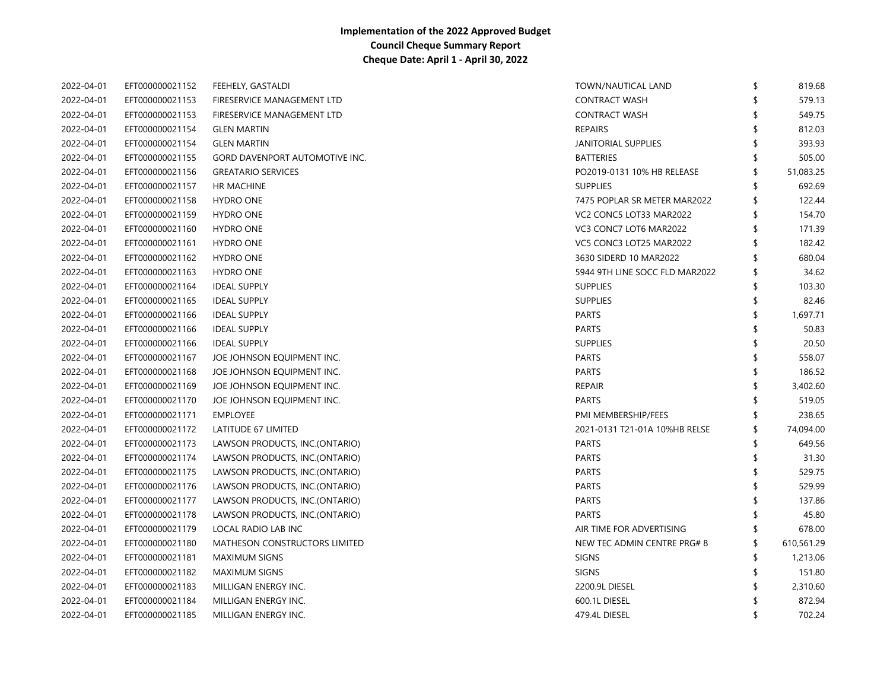| 2022-04-01 | EFT000000021152 | FEEHELY, GASTALDI                     | TOWN/NAUTICAL LAND             | \$  | 819.68     |
|------------|-----------------|---------------------------------------|--------------------------------|-----|------------|
| 2022-04-01 | EFT000000021153 | FIRESERVICE MANAGEMENT LTD            | <b>CONTRACT WASH</b>           | \$  | 579.13     |
| 2022-04-01 | EFT000000021153 | FIRESERVICE MANAGEMENT LTD            | <b>CONTRACT WASH</b>           |     | 549.75     |
| 2022-04-01 | EFT000000021154 | <b>GLEN MARTIN</b>                    | <b>REPAIRS</b>                 | ፍ   | 812.03     |
| 2022-04-01 | EFT000000021154 | <b>GLEN MARTIN</b>                    | JANITORIAL SUPPLIES            |     | 393.93     |
| 2022-04-01 | EFT000000021155 | <b>GORD DAVENPORT AUTOMOTIVE INC.</b> | <b>BATTERIES</b>               | \$. | 505.00     |
| 2022-04-01 | EFT000000021156 | <b>GREATARIO SERVICES</b>             | PO2019-0131 10% HB RELEASE     | \$  | 51,083.25  |
| 2022-04-01 | EFT000000021157 | HR MACHINE                            | <b>SUPPLIES</b>                | \$  | 692.69     |
| 2022-04-01 | EFT000000021158 | <b>HYDRO ONE</b>                      | 7475 POPLAR SR METER MAR2022   | S   | 122.44     |
| 2022-04-01 | EFT000000021159 | <b>HYDRO ONE</b>                      | VC2 CONC5 LOT33 MAR2022        | \$  | 154.70     |
| 2022-04-01 | EFT000000021160 | <b>HYDRO ONE</b>                      | VC3 CONC7 LOT6 MAR2022         | \$  | 171.39     |
| 2022-04-01 | EFT000000021161 | <b>HYDRO ONE</b>                      | VC5 CONC3 LOT25 MAR2022        | \$  | 182.42     |
| 2022-04-01 | EFT000000021162 | <b>HYDRO ONE</b>                      | 3630 SIDERD 10 MAR2022         | \$  | 680.04     |
| 2022-04-01 | EFT000000021163 | <b>HYDRO ONE</b>                      | 5944 9TH LINE SOCC FLD MAR2022 | \$  | 34.62      |
| 2022-04-01 | EFT000000021164 | <b>IDEAL SUPPLY</b>                   | <b>SUPPLIES</b>                | \$  | 103.30     |
| 2022-04-01 | EFT000000021165 | <b>IDEAL SUPPLY</b>                   | <b>SUPPLIES</b>                | \$  | 82.46      |
| 2022-04-01 | EFT000000021166 | <b>IDEAL SUPPLY</b>                   | <b>PARTS</b>                   | \$  | 1,697.71   |
| 2022-04-01 | EFT000000021166 | <b>IDEAL SUPPLY</b>                   | <b>PARTS</b>                   |     | 50.83      |
| 2022-04-01 | EFT000000021166 | <b>IDEAL SUPPLY</b>                   | <b>SUPPLIES</b>                |     | 20.50      |
| 2022-04-01 | EFT000000021167 | JOE JOHNSON EQUIPMENT INC.            | <b>PARTS</b>                   | \$  | 558.07     |
| 2022-04-01 | EFT000000021168 | JOE JOHNSON EQUIPMENT INC.            | <b>PARTS</b>                   | \$  | 186.52     |
| 2022-04-01 | EFT000000021169 | JOE JOHNSON EQUIPMENT INC.            | <b>REPAIR</b>                  | \$  | 3,402.60   |
| 2022-04-01 | EFT000000021170 | JOE JOHNSON EQUIPMENT INC.            | <b>PARTS</b>                   |     | 519.05     |
| 2022-04-01 | EFT000000021171 | <b>EMPLOYEE</b>                       | PMI MEMBERSHIP/FEES            |     | 238.65     |
| 2022-04-01 | EFT000000021172 | LATITUDE 67 LIMITED                   | 2021-0131 T21-01A 10%HB RELSE  | \$  | 74,094.00  |
| 2022-04-01 | EFT000000021173 | LAWSON PRODUCTS, INC.(ONTARIO)        | <b>PARTS</b>                   | \$  | 649.56     |
| 2022-04-01 | EFT000000021174 | LAWSON PRODUCTS, INC.(ONTARIO)        | <b>PARTS</b>                   | \$  | 31.30      |
| 2022-04-01 | EFT000000021175 | LAWSON PRODUCTS, INC.(ONTARIO)        | <b>PARTS</b>                   | \$  | 529.75     |
| 2022-04-01 | EFT000000021176 | LAWSON PRODUCTS, INC.(ONTARIO)        | <b>PARTS</b>                   | \$  | 529.99     |
| 2022-04-01 | EFT000000021177 | LAWSON PRODUCTS, INC.(ONTARIO)        | <b>PARTS</b>                   | \$  | 137.86     |
| 2022-04-01 | EFT000000021178 | LAWSON PRODUCTS, INC.(ONTARIO)        | <b>PARTS</b>                   |     | 45.80      |
| 2022-04-01 | EFT000000021179 | LOCAL RADIO LAB INC                   | AIR TIME FOR ADVERTISING       |     | 678.00     |
| 2022-04-01 | EFT000000021180 | MATHESON CONSTRUCTORS LIMITED         | NEW TEC ADMIN CENTRE PRG# 8    | \$  | 610,561.29 |
| 2022-04-01 | EFT000000021181 | <b>MAXIMUM SIGNS</b>                  | <b>SIGNS</b>                   | \$  | 1,213.06   |
| 2022-04-01 | EFT000000021182 | <b>MAXIMUM SIGNS</b>                  | <b>SIGNS</b>                   | S   | 151.80     |
| 2022-04-01 | EFT000000021183 | MILLIGAN ENERGY INC.                  | 2200.9L DIESEL                 | S   | 2,310.60   |
| 2022-04-01 | EFT000000021184 | MILLIGAN ENERGY INC.                  | 600.1L DIESEL                  |     | 872.94     |
| 2022-04-01 | EFT000000021185 | MILLIGAN ENERGY INC.                  | 479.4L DIESEL                  | \$  | 702.24     |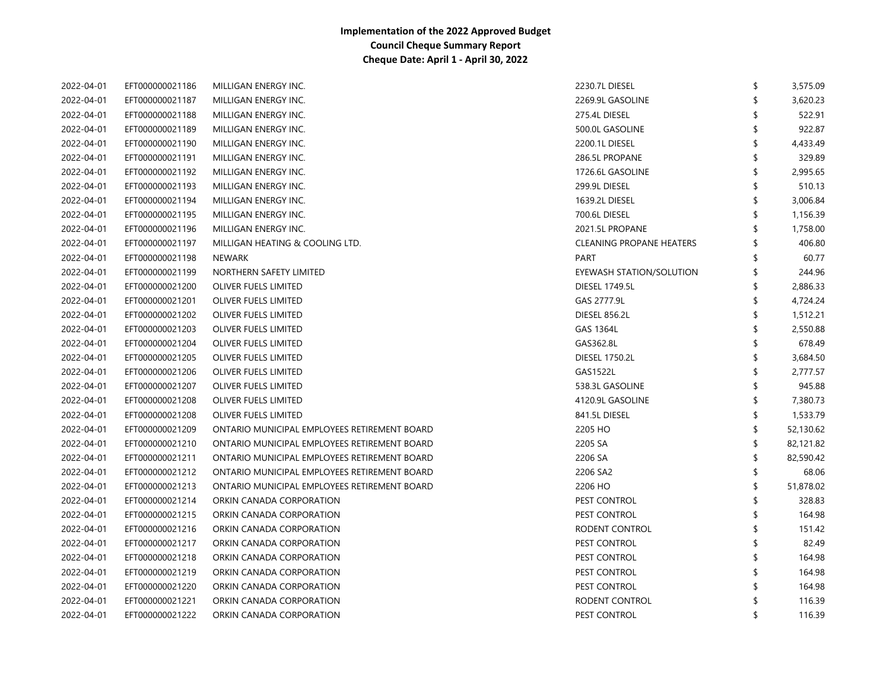| 2022-04-01 | EFT000000021186 | MILLIGAN ENERGY INC.                         | 2230.7L DIESEL                  | \$<br>3,575.09  |
|------------|-----------------|----------------------------------------------|---------------------------------|-----------------|
| 2022-04-01 | EFT000000021187 | MILLIGAN ENERGY INC.                         | 2269.9L GASOLINE                | \$<br>3,620.23  |
| 2022-04-01 | EFT000000021188 | MILLIGAN ENERGY INC.                         | 275.4L DIESEL                   | 522.91          |
| 2022-04-01 | EFT000000021189 | MILLIGAN ENERGY INC.                         | 500.0L GASOLINE                 | 922.87          |
| 2022-04-01 | EFT000000021190 | MILLIGAN ENERGY INC.                         | 2200.1L DIESEL                  | 4,433.49        |
| 2022-04-01 | EFT000000021191 | MILLIGAN ENERGY INC.                         | 286.5L PROPANE                  | 329.89          |
| 2022-04-01 | EFT000000021192 | MILLIGAN ENERGY INC.                         | 1726.6L GASOLINE                | 2,995.65        |
| 2022-04-01 | EFT000000021193 | MILLIGAN ENERGY INC.                         | 299.9L DIESEL                   | 510.13          |
| 2022-04-01 | EFT000000021194 | MILLIGAN ENERGY INC.                         | 1639.2L DIESEL                  | 3,006.84        |
| 2022-04-01 | EFT000000021195 | MILLIGAN ENERGY INC.                         | 700.6L DIESEL                   | 1,156.39        |
| 2022-04-01 | EFT000000021196 | MILLIGAN ENERGY INC.                         | 2021.5L PROPANE                 | 1,758.00        |
| 2022-04-01 | EFT000000021197 | MILLIGAN HEATING & COOLING LTD.              | <b>CLEANING PROPANE HEATERS</b> | 406.80          |
| 2022-04-01 | EFT000000021198 | <b>NEWARK</b>                                | <b>PART</b>                     | 60.77           |
| 2022-04-01 | EFT000000021199 | NORTHERN SAFETY LIMITED                      | EYEWASH STATION/SOLUTION        | 244.96          |
| 2022-04-01 | EFT000000021200 | OLIVER FUELS LIMITED                         | <b>DIESEL 1749.5L</b>           | 2,886.33        |
| 2022-04-01 | EFT000000021201 | OLIVER FUELS LIMITED                         | GAS 2777.9L                     | 4,724.24        |
| 2022-04-01 | EFT000000021202 | OLIVER FUELS LIMITED                         | <b>DIESEL 856.2L</b>            | 1,512.21        |
| 2022-04-01 | EFT000000021203 | OLIVER FUELS LIMITED                         | <b>GAS 1364L</b>                | 2,550.88        |
| 2022-04-01 | EFT000000021204 | OLIVER FUELS LIMITED                         | GAS362.8L                       | 678.49          |
| 2022-04-01 | EFT000000021205 | OLIVER FUELS LIMITED                         | <b>DIESEL 1750.2L</b>           | 3,684.50        |
| 2022-04-01 | EFT000000021206 | OLIVER FUELS LIMITED                         | GAS1522L                        | 2,777.57        |
| 2022-04-01 | EFT000000021207 | OLIVER FUELS LIMITED                         | 538.3L GASOLINE                 | 945.88          |
| 2022-04-01 | EFT000000021208 | OLIVER FUELS LIMITED                         | 4120.9L GASOLINE                | 7,380.73        |
| 2022-04-01 | EFT000000021208 | OLIVER FUELS LIMITED                         | 841.5L DIESEL                   | 1,533.79        |
| 2022-04-01 | EFT000000021209 | ONTARIO MUNICIPAL EMPLOYEES RETIREMENT BOARD | 2205 HO                         | 52,130.62       |
| 2022-04-01 | EFT000000021210 | ONTARIO MUNICIPAL EMPLOYEES RETIREMENT BOARD | 2205 SA                         | 82,121.82       |
| 2022-04-01 | EFT000000021211 | ONTARIO MUNICIPAL EMPLOYEES RETIREMENT BOARD | 2206 SA                         | 82,590.42       |
| 2022-04-01 | EFT000000021212 | ONTARIO MUNICIPAL EMPLOYEES RETIREMENT BOARD | 2206 SA2                        | 68.06           |
| 2022-04-01 | EFT000000021213 | ONTARIO MUNICIPAL EMPLOYEES RETIREMENT BOARD | 2206 HO                         | \$<br>51,878.02 |
| 2022-04-01 | EFT000000021214 | ORKIN CANADA CORPORATION                     | PEST CONTROL                    | 328.83          |
| 2022-04-01 | EFT000000021215 | ORKIN CANADA CORPORATION                     | PEST CONTROL                    | 164.98          |
| 2022-04-01 | EFT000000021216 | ORKIN CANADA CORPORATION                     | RODENT CONTROL                  | 151.42          |
| 2022-04-01 | EFT000000021217 | ORKIN CANADA CORPORATION                     | PEST CONTROL                    | 82.49           |
| 2022-04-01 | EFT000000021218 | ORKIN CANADA CORPORATION                     | PEST CONTROL                    | 164.98          |
| 2022-04-01 | EFT000000021219 | ORKIN CANADA CORPORATION                     | PEST CONTROL                    | 164.98          |
| 2022-04-01 | EFT000000021220 | ORKIN CANADA CORPORATION                     | PEST CONTROL                    | 164.98          |
| 2022-04-01 | EFT000000021221 | ORKIN CANADA CORPORATION                     | RODENT CONTROL                  | 116.39          |
| 2022-04-01 | EFT000000021222 | ORKIN CANADA CORPORATION                     | PEST CONTROL                    | 116.39          |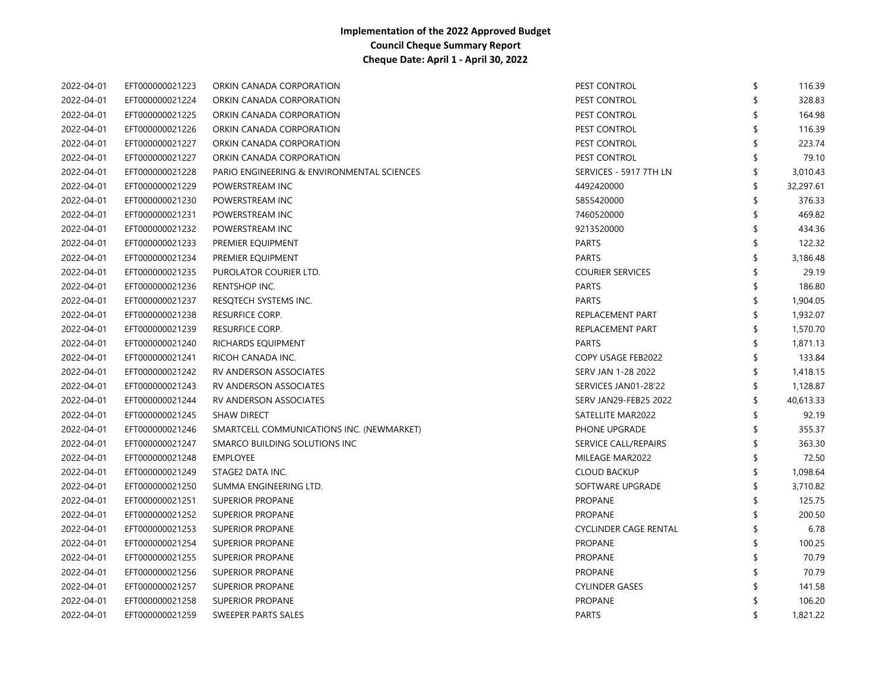| 2022-04-01 | EFT000000021223 | ORKIN CANADA CORPORATION                   | PEST CONTROL                 | \$<br>116.39    |
|------------|-----------------|--------------------------------------------|------------------------------|-----------------|
| 2022-04-01 | EFT000000021224 | ORKIN CANADA CORPORATION                   | PEST CONTROL                 | 328.83          |
| 2022-04-01 | EFT000000021225 | ORKIN CANADA CORPORATION                   | PEST CONTROL                 | 164.98          |
| 2022-04-01 | EFT000000021226 | ORKIN CANADA CORPORATION                   | PEST CONTROL                 | 116.39          |
| 2022-04-01 | EFT000000021227 | ORKIN CANADA CORPORATION                   | PEST CONTROL                 | 223.74          |
| 2022-04-01 | EFT000000021227 | ORKIN CANADA CORPORATION                   | PEST CONTROL                 | 79.10           |
| 2022-04-01 | EFT000000021228 | PARIO ENGINEERING & ENVIRONMENTAL SCIENCES | SERVICES - 5917 7TH LN       | \$<br>3,010.43  |
| 2022-04-01 | EFT000000021229 | POWERSTREAM INC                            | 4492420000                   | \$<br>32,297.61 |
| 2022-04-01 | EFT000000021230 | POWERSTREAM INC                            | 5855420000                   | \$<br>376.33    |
| 2022-04-01 | EFT000000021231 | POWERSTREAM INC                            | 7460520000                   | \$<br>469.82    |
| 2022-04-01 | EFT000000021232 | POWERSTREAM INC                            | 9213520000                   | \$<br>434.36    |
| 2022-04-01 | EFT000000021233 | PREMIER EQUIPMENT                          | <b>PARTS</b>                 | 122.32          |
| 2022-04-01 | EFT000000021234 | PREMIER EQUIPMENT                          | <b>PARTS</b>                 | \$<br>3,186.48  |
| 2022-04-01 | EFT000000021235 | PUROLATOR COURIER LTD.                     | <b>COURIER SERVICES</b>      | 29.19           |
| 2022-04-01 | EFT000000021236 | RENTSHOP INC.                              | <b>PARTS</b>                 | 186.80          |
| 2022-04-01 | EFT000000021237 | RESQTECH SYSTEMS INC.                      | <b>PARTS</b>                 | 1,904.05        |
| 2022-04-01 | EFT000000021238 | <b>RESURFICE CORP.</b>                     | REPLACEMENT PART             | 1,932.07        |
| 2022-04-01 | EFT000000021239 | <b>RESURFICE CORP.</b>                     | REPLACEMENT PART             | 1,570.70        |
| 2022-04-01 | EFT000000021240 | RICHARDS EQUIPMENT                         | <b>PARTS</b>                 | 1,871.13        |
| 2022-04-01 | EFT000000021241 | RICOH CANADA INC.                          | COPY USAGE FEB2022           | 133.84          |
| 2022-04-01 | EFT000000021242 | RV ANDERSON ASSOCIATES                     | SERV JAN 1-28 2022           | 1,418.15        |
| 2022-04-01 | EFT000000021243 | RV ANDERSON ASSOCIATES                     | SERVICES JAN01-28'22         | \$<br>1,128.87  |
| 2022-04-01 | EFT000000021244 | RV ANDERSON ASSOCIATES                     | <b>SERV JAN29-FEB25 2022</b> | \$<br>40,613.33 |
| 2022-04-01 | EFT000000021245 | <b>SHAW DIRECT</b>                         | SATELLITE MAR2022            | 92.19           |
| 2022-04-01 | EFT000000021246 | SMARTCELL COMMUNICATIONS INC. (NEWMARKET)  | PHONE UPGRADE                | 355.37          |
| 2022-04-01 | EFT000000021247 | SMARCO BUILDING SOLUTIONS INC              | SERVICE CALL/REPAIRS         | \$<br>363.30    |
| 2022-04-01 | EFT000000021248 | <b>EMPLOYEE</b>                            | MILEAGE MAR2022              | \$<br>72.50     |
| 2022-04-01 | EFT000000021249 | STAGE2 DATA INC.                           | <b>CLOUD BACKUP</b>          | \$<br>1,098.64  |
| 2022-04-01 | EFT000000021250 | SUMMA ENGINEERING LTD.                     | SOFTWARE UPGRADE             | 3,710.82        |
| 2022-04-01 | EFT000000021251 | SUPERIOR PROPANE                           | <b>PROPANE</b>               | 125.75          |
| 2022-04-01 | EFT000000021252 | <b>SUPERIOR PROPANE</b>                    | <b>PROPANE</b>               | 200.50          |
| 2022-04-01 | EFT000000021253 | <b>SUPERIOR PROPANE</b>                    | <b>CYCLINDER CAGE RENTAL</b> | 6.78            |
| 2022-04-01 | EFT000000021254 | <b>SUPERIOR PROPANE</b>                    | <b>PROPANE</b>               | \$<br>100.25    |
| 2022-04-01 | EFT000000021255 | <b>SUPERIOR PROPANE</b>                    | <b>PROPANE</b>               | 70.79           |
| 2022-04-01 | EFT000000021256 | SUPERIOR PROPANE                           | PROPANE                      | 70.79           |
| 2022-04-01 | EFT000000021257 | SUPERIOR PROPANE                           | <b>CYLINDER GASES</b>        | 141.58          |
| 2022-04-01 | EFT000000021258 | <b>SUPERIOR PROPANE</b>                    | <b>PROPANE</b>               | 106.20          |
| 2022-04-01 | EFT000000021259 | SWEEPER PARTS SALES                        | <b>PARTS</b>                 | \$<br>1,821.22  |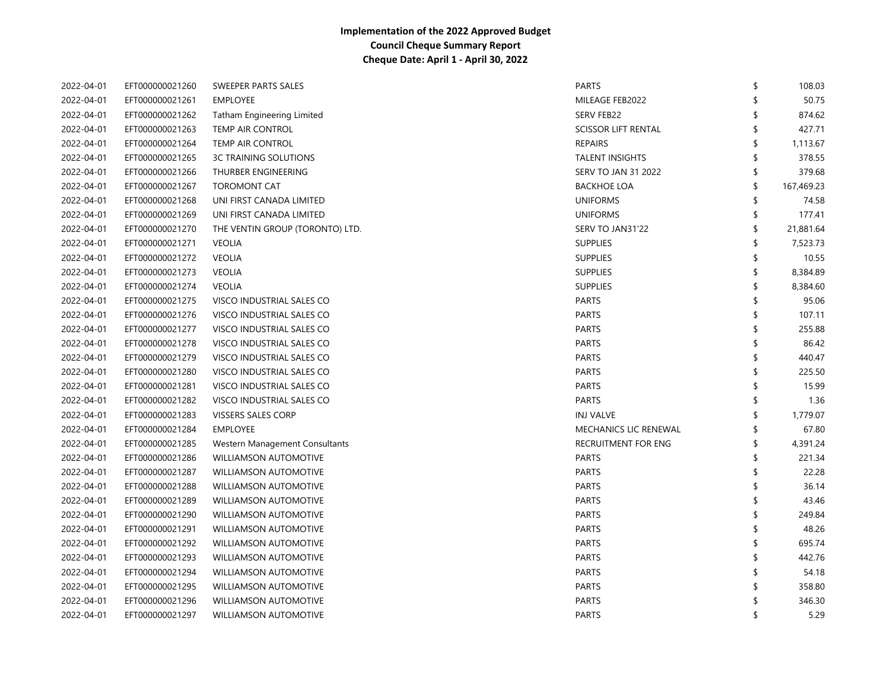| 2022-04-01 | EFT000000021260 | SWEEPER PARTS SALES               | <b>PARTS</b>               | \$<br>108.03     |
|------------|-----------------|-----------------------------------|----------------------------|------------------|
| 2022-04-01 | EFT000000021261 | <b>EMPLOYEE</b>                   | MILEAGE FEB2022            | \$<br>50.75      |
| 2022-04-01 | EFT000000021262 | <b>Tatham Engineering Limited</b> | <b>SERV FEB22</b>          | 874.62           |
| 2022-04-01 | EFT000000021263 | TEMP AIR CONTROL                  | <b>SCISSOR LIFT RENTAL</b> | \$<br>427.71     |
| 2022-04-01 | EFT000000021264 | <b>TEMP AIR CONTROL</b>           | <b>REPAIRS</b>             | \$<br>1,113.67   |
| 2022-04-01 | EFT000000021265 | <b>3C TRAINING SOLUTIONS</b>      | <b>TALENT INSIGHTS</b>     | \$<br>378.55     |
| 2022-04-01 | EFT000000021266 | THURBER ENGINEERING               | <b>SERV TO JAN 31 2022</b> | \$<br>379.68     |
| 2022-04-01 | EFT000000021267 | <b>TOROMONT CAT</b>               | <b>BACKHOE LOA</b>         | \$<br>167,469.23 |
| 2022-04-01 | EFT000000021268 | UNI FIRST CANADA LIMITED          | <b>UNIFORMS</b>            | \$<br>74.58      |
| 2022-04-01 | EFT000000021269 | UNI FIRST CANADA LIMITED          | <b>UNIFORMS</b>            | \$<br>177.41     |
| 2022-04-01 | EFT000000021270 | THE VENTIN GROUP (TORONTO) LTD.   | SERV TO JAN31'22           | \$<br>21,881.64  |
| 2022-04-01 | EFT000000021271 | <b>VEOLIA</b>                     | <b>SUPPLIES</b>            | \$<br>7,523.73   |
| 2022-04-01 | EFT000000021272 | <b>VEOLIA</b>                     | <b>SUPPLIES</b>            | \$<br>10.55      |
| 2022-04-01 | EFT000000021273 | <b>VEOLIA</b>                     | <b>SUPPLIES</b>            | \$<br>8,384.89   |
| 2022-04-01 | EFT000000021274 | <b>VEOLIA</b>                     | <b>SUPPLIES</b>            | \$<br>8,384.60   |
| 2022-04-01 | EFT000000021275 | VISCO INDUSTRIAL SALES CO         | <b>PARTS</b>               | \$<br>95.06      |
| 2022-04-01 | EFT000000021276 | VISCO INDUSTRIAL SALES CO         | <b>PARTS</b>               | \$<br>107.11     |
| 2022-04-01 | EFT000000021277 | VISCO INDUSTRIAL SALES CO         | <b>PARTS</b>               | \$<br>255.88     |
| 2022-04-01 | EFT000000021278 | VISCO INDUSTRIAL SALES CO         | <b>PARTS</b>               | \$<br>86.42      |
| 2022-04-01 | EFT000000021279 | VISCO INDUSTRIAL SALES CO         | <b>PARTS</b>               | \$<br>440.47     |
| 2022-04-01 | EFT000000021280 | VISCO INDUSTRIAL SALES CO         | <b>PARTS</b>               | \$<br>225.50     |
| 2022-04-01 | EFT000000021281 | VISCO INDUSTRIAL SALES CO         | <b>PARTS</b>               | \$<br>15.99      |
| 2022-04-01 | EFT000000021282 | VISCO INDUSTRIAL SALES CO         | <b>PARTS</b>               | \$<br>1.36       |
| 2022-04-01 | EFT000000021283 | <b>VISSERS SALES CORP</b>         | <b>INJ VALVE</b>           | \$<br>1,779.07   |
| 2022-04-01 | EFT000000021284 | <b>EMPLOYEE</b>                   | MECHANICS LIC RENEWAL      | \$<br>67.80      |
| 2022-04-01 | EFT000000021285 | Western Management Consultants    | RECRUITMENT FOR ENG        | \$<br>4,391.24   |
| 2022-04-01 | EFT000000021286 | WILLIAMSON AUTOMOTIVE             | <b>PARTS</b>               | \$<br>221.34     |
| 2022-04-01 | EFT000000021287 | <b>WILLIAMSON AUTOMOTIVE</b>      | <b>PARTS</b>               | \$<br>22.28      |
| 2022-04-01 | EFT000000021288 | <b>WILLIAMSON AUTOMOTIVE</b>      | <b>PARTS</b>               | \$<br>36.14      |
| 2022-04-01 | EFT000000021289 | <b>WILLIAMSON AUTOMOTIVE</b>      | <b>PARTS</b>               | 43.46            |
| 2022-04-01 | EFT000000021290 | <b>WILLIAMSON AUTOMOTIVE</b>      | <b>PARTS</b>               | \$<br>249.84     |
| 2022-04-01 | EFT000000021291 | <b>WILLIAMSON AUTOMOTIVE</b>      | <b>PARTS</b>               | 48.26            |
| 2022-04-01 | EFT000000021292 | <b>WILLIAMSON AUTOMOTIVE</b>      | <b>PARTS</b>               | 695.74           |
| 2022-04-01 | EFT000000021293 | <b>WILLIAMSON AUTOMOTIVE</b>      | <b>PARTS</b>               | 442.76           |
| 2022-04-01 | EFT000000021294 | <b>WILLIAMSON AUTOMOTIVE</b>      | <b>PARTS</b>               | 54.18            |
| 2022-04-01 | EFT000000021295 | <b>WILLIAMSON AUTOMOTIVE</b>      | <b>PARTS</b>               | 358.80           |
| 2022-04-01 | EFT000000021296 | <b>WILLIAMSON AUTOMOTIVE</b>      | <b>PARTS</b>               | 346.30           |
| 2022-04-01 | EFT000000021297 | WILLIAMSON AUTOMOTIVE             | <b>PARTS</b>               | \$<br>5.29       |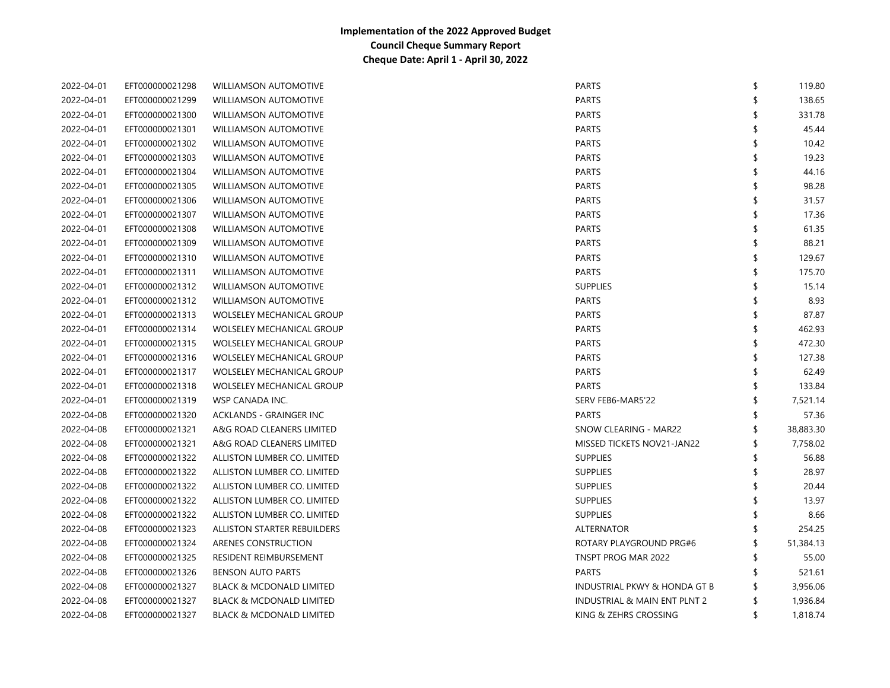| 2022-04-01 | EFT000000021298 | <b>WILLIAMSON AUTOMOTIVE</b>        | <b>PARTS</b>                            | \$ | 119.80    |
|------------|-----------------|-------------------------------------|-----------------------------------------|----|-----------|
| 2022-04-01 | EFT000000021299 | <b>WILLIAMSON AUTOMOTIVE</b>        | <b>PARTS</b>                            |    | 138.65    |
| 2022-04-01 | EFT000000021300 | <b>WILLIAMSON AUTOMOTIVE</b>        | <b>PARTS</b>                            |    | 331.78    |
| 2022-04-01 | EFT000000021301 | <b>WILLIAMSON AUTOMOTIVE</b>        | <b>PARTS</b>                            |    | 45.44     |
| 2022-04-01 | EFT000000021302 | <b>WILLIAMSON AUTOMOTIVE</b>        | <b>PARTS</b>                            |    | 10.42     |
| 2022-04-01 | EFT000000021303 | <b>WILLIAMSON AUTOMOTIVE</b>        | <b>PARTS</b>                            |    | 19.23     |
| 2022-04-01 | EFT000000021304 | <b>WILLIAMSON AUTOMOTIVE</b>        | <b>PARTS</b>                            |    | 44.16     |
| 2022-04-01 | EFT000000021305 | <b>WILLIAMSON AUTOMOTIVE</b>        | <b>PARTS</b>                            |    | 98.28     |
| 2022-04-01 | EFT000000021306 | <b>WILLIAMSON AUTOMOTIVE</b>        | <b>PARTS</b>                            | \$ | 31.57     |
| 2022-04-01 | EFT000000021307 | <b>WILLIAMSON AUTOMOTIVE</b>        | <b>PARTS</b>                            | \$ | 17.36     |
| 2022-04-01 | EFT000000021308 | <b>WILLIAMSON AUTOMOTIVE</b>        | <b>PARTS</b>                            |    | 61.35     |
| 2022-04-01 | EFT000000021309 | <b>WILLIAMSON AUTOMOTIVE</b>        | <b>PARTS</b>                            |    | 88.21     |
| 2022-04-01 | EFT000000021310 | <b>WILLIAMSON AUTOMOTIVE</b>        | <b>PARTS</b>                            | \$ | 129.67    |
| 2022-04-01 | EFT000000021311 | <b>WILLIAMSON AUTOMOTIVE</b>        | <b>PARTS</b>                            | \$ | 175.70    |
| 2022-04-01 | EFT000000021312 | <b>WILLIAMSON AUTOMOTIVE</b>        | <b>SUPPLIES</b>                         | \$ | 15.14     |
| 2022-04-01 | EFT000000021312 | <b>WILLIAMSON AUTOMOTIVE</b>        | <b>PARTS</b>                            | \$ | 8.93      |
| 2022-04-01 | EFT000000021313 | <b>WOLSELEY MECHANICAL GROUP</b>    | <b>PARTS</b>                            | \$ | 87.87     |
| 2022-04-01 | EFT000000021314 | <b>WOLSELEY MECHANICAL GROUP</b>    | <b>PARTS</b>                            | \$ | 462.93    |
| 2022-04-01 | EFT000000021315 | <b>WOLSELEY MECHANICAL GROUP</b>    | <b>PARTS</b>                            | \$ | 472.30    |
| 2022-04-01 | EFT000000021316 | <b>WOLSELEY MECHANICAL GROUP</b>    | <b>PARTS</b>                            | \$ | 127.38    |
| 2022-04-01 | EFT000000021317 | <b>WOLSELEY MECHANICAL GROUP</b>    | <b>PARTS</b>                            |    | 62.49     |
| 2022-04-01 | EFT000000021318 | <b>WOLSELEY MECHANICAL GROUP</b>    | <b>PARTS</b>                            |    | 133.84    |
| 2022-04-01 | EFT000000021319 | WSP CANADA INC.                     | SERV FEB6-MAR5'22                       |    | 7,521.14  |
| 2022-04-08 | EFT000000021320 | ACKLANDS - GRAINGER INC             | <b>PARTS</b>                            | \$ | 57.36     |
| 2022-04-08 | EFT000000021321 | A&G ROAD CLEANERS LIMITED           | SNOW CLEARING - MAR22                   | S  | 38,883.30 |
| 2022-04-08 | EFT000000021321 | A&G ROAD CLEANERS LIMITED           | MISSED TICKETS NOV21-JAN22              | \$ | 7,758.02  |
| 2022-04-08 | EFT000000021322 | ALLISTON LUMBER CO. LIMITED         | <b>SUPPLIES</b>                         | \$ | 56.88     |
| 2022-04-08 | EFT000000021322 | ALLISTON LUMBER CO. LIMITED         | <b>SUPPLIES</b>                         | \$ | 28.97     |
| 2022-04-08 | EFT000000021322 | ALLISTON LUMBER CO. LIMITED         | <b>SUPPLIES</b>                         | \$ | 20.44     |
| 2022-04-08 | EFT000000021322 | ALLISTON LUMBER CO. LIMITED         | <b>SUPPLIES</b>                         |    | 13.97     |
| 2022-04-08 | EFT000000021322 | ALLISTON LUMBER CO. LIMITED         | <b>SUPPLIES</b>                         | \$ | 8.66      |
| 2022-04-08 | EFT000000021323 | ALLISTON STARTER REBUILDERS         | ALTERNATOR                              | \$ | 254.25    |
| 2022-04-08 | EFT000000021324 | ARENES CONSTRUCTION                 | ROTARY PLAYGROUND PRG#6                 | \$ | 51,384.13 |
| 2022-04-08 | EFT000000021325 | RESIDENT REIMBURSEMENT              | TNSPT PROG MAR 2022                     | \$ | 55.00     |
| 2022-04-08 | EFT000000021326 | <b>BENSON AUTO PARTS</b>            | <b>PARTS</b>                            | \$ | 521.61    |
| 2022-04-08 | EFT000000021327 | <b>BLACK &amp; MCDONALD LIMITED</b> | <b>INDUSTRIAL PKWY &amp; HONDA GT B</b> | \$ | 3,956.06  |
| 2022-04-08 | EFT000000021327 | <b>BLACK &amp; MCDONALD LIMITED</b> | INDUSTRIAL & MAIN ENT PLNT 2            | \$ | 1,936.84  |
| 2022-04-08 | EFT000000021327 | <b>BLACK &amp; MCDONALD LIMITED</b> | KING & ZEHRS CROSSING                   | \$ | 1,818.74  |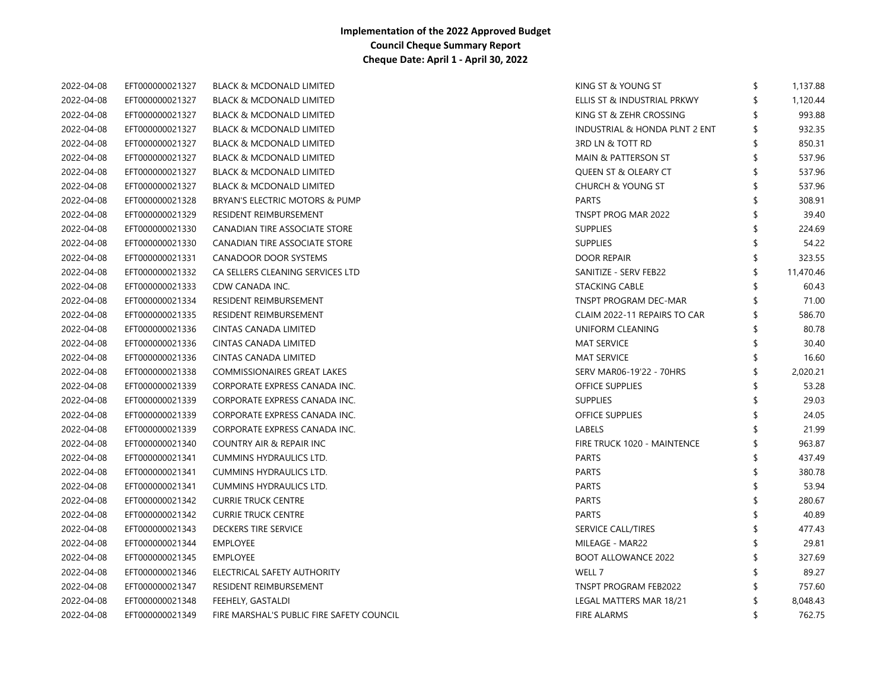| 2022-04-08 | EFT000000021327 | <b>BLACK &amp; MCDONALD LIMITED</b>       | KING ST & YOUNG ST             | \$<br>1,137.88 |
|------------|-----------------|-------------------------------------------|--------------------------------|----------------|
| 2022-04-08 | EFT000000021327 | <b>BLACK &amp; MCDONALD LIMITED</b>       | ELLIS ST & INDUSTRIAL PRKWY    | 1,120.44       |
| 2022-04-08 | EFT000000021327 | <b>BLACK &amp; MCDONALD LIMITED</b>       | KING ST & ZEHR CROSSING        | 993.88         |
| 2022-04-08 | EFT000000021327 | <b>BLACK &amp; MCDONALD LIMITED</b>       | INDUSTRIAL & HONDA PLNT 2 ENT  | 932.35         |
| 2022-04-08 | EFT000000021327 | <b>BLACK &amp; MCDONALD LIMITED</b>       | 3RD LN & TOTT RD               | \$<br>850.31   |
| 2022-04-08 | EFT000000021327 | <b>BLACK &amp; MCDONALD LIMITED</b>       | <b>MAIN &amp; PATTERSON ST</b> | 537.96         |
| 2022-04-08 | EFT000000021327 | <b>BLACK &amp; MCDONALD LIMITED</b>       | QUEEN ST & OLEARY CT           | 537.96         |
| 2022-04-08 | EFT000000021327 | <b>BLACK &amp; MCDONALD LIMITED</b>       | <b>CHURCH &amp; YOUNG ST</b>   | 537.96         |
| 2022-04-08 | EFT000000021328 | BRYAN'S ELECTRIC MOTORS & PUMP            | <b>PARTS</b>                   | 308.91         |
| 2022-04-08 | EFT000000021329 | RESIDENT REIMBURSEMENT                    | TNSPT PROG MAR 2022            | 39.40          |
| 2022-04-08 | EFT000000021330 | CANADIAN TIRE ASSOCIATE STORE             | <b>SUPPLIES</b>                | 224.69         |
| 2022-04-08 | EFT000000021330 | CANADIAN TIRE ASSOCIATE STORE             | <b>SUPPLIES</b>                | 54.22          |
| 2022-04-08 | EFT000000021331 | CANADOOR DOOR SYSTEMS                     | <b>DOOR REPAIR</b>             | 323.55         |
| 2022-04-08 | EFT000000021332 | CA SELLERS CLEANING SERVICES LTD          | SANITIZE - SERV FEB22          | 11,470.46      |
| 2022-04-08 | EFT000000021333 | CDW CANADA INC.                           | <b>STACKING CABLE</b>          | 60.43          |
| 2022-04-08 | EFT000000021334 | RESIDENT REIMBURSEMENT                    | TNSPT PROGRAM DEC-MAR          | 71.00          |
| 2022-04-08 | EFT000000021335 | RESIDENT REIMBURSEMENT                    | CLAIM 2022-11 REPAIRS TO CAR   | 586.70         |
| 2022-04-08 | EFT000000021336 | CINTAS CANADA LIMITED                     | UNIFORM CLEANING               | 80.78          |
| 2022-04-08 | EFT000000021336 | CINTAS CANADA LIMITED                     | <b>MAT SERVICE</b>             | 30.40          |
| 2022-04-08 | EFT000000021336 | CINTAS CANADA LIMITED                     | <b>MAT SERVICE</b>             | 16.60          |
| 2022-04-08 | EFT000000021338 | <b>COMMISSIONAIRES GREAT LAKES</b>        | SERV MAR06-19'22 - 70HRS       | 2,020.21       |
| 2022-04-08 | EFT000000021339 | CORPORATE EXPRESS CANADA INC.             | <b>OFFICE SUPPLIES</b>         | 53.28          |
| 2022-04-08 | EFT000000021339 | CORPORATE EXPRESS CANADA INC.             | <b>SUPPLIES</b>                | 29.03          |
| 2022-04-08 | EFT000000021339 | CORPORATE EXPRESS CANADA INC.             | <b>OFFICE SUPPLIES</b>         | 24.05          |
| 2022-04-08 | EFT000000021339 | CORPORATE EXPRESS CANADA INC.             | LABELS                         | 21.99          |
| 2022-04-08 | EFT000000021340 | COUNTRY AIR & REPAIR INC                  | FIRE TRUCK 1020 - MAINTENCE    | 963.87         |
| 2022-04-08 | EFT000000021341 | <b>CUMMINS HYDRAULICS LTD.</b>            | <b>PARTS</b>                   | \$<br>437.49   |
| 2022-04-08 | EFT000000021341 | <b>CUMMINS HYDRAULICS LTD.</b>            | <b>PARTS</b>                   | 380.78         |
| 2022-04-08 | EFT000000021341 | <b>CUMMINS HYDRAULICS LTD.</b>            | <b>PARTS</b>                   | 53.94          |
| 2022-04-08 | EFT000000021342 | <b>CURRIE TRUCK CENTRE</b>                | <b>PARTS</b>                   | 280.67         |
| 2022-04-08 | EFT000000021342 | <b>CURRIE TRUCK CENTRE</b>                | <b>PARTS</b>                   | 40.89          |
| 2022-04-08 | EFT000000021343 | DECKERS TIRE SERVICE                      | SERVICE CALL/TIRES             | 477.43         |
| 2022-04-08 | EFT000000021344 | <b>EMPLOYEE</b>                           | MILEAGE - MAR22                | 29.81          |
| 2022-04-08 | EFT000000021345 | <b>EMPLOYEE</b>                           | <b>BOOT ALLOWANCE 2022</b>     | 327.69         |
| 2022-04-08 | EFT000000021346 | ELECTRICAL SAFETY AUTHORITY               | WELL 7                         | 89.27          |
| 2022-04-08 | EFT000000021347 | RESIDENT REIMBURSEMENT                    | TNSPT PROGRAM FEB2022          | 757.60         |
| 2022-04-08 | EFT000000021348 | FEEHELY, GASTALDI                         | LEGAL MATTERS MAR 18/21        | 8,048.43       |
| 2022-04-08 | EFT000000021349 | FIRE MARSHAL'S PUBLIC FIRE SAFETY COUNCIL | <b>FIRE ALARMS</b>             | 762.75         |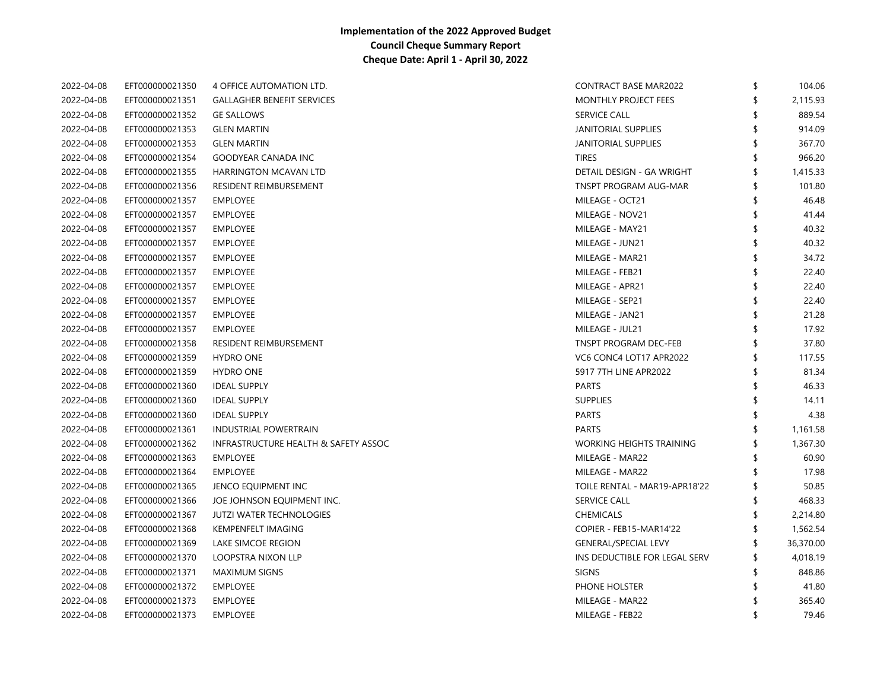| 2022-04-08 | EFT000000021350 | 4 OFFICE AUTOMATION LTD.                        | <b>CONTRACT BASE MAR2022</b>    | \$<br>104.06   |
|------------|-----------------|-------------------------------------------------|---------------------------------|----------------|
| 2022-04-08 | EFT000000021351 | <b>GALLAGHER BENEFIT SERVICES</b>               | MONTHLY PROJECT FEES            | \$<br>2,115.93 |
| 2022-04-08 | EFT000000021352 | <b>GE SALLOWS</b>                               | <b>SERVICE CALL</b>             | 889.54         |
| 2022-04-08 | EFT000000021353 | <b>GLEN MARTIN</b>                              | JANITORIAL SUPPLIES             | 914.09         |
| 2022-04-08 | EFT000000021353 | <b>GLEN MARTIN</b>                              | JANITORIAL SUPPLIES             | 367.70         |
| 2022-04-08 | EFT000000021354 | <b>GOODYEAR CANADA INC</b>                      | <b>TIRES</b>                    | 966.20         |
| 2022-04-08 | EFT000000021355 | <b>HARRINGTON MCAVAN LTD</b>                    | DETAIL DESIGN - GA WRIGHT       | \$<br>1,415.33 |
| 2022-04-08 | EFT000000021356 | RESIDENT REIMBURSEMENT                          | <b>TNSPT PROGRAM AUG-MAR</b>    | \$<br>101.80   |
| 2022-04-08 | EFT000000021357 | <b>EMPLOYEE</b>                                 | MILEAGE - OCT21                 | 46.48          |
| 2022-04-08 | EFT000000021357 | <b>EMPLOYEE</b>                                 | MILEAGE - NOV21                 | 41.44          |
| 2022-04-08 | EFT000000021357 | <b>EMPLOYEE</b>                                 | MILEAGE - MAY21                 | 40.32          |
| 2022-04-08 | EFT000000021357 | <b>EMPLOYEE</b>                                 | MILEAGE - JUN21                 | \$<br>40.32    |
| 2022-04-08 | EFT000000021357 | <b>EMPLOYEE</b>                                 | MILEAGE - MAR21                 | 34.72          |
| 2022-04-08 | EFT000000021357 | <b>EMPLOYEE</b>                                 | MILEAGE - FEB21                 | 22.40          |
| 2022-04-08 | EFT000000021357 | <b>EMPLOYEE</b>                                 | MILEAGE - APR21                 | 22.40          |
| 2022-04-08 | EFT000000021357 | <b>EMPLOYEE</b>                                 | MILEAGE - SEP21                 | 22.40          |
| 2022-04-08 | EFT000000021357 | <b>EMPLOYEE</b>                                 | MILEAGE - JAN21                 | 21.28          |
| 2022-04-08 | EFT000000021357 | <b>EMPLOYEE</b>                                 | MILEAGE - JUL21                 | 17.92          |
| 2022-04-08 | EFT000000021358 | RESIDENT REIMBURSEMENT                          | TNSPT PROGRAM DEC-FEB           | 37.80          |
| 2022-04-08 | EFT000000021359 | <b>HYDRO ONE</b>                                | VC6 CONC4 LOT17 APR2022         | \$<br>117.55   |
| 2022-04-08 | EFT000000021359 | <b>HYDRO ONE</b>                                | 5917 7TH LINE APR2022           | 81.34          |
| 2022-04-08 | EFT000000021360 | <b>IDEAL SUPPLY</b>                             | <b>PARTS</b>                    | 46.33          |
| 2022-04-08 | EFT000000021360 | <b>IDEAL SUPPLY</b>                             | <b>SUPPLIES</b>                 | 14.11          |
| 2022-04-08 | EFT000000021360 | <b>IDEAL SUPPLY</b>                             | <b>PARTS</b>                    | 4.38           |
| 2022-04-08 | EFT000000021361 | <b>INDUSTRIAL POWERTRAIN</b>                    | <b>PARTS</b>                    | 1,161.58       |
| 2022-04-08 | EFT000000021362 | <b>INFRASTRUCTURE HEALTH &amp; SAFETY ASSOC</b> | <b>WORKING HEIGHTS TRAINING</b> | 1,367.30       |
| 2022-04-08 | EFT000000021363 | <b>EMPLOYEE</b>                                 | MILEAGE - MAR22                 | 60.90          |
| 2022-04-08 | EFT000000021364 | <b>EMPLOYEE</b>                                 | MILEAGE - MAR22                 | 17.98          |
| 2022-04-08 | EFT000000021365 | JENCO EQUIPMENT INC                             | TOILE RENTAL - MAR19-APR18'22   | 50.85          |
| 2022-04-08 | EFT000000021366 | JOE JOHNSON EQUIPMENT INC.                      | <b>SERVICE CALL</b>             | 468.33         |
| 2022-04-08 | EFT000000021367 | <b>JUTZI WATER TECHNOLOGIES</b>                 | <b>CHEMICALS</b>                | 2,214.80       |
| 2022-04-08 | EFT000000021368 | KEMPENFELT IMAGING                              | COPIER - FEB15-MAR14'22         | 1,562.54       |
| 2022-04-08 | EFT000000021369 | LAKE SIMCOE REGION                              | <b>GENERAL/SPECIAL LEVY</b>     | 36,370.00      |
| 2022-04-08 | EFT000000021370 | LOOPSTRA NIXON LLP                              | INS DEDUCTIBLE FOR LEGAL SERV   | 4,018.19       |
| 2022-04-08 | EFT000000021371 | <b>MAXIMUM SIGNS</b>                            | <b>SIGNS</b>                    | 848.86         |
| 2022-04-08 | EFT000000021372 | <b>EMPLOYEE</b>                                 | PHONE HOLSTER                   | 41.80          |
| 2022-04-08 | EFT000000021373 | <b>EMPLOYEE</b>                                 | MILEAGE - MAR22                 | 365.40         |
| 2022-04-08 | EFT000000021373 | <b>EMPLOYEE</b>                                 | MILEAGE - FEB22                 | \$<br>79.46    |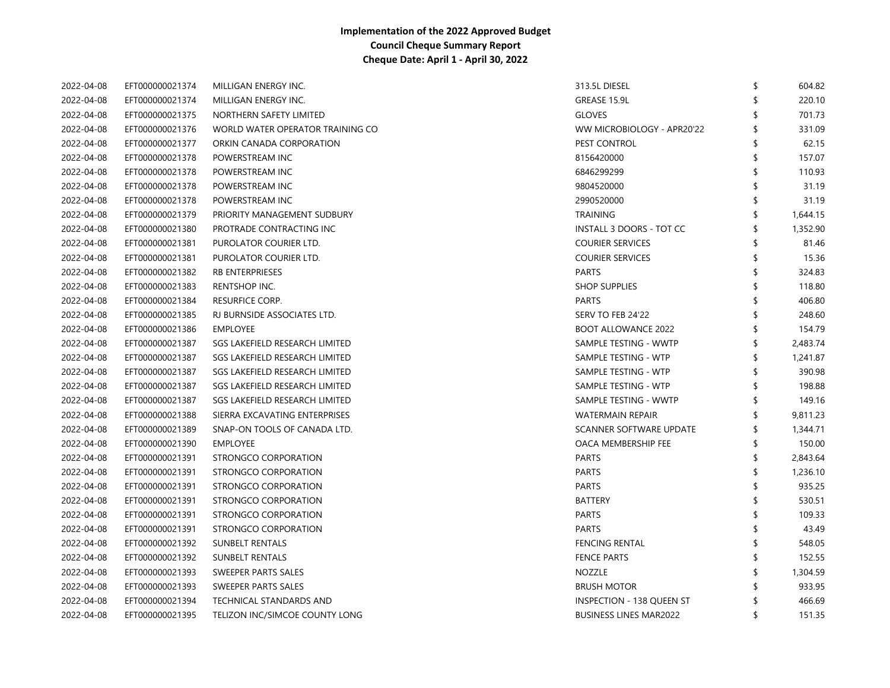| 2022-04-08 | EFT000000021374 | MILLIGAN ENERGY INC.             | 313.5L DIESEL                    | \$  | 604.82   |
|------------|-----------------|----------------------------------|----------------------------------|-----|----------|
| 2022-04-08 | EFT000000021374 | MILLIGAN ENERGY INC.             | GREASE 15.9L                     |     | 220.10   |
| 2022-04-08 | EFT000000021375 | NORTHERN SAFETY LIMITED          | <b>GLOVES</b>                    |     | 701.73   |
| 2022-04-08 | EFT000000021376 | WORLD WATER OPERATOR TRAINING CO | WW MICROBIOLOGY - APR20'22       |     | 331.09   |
| 2022-04-08 | EFT000000021377 | ORKIN CANADA CORPORATION         | PEST CONTROL                     | 9   | 62.15    |
| 2022-04-08 | EFT000000021378 | POWERSTREAM INC                  | 8156420000                       |     | 157.07   |
| 2022-04-08 | EFT000000021378 | POWERSTREAM INC                  | 6846299299                       | \$  | 110.93   |
| 2022-04-08 | EFT000000021378 | POWERSTREAM INC                  | 9804520000                       |     | 31.19    |
| 2022-04-08 | EFT000000021378 | POWERSTREAM INC                  | 2990520000                       |     | 31.19    |
| 2022-04-08 | EFT000000021379 | PRIORITY MANAGEMENT SUDBURY      | <b>TRAINING</b>                  |     | 1,644.15 |
| 2022-04-08 | EFT000000021380 | PROTRADE CONTRACTING INC         | INSTALL 3 DOORS - TOT CC         |     | 1,352.90 |
| 2022-04-08 | EFT000000021381 | PUROLATOR COURIER LTD.           | <b>COURIER SERVICES</b>          |     | 81.46    |
| 2022-04-08 | EFT000000021381 | PUROLATOR COURIER LTD.           | <b>COURIER SERVICES</b>          |     | 15.36    |
| 2022-04-08 | EFT000000021382 | <b>RB ENTERPRIESES</b>           | <b>PARTS</b>                     | \$  | 324.83   |
| 2022-04-08 | EFT000000021383 | RENTSHOP INC.                    | <b>SHOP SUPPLIES</b>             | \$  | 118.80   |
| 2022-04-08 | EFT000000021384 | RESURFICE CORP.                  | <b>PARTS</b>                     |     | 406.80   |
| 2022-04-08 | EFT000000021385 | RJ BURNSIDE ASSOCIATES LTD.      | SERV TO FEB 24'22                |     | 248.60   |
| 2022-04-08 | EFT000000021386 | <b>EMPLOYEE</b>                  | <b>BOOT ALLOWANCE 2022</b>       |     | 154.79   |
| 2022-04-08 | EFT000000021387 | SGS LAKEFIELD RESEARCH LIMITED   | SAMPLE TESTING - WWTP            | \$  | 2,483.74 |
| 2022-04-08 | EFT000000021387 | SGS LAKEFIELD RESEARCH LIMITED   | SAMPLE TESTING - WTP             | \$  | 1,241.87 |
| 2022-04-08 | EFT000000021387 | SGS LAKEFIELD RESEARCH LIMITED   | SAMPLE TESTING - WTP             |     | 390.98   |
| 2022-04-08 | EFT000000021387 | SGS LAKEFIELD RESEARCH LIMITED   | SAMPLE TESTING - WTP             |     | 198.88   |
| 2022-04-08 | EFT000000021387 | SGS LAKEFIELD RESEARCH LIMITED   | SAMPLE TESTING - WWTP            |     | 149.16   |
| 2022-04-08 | EFT000000021388 | SIERRA EXCAVATING ENTERPRISES    | <b>WATERMAIN REPAIR</b>          |     | 9,811.23 |
| 2022-04-08 | EFT000000021389 | SNAP-ON TOOLS OF CANADA LTD.     | SCANNER SOFTWARE UPDATE          |     | 1,344.71 |
| 2022-04-08 | EFT000000021390 | <b>EMPLOYEE</b>                  | OACA MEMBERSHIP FEE              | \$  | 150.00   |
| 2022-04-08 | EFT000000021391 | STRONGCO CORPORATION             | <b>PARTS</b>                     | \$  | 2,843.64 |
| 2022-04-08 | EFT000000021391 | STRONGCO CORPORATION             | <b>PARTS</b>                     | \$  | 1,236.10 |
| 2022-04-08 | EFT000000021391 | STRONGCO CORPORATION             | <b>PARTS</b>                     | \$  | 935.25   |
| 2022-04-08 | EFT000000021391 | STRONGCO CORPORATION             | <b>BATTERY</b>                   | \$  | 530.51   |
| 2022-04-08 | EFT000000021391 | STRONGCO CORPORATION             | <b>PARTS</b>                     | \$  | 109.33   |
| 2022-04-08 | EFT000000021391 | STRONGCO CORPORATION             | <b>PARTS</b>                     |     | 43.49    |
| 2022-04-08 | EFT000000021392 | <b>SUNBELT RENTALS</b>           | <b>FENCING RENTAL</b>            |     | 548.05   |
| 2022-04-08 | EFT000000021392 | <b>SUNBELT RENTALS</b>           | <b>FENCE PARTS</b>               |     | 152.55   |
| 2022-04-08 | EFT000000021393 | SWEEPER PARTS SALES              | <b>NOZZLE</b>                    |     | 1,304.59 |
| 2022-04-08 | EFT000000021393 | SWEEPER PARTS SALES              | <b>BRUSH MOTOR</b>               |     | 933.95   |
| 2022-04-08 | EFT000000021394 | TECHNICAL STANDARDS AND          | <b>INSPECTION - 138 QUEEN ST</b> |     | 466.69   |
| 2022-04-08 | EFT000000021395 | TELIZON INC/SIMCOE COUNTY LONG   | <b>BUSINESS LINES MAR2022</b>    | -\$ | 151.35   |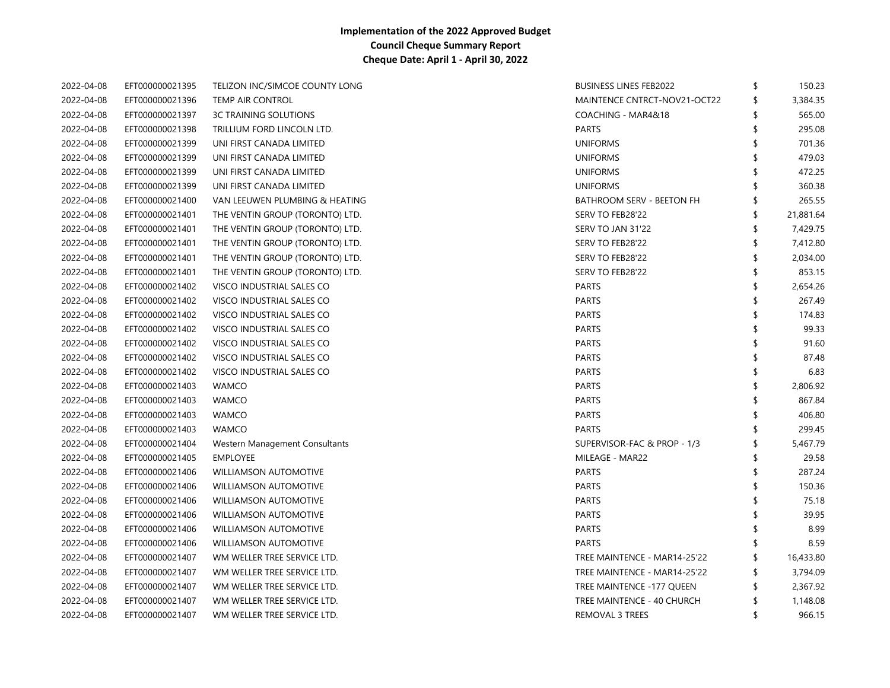| 2022-04-08 | EFT000000021395 | TELIZON INC/SIMCOE COUNTY LONG  | <b>BUSINESS LINES FEB2022</b>    | \$  | 150.23    |
|------------|-----------------|---------------------------------|----------------------------------|-----|-----------|
| 2022-04-08 | EFT000000021396 | <b>TEMP AIR CONTROL</b>         | MAINTENCE CNTRCT-NOV21-OCT22     | \$  | 3,384.35  |
| 2022-04-08 | EFT000000021397 | <b>3C TRAINING SOLUTIONS</b>    | COACHING - MAR4&18               | \$. | 565.00    |
| 2022-04-08 | EFT000000021398 | TRILLIUM FORD LINCOLN LTD.      | <b>PARTS</b>                     | \$  | 295.08    |
| 2022-04-08 | EFT000000021399 | UNI FIRST CANADA LIMITED        | <b>UNIFORMS</b>                  | \$  | 701.36    |
| 2022-04-08 | EFT000000021399 | UNI FIRST CANADA LIMITED        | <b>UNIFORMS</b>                  | \$  | 479.03    |
| 2022-04-08 | EFT000000021399 | UNI FIRST CANADA LIMITED        | <b>UNIFORMS</b>                  | \$  | 472.25    |
| 2022-04-08 | EFT000000021399 | UNI FIRST CANADA LIMITED        | <b>UNIFORMS</b>                  | \$. | 360.38    |
| 2022-04-08 | EFT000000021400 | VAN LEEUWEN PLUMBING & HEATING  | <b>BATHROOM SERV - BEETON FH</b> | \$  | 265.55    |
| 2022-04-08 | EFT000000021401 | THE VENTIN GROUP (TORONTO) LTD. | SERV TO FEB28'22                 | \$  | 21,881.64 |
| 2022-04-08 | EFT000000021401 | THE VENTIN GROUP (TORONTO) LTD. | SERV TO JAN 31'22                | \$  | 7,429.75  |
| 2022-04-08 | EFT000000021401 | THE VENTIN GROUP (TORONTO) LTD. | SERV TO FEB28'22                 | \$  | 7,412.80  |
| 2022-04-08 | EFT000000021401 | THE VENTIN GROUP (TORONTO) LTD. | SERV TO FEB28'22                 | \$  | 2,034.00  |
| 2022-04-08 | EFT000000021401 | THE VENTIN GROUP (TORONTO) LTD. | SERV TO FEB28'22                 | \$. | 853.15    |
| 2022-04-08 | EFT000000021402 | VISCO INDUSTRIAL SALES CO       | <b>PARTS</b>                     | \$. | 2,654.26  |
| 2022-04-08 | EFT000000021402 | VISCO INDUSTRIAL SALES CO       | <b>PARTS</b>                     |     | 267.49    |
| 2022-04-08 | EFT000000021402 | VISCO INDUSTRIAL SALES CO       | <b>PARTS</b>                     | \$. | 174.83    |
| 2022-04-08 | EFT000000021402 | VISCO INDUSTRIAL SALES CO       | <b>PARTS</b>                     |     | 99.33     |
| 2022-04-08 | EFT000000021402 | VISCO INDUSTRIAL SALES CO       | <b>PARTS</b>                     |     | 91.60     |
| 2022-04-08 | EFT000000021402 | VISCO INDUSTRIAL SALES CO       | <b>PARTS</b>                     |     | 87.48     |
| 2022-04-08 | EFT000000021402 | VISCO INDUSTRIAL SALES CO       | <b>PARTS</b>                     |     | 6.83      |
| 2022-04-08 | EFT000000021403 | <b>WAMCO</b>                    | PARTS                            | \$  | 2,806.92  |
| 2022-04-08 | EFT000000021403 | <b>WAMCO</b>                    | <b>PARTS</b>                     | \$. | 867.84    |
| 2022-04-08 | EFT000000021403 | <b>WAMCO</b>                    | <b>PARTS</b>                     | \$  | 406.80    |
| 2022-04-08 | EFT000000021403 | <b>WAMCO</b>                    | <b>PARTS</b>                     |     | 299.45    |
| 2022-04-08 | EFT000000021404 | Western Management Consultants  | SUPERVISOR-FAC & PROP - 1/3      | \$  | 5,467.79  |
| 2022-04-08 | EFT000000021405 | <b>EMPLOYEE</b>                 | MILEAGE - MAR22                  | \$  | 29.58     |
| 2022-04-08 | EFT000000021406 | <b>WILLIAMSON AUTOMOTIVE</b>    | <b>PARTS</b>                     | \$. | 287.24    |
| 2022-04-08 | EFT000000021406 | <b>WILLIAMSON AUTOMOTIVE</b>    | <b>PARTS</b>                     | \$. | 150.36    |
| 2022-04-08 | EFT000000021406 | <b>WILLIAMSON AUTOMOTIVE</b>    | <b>PARTS</b>                     | S   | 75.18     |
| 2022-04-08 | EFT000000021406 | <b>WILLIAMSON AUTOMOTIVE</b>    | <b>PARTS</b>                     |     | 39.95     |
| 2022-04-08 | EFT000000021406 | <b>WILLIAMSON AUTOMOTIVE</b>    | <b>PARTS</b>                     | ٩   | 8.99      |
| 2022-04-08 | EFT000000021406 | <b>WILLIAMSON AUTOMOTIVE</b>    | <b>PARTS</b>                     |     | 8.59      |
| 2022-04-08 | EFT000000021407 | WM WELLER TREE SERVICE LTD.     | TREE MAINTENCE - MAR14-25'22     | ß.  | 16,433.80 |
| 2022-04-08 | EFT000000021407 | WM WELLER TREE SERVICE LTD.     | TREE MAINTENCE - MAR14-25'22     | \$  | 3,794.09  |
| 2022-04-08 | EFT000000021407 | WM WELLER TREE SERVICE LTD.     | TREE MAINTENCE -177 QUEEN        | \$  | 2,367.92  |
| 2022-04-08 | EFT000000021407 | WM WELLER TREE SERVICE LTD.     | TREE MAINTENCE - 40 CHURCH       | \$  | 1,148.08  |
| 2022-04-08 | EFT000000021407 | WM WELLER TREE SERVICE LTD.     | <b>REMOVAL 3 TREES</b>           | \$  | 966.15    |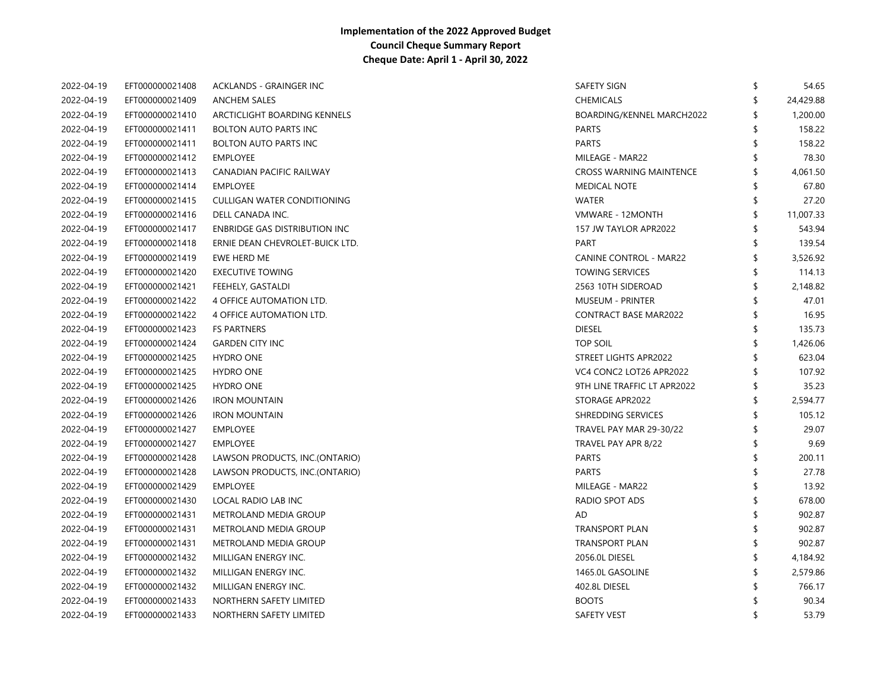| 2022-04-19 | EFT000000021408 | ACKLANDS - GRAINGER INC         | SAFETY SIGN                    | \$ | 54.65     |
|------------|-----------------|---------------------------------|--------------------------------|----|-----------|
| 2022-04-19 | EFT000000021409 | <b>ANCHEM SALES</b>             | <b>CHEMICALS</b>               |    | 24,429.88 |
| 2022-04-19 | EFT000000021410 | ARCTICLIGHT BOARDING KENNELS    | BOARDING/KENNEL MARCH2022      |    | 1,200.00  |
| 2022-04-19 | EFT000000021411 | <b>BOLTON AUTO PARTS INC</b>    | <b>PARTS</b>                   |    | 158.22    |
| 2022-04-19 | EFT000000021411 | <b>BOLTON AUTO PARTS INC</b>    | <b>PARTS</b>                   |    | 158.22    |
| 2022-04-19 | EFT000000021412 | <b>EMPLOYEE</b>                 | MILEAGE - MAR22                |    | 78.30     |
| 2022-04-19 | EFT000000021413 | CANADIAN PACIFIC RAILWAY        | <b>CROSS WARNING MAINTENCE</b> |    | 4,061.50  |
| 2022-04-19 | EFT000000021414 | <b>EMPLOYEE</b>                 | <b>MEDICAL NOTE</b>            | ß. | 67.80     |
| 2022-04-19 | EFT000000021415 | CULLIGAN WATER CONDITIONING     | <b>WATER</b>                   | \$ | 27.20     |
| 2022-04-19 | EFT000000021416 | DELL CANADA INC.                | VMWARE - 12MONTH               | \$ | 11,007.33 |
| 2022-04-19 | EFT000000021417 | ENBRIDGE GAS DISTRIBUTION INC   | 157 JW TAYLOR APR2022          |    | 543.94    |
| 2022-04-19 | EFT000000021418 | ERNIE DEAN CHEVROLET-BUICK LTD. | <b>PART</b>                    |    | 139.54    |
| 2022-04-19 | EFT000000021419 | EWE HERD ME                     | <b>CANINE CONTROL - MAR22</b>  |    | 3,526.92  |
| 2022-04-19 | EFT000000021420 | <b>EXECUTIVE TOWING</b>         | <b>TOWING SERVICES</b>         | \$ | 114.13    |
| 2022-04-19 | EFT000000021421 | FEEHELY, GASTALDI               | 2563 10TH SIDEROAD             |    | 2,148.82  |
| 2022-04-19 | EFT000000021422 | 4 OFFICE AUTOMATION LTD.        | <b>MUSEUM - PRINTER</b>        |    | 47.01     |
| 2022-04-19 | EFT000000021422 | 4 OFFICE AUTOMATION LTD.        | <b>CONTRACT BASE MAR2022</b>   |    | 16.95     |
| 2022-04-19 | EFT000000021423 | <b>FS PARTNERS</b>              | <b>DIESEL</b>                  | \$ | 135.73    |
| 2022-04-19 | EFT000000021424 | <b>GARDEN CITY INC</b>          | <b>TOP SOIL</b>                |    | 1,426.06  |
| 2022-04-19 | EFT000000021425 | <b>HYDRO ONE</b>                | STREET LIGHTS APR2022          |    | 623.04    |
| 2022-04-19 | EFT000000021425 | <b>HYDRO ONE</b>                | VC4 CONC2 LOT26 APR2022        |    | 107.92    |
| 2022-04-19 | EFT000000021425 | <b>HYDRO ONE</b>                | 9TH LINE TRAFFIC LT APR2022    | \$ | 35.23     |
| 2022-04-19 | EFT000000021426 | <b>IRON MOUNTAIN</b>            | STORAGE APR2022                | \$ | 2,594.77  |
| 2022-04-19 | EFT000000021426 | <b>IRON MOUNTAIN</b>            | SHREDDING SERVICES             |    | 105.12    |
| 2022-04-19 | EFT000000021427 | <b>EMPLOYEE</b>                 | TRAVEL PAY MAR 29-30/22        | \$ | 29.07     |
| 2022-04-19 | EFT000000021427 | <b>EMPLOYEE</b>                 | TRAVEL PAY APR 8/22            | \$ | 9.69      |
| 2022-04-19 | EFT000000021428 | LAWSON PRODUCTS, INC.(ONTARIO)  | <b>PARTS</b>                   |    | 200.11    |
| 2022-04-19 | EFT000000021428 | LAWSON PRODUCTS, INC.(ONTARIO)  | <b>PARTS</b>                   |    | 27.78     |
| 2022-04-19 | EFT000000021429 | <b>EMPLOYEE</b>                 | MILEAGE - MAR22                |    | 13.92     |
| 2022-04-19 | EFT000000021430 | LOCAL RADIO LAB INC             | RADIO SPOT ADS                 |    | 678.00    |
| 2022-04-19 | EFT000000021431 | METROLAND MEDIA GROUP           | AD                             |    | 902.87    |
| 2022-04-19 | EFT000000021431 | METROLAND MEDIA GROUP           | TRANSPORT PLAN                 |    | 902.87    |
| 2022-04-19 | EFT000000021431 | METROLAND MEDIA GROUP           | TRANSPORT PLAN                 |    | 902.87    |
| 2022-04-19 | EFT000000021432 | MILLIGAN ENERGY INC.            | 2056.0L DIESEL                 | S  | 4,184.92  |
| 2022-04-19 | EFT000000021432 | MILLIGAN ENERGY INC.            | 1465.0L GASOLINE               |    | 2,579.86  |
| 2022-04-19 | EFT000000021432 | MILLIGAN ENERGY INC.            | 402.8L DIESEL                  |    | 766.17    |
| 2022-04-19 | EFT000000021433 | NORTHERN SAFETY LIMITED         | <b>BOOTS</b>                   |    | 90.34     |
| 2022-04-19 | EFT000000021433 | NORTHERN SAFETY LIMITED         | <b>SAFETY VEST</b>             | \$ | 53.79     |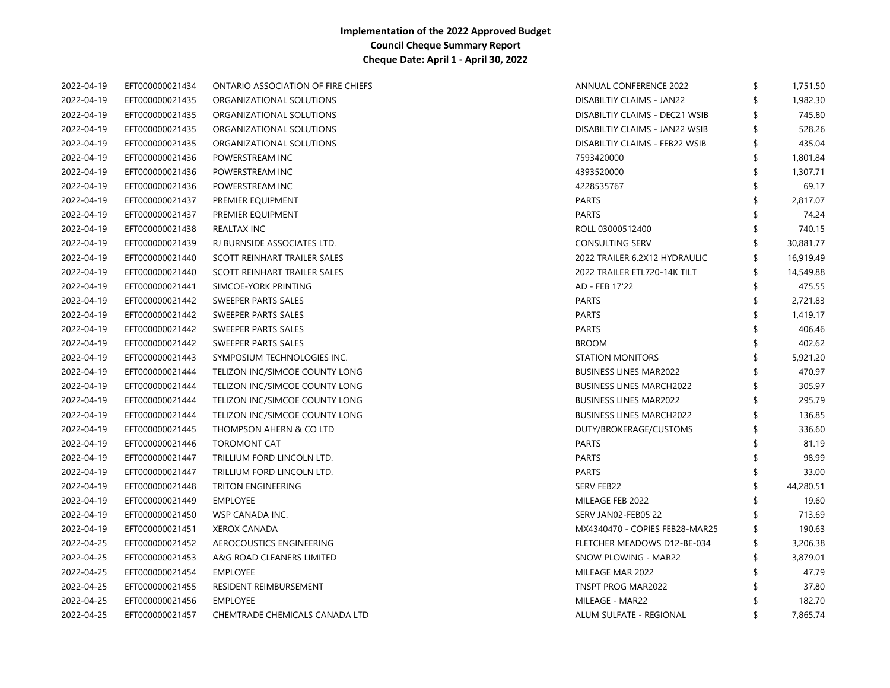| 2022-04-19 | EFT000000021434 | <b>ONTARIO ASSOCIATION OF FIRE CHIEFS</b> | ANNUAL CONFERENCE 2022          | \$<br>1,751.50 |
|------------|-----------------|-------------------------------------------|---------------------------------|----------------|
| 2022-04-19 | EFT000000021435 | ORGANIZATIONAL SOLUTIONS                  | DISABILTIY CLAIMS - JAN22       | 1,982.30       |
| 2022-04-19 | EFT000000021435 | ORGANIZATIONAL SOLUTIONS                  | DISABILTIY CLAIMS - DEC21 WSIB  | 745.80         |
| 2022-04-19 | EFT000000021435 | ORGANIZATIONAL SOLUTIONS                  | DISABILTIY CLAIMS - JAN22 WSIB  | 528.26         |
| 2022-04-19 | EFT000000021435 | ORGANIZATIONAL SOLUTIONS                  | DISABILTIY CLAIMS - FEB22 WSIB  | 435.04         |
| 2022-04-19 | EFT000000021436 | POWERSTREAM INC                           | 7593420000                      | 1,801.84       |
| 2022-04-19 | EFT000000021436 | POWERSTREAM INC                           | 4393520000                      | 1,307.71       |
| 2022-04-19 | EFT000000021436 | POWERSTREAM INC                           | 4228535767                      | 69.17          |
| 2022-04-19 | EFT000000021437 | PREMIER EQUIPMENT                         | <b>PARTS</b>                    | 2,817.07       |
| 2022-04-19 | EFT000000021437 | PREMIER EQUIPMENT                         | <b>PARTS</b>                    | 74.24          |
| 2022-04-19 | EFT000000021438 | REALTAX INC                               | ROLL 03000512400                | 740.15         |
| 2022-04-19 | EFT000000021439 | RJ BURNSIDE ASSOCIATES LTD.               | <b>CONSULTING SERV</b>          | 30,881.77      |
| 2022-04-19 | EFT000000021440 | SCOTT REINHART TRAILER SALES              | 2022 TRAILER 6.2X12 HYDRAULIC   | 16,919.49      |
| 2022-04-19 | EFT000000021440 | SCOTT REINHART TRAILER SALES              | 2022 TRAILER ETL720-14K TILT    | 14,549.88      |
| 2022-04-19 | EFT000000021441 | SIMCOE-YORK PRINTING                      | AD - FEB 17'22                  | 475.55         |
| 2022-04-19 | EFT000000021442 | SWEEPER PARTS SALES                       | <b>PARTS</b>                    | 2,721.83       |
| 2022-04-19 | EFT000000021442 | SWEEPER PARTS SALES                       | <b>PARTS</b>                    | 1,419.17       |
| 2022-04-19 | EFT000000021442 | SWEEPER PARTS SALES                       | <b>PARTS</b>                    | 406.46         |
| 2022-04-19 | EFT000000021442 | SWEEPER PARTS SALES                       | <b>BROOM</b>                    | 402.62         |
| 2022-04-19 | EFT000000021443 | SYMPOSIUM TECHNOLOGIES INC.               | <b>STATION MONITORS</b>         | 5,921.20       |
| 2022-04-19 | EFT000000021444 | TELIZON INC/SIMCOE COUNTY LONG            | <b>BUSINESS LINES MAR2022</b>   | 470.97         |
| 2022-04-19 | EFT000000021444 | TELIZON INC/SIMCOE COUNTY LONG            | <b>BUSINESS LINES MARCH2022</b> | 305.97         |
| 2022-04-19 | EFT000000021444 | TELIZON INC/SIMCOE COUNTY LONG            | <b>BUSINESS LINES MAR2022</b>   | 295.79         |
| 2022-04-19 | EFT000000021444 | TELIZON INC/SIMCOE COUNTY LONG            | <b>BUSINESS LINES MARCH2022</b> | 136.85         |
| 2022-04-19 | EFT000000021445 | THOMPSON AHERN & CO LTD                   | DUTY/BROKERAGE/CUSTOMS          | 336.60         |
| 2022-04-19 | EFT000000021446 | <b>TOROMONT CAT</b>                       | <b>PARTS</b>                    | 81.19          |
| 2022-04-19 | EFT000000021447 | TRILLIUM FORD LINCOLN LTD.                | <b>PARTS</b>                    | 98.99          |
| 2022-04-19 | EFT000000021447 | TRILLIUM FORD LINCOLN LTD.                | <b>PARTS</b>                    | 33.00          |
| 2022-04-19 | EFT000000021448 | TRITON ENGINEERING                        | <b>SERV FEB22</b>               | 44,280.51      |
| 2022-04-19 | EFT000000021449 | EMPLOYEE                                  | MILEAGE FEB 2022                | 19.60          |
| 2022-04-19 | EFT000000021450 | WSP CANADA INC.                           | SERV JANO2-FEB05'22             | 713.69         |
| 2022-04-19 | EFT000000021451 | <b>XEROX CANADA</b>                       | MX4340470 - COPIES FEB28-MAR25  | 190.63         |
| 2022-04-25 | EFT000000021452 | AEROCOUSTICS ENGINEERING                  | FLETCHER MEADOWS D12-BE-034     | 3,206.38       |
| 2022-04-25 | EFT000000021453 | A&G ROAD CLEANERS LIMITED                 | SNOW PLOWING - MAR22            | 3,879.01       |
| 2022-04-25 | EFT000000021454 | <b>EMPLOYEE</b>                           | MILEAGE MAR 2022                | 47.79          |
| 2022-04-25 | EFT000000021455 | RESIDENT REIMBURSEMENT                    | TNSPT PROG MAR2022              | 37.80          |
| 2022-04-25 | EFT000000021456 | <b>EMPLOYEE</b>                           | MILEAGE - MAR22                 | 182.70         |
| 2022-04-25 | EFT000000021457 | CHEMTRADE CHEMICALS CANADA LTD            | ALUM SULFATE - REGIONAL         | 7,865.74       |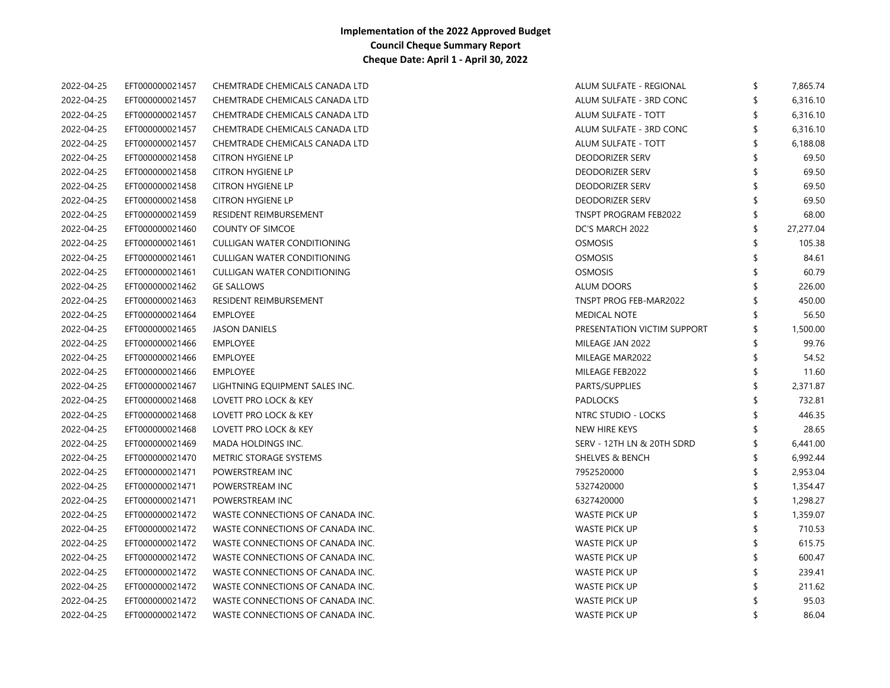| 2022-04-25 | EFT000000021457 | CHEMTRADE CHEMICALS CANADA LTD     | ALUM SULFATE - REGIONAL     | \$ | 7,865.74  |
|------------|-----------------|------------------------------------|-----------------------------|----|-----------|
| 2022-04-25 | EFT000000021457 | CHEMTRADE CHEMICALS CANADA LTD     | ALUM SULFATE - 3RD CONC     | \$ | 6,316.10  |
| 2022-04-25 | EFT000000021457 | CHEMTRADE CHEMICALS CANADA LTD     | ALUM SULFATE - TOTT         |    | 6,316.10  |
| 2022-04-25 | EFT000000021457 | CHEMTRADE CHEMICALS CANADA LTD     | ALUM SULFATE - 3RD CONC     |    | 6,316.10  |
| 2022-04-25 | EFT000000021457 | CHEMTRADE CHEMICALS CANADA LTD     | ALUM SULFATE - TOTT         |    | 6,188.08  |
| 2022-04-25 | EFT000000021458 | <b>CITRON HYGIENE LP</b>           | <b>DEODORIZER SERV</b>      |    | 69.50     |
| 2022-04-25 | EFT000000021458 | <b>CITRON HYGIENE LP</b>           | <b>DEODORIZER SERV</b>      |    | 69.50     |
| 2022-04-25 | EFT000000021458 | <b>CITRON HYGIENE LP</b>           | <b>DEODORIZER SERV</b>      |    | 69.50     |
| 2022-04-25 | EFT000000021458 | <b>CITRON HYGIENE LP</b>           | <b>DEODORIZER SERV</b>      |    | 69.50     |
| 2022-04-25 | EFT000000021459 | RESIDENT REIMBURSEMENT             | TNSPT PROGRAM FEB2022       |    | 68.00     |
| 2022-04-25 | EFT000000021460 | <b>COUNTY OF SIMCOE</b>            | DC'S MARCH 2022             | \$ | 27,277.04 |
| 2022-04-25 | EFT000000021461 | <b>CULLIGAN WATER CONDITIONING</b> | <b>OSMOSIS</b>              |    | 105.38    |
| 2022-04-25 | EFT000000021461 | <b>CULLIGAN WATER CONDITIONING</b> | <b>OSMOSIS</b>              |    | 84.61     |
| 2022-04-25 | EFT000000021461 | <b>CULLIGAN WATER CONDITIONING</b> | <b>OSMOSIS</b>              |    | 60.79     |
| 2022-04-25 | EFT000000021462 | <b>GE SALLOWS</b>                  | <b>ALUM DOORS</b>           |    | 226.00    |
| 2022-04-25 | EFT000000021463 | RESIDENT REIMBURSEMENT             | TNSPT PROG FEB-MAR2022      |    | 450.00    |
| 2022-04-25 | EFT000000021464 | <b>EMPLOYEE</b>                    | <b>MEDICAL NOTE</b>         |    | 56.50     |
| 2022-04-25 | EFT000000021465 | <b>JASON DANIELS</b>               | PRESENTATION VICTIM SUPPORT | \$ | 1,500.00  |
| 2022-04-25 | EFT000000021466 | <b>EMPLOYEE</b>                    | MILEAGE JAN 2022            |    | 99.76     |
| 2022-04-25 | EFT000000021466 | EMPLOYEE                           | MILEAGE MAR2022             |    | 54.52     |
| 2022-04-25 | EFT000000021466 | <b>EMPLOYEE</b>                    | MILEAGE FEB2022             | \$ | 11.60     |
| 2022-04-25 | EFT000000021467 | LIGHTNING EQUIPMENT SALES INC.     | PARTS/SUPPLIES              | \$ | 2,371.87  |
| 2022-04-25 | EFT000000021468 | LOVETT PRO LOCK & KEY              | <b>PADLOCKS</b>             |    | 732.81    |
| 2022-04-25 | EFT000000021468 | LOVETT PRO LOCK & KEY              | NTRC STUDIO - LOCKS         |    | 446.35    |
| 2022-04-25 | EFT000000021468 | LOVETT PRO LOCK & KEY              | NEW HIRE KEYS               |    | 28.65     |
| 2022-04-25 | EFT000000021469 | MADA HOLDINGS INC.                 | SERV - 12TH LN & 20TH SDRD  |    | 6,441.00  |
| 2022-04-25 | EFT000000021470 | METRIC STORAGE SYSTEMS             | <b>SHELVES &amp; BENCH</b>  |    | 6,992.44  |
| 2022-04-25 | EFT000000021471 | POWERSTREAM INC                    | 7952520000                  |    | 2,953.04  |
| 2022-04-25 | EFT000000021471 | POWERSTREAM INC                    | 5327420000                  |    | 1,354.47  |
| 2022-04-25 | EFT000000021471 | POWERSTREAM INC                    | 6327420000                  |    | 1,298.27  |
| 2022-04-25 | EFT000000021472 | WASTE CONNECTIONS OF CANADA INC.   | WASTE PICK UP               |    | 1,359.07  |
| 2022-04-25 | EFT000000021472 | WASTE CONNECTIONS OF CANADA INC.   | WASTE PICK UP               |    | 710.53    |
| 2022-04-25 | EFT000000021472 | WASTE CONNECTIONS OF CANADA INC.   | <b>WASTE PICK UP</b>        |    | 615.75    |
| 2022-04-25 | EFT000000021472 | WASTE CONNECTIONS OF CANADA INC.   | <b>WASTE PICK UP</b>        |    | 600.47    |
| 2022-04-25 | EFT000000021472 | WASTE CONNECTIONS OF CANADA INC.   | WASTE PICK UP               |    | 239.41    |
| 2022-04-25 | EFT000000021472 | WASTE CONNECTIONS OF CANADA INC.   | WASTE PICK UP               |    | 211.62    |
| 2022-04-25 | EFT000000021472 | WASTE CONNECTIONS OF CANADA INC.   | WASTE PICK UP               |    | 95.03     |
| 2022-04-25 | EFT000000021472 | WASTE CONNECTIONS OF CANADA INC.   | <b>WASTE PICK UP</b>        | ≮  | 86.04     |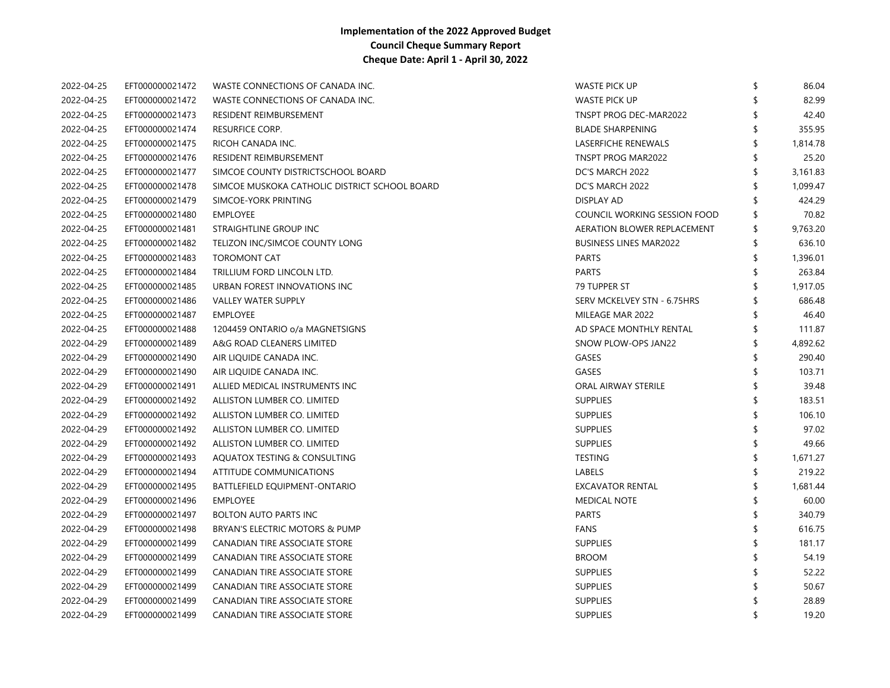| 2022-04-25 | EFT000000021472 | WASTE CONNECTIONS OF CANADA INC.              | <b>WASTE PICK UP</b>          | 86.04          |
|------------|-----------------|-----------------------------------------------|-------------------------------|----------------|
| 2022-04-25 | EFT000000021472 | WASTE CONNECTIONS OF CANADA INC.              | <b>WASTE PICK UP</b>          | 82.99          |
| 2022-04-25 | EFT000000021473 | RESIDENT REIMBURSEMENT                        | TNSPT PROG DEC-MAR2022        | 42.40          |
| 2022-04-25 | EFT000000021474 | RESURFICE CORP.                               | <b>BLADE SHARPENING</b>       | 355.95         |
| 2022-04-25 | EFT000000021475 | RICOH CANADA INC.                             | LASERFICHE RENEWALS           | 1,814.78       |
| 2022-04-25 | EFT000000021476 | RESIDENT REIMBURSEMENT                        | TNSPT PROG MAR2022            | 25.20          |
| 2022-04-25 | EFT000000021477 | SIMCOE COUNTY DISTRICTSCHOOL BOARD            | DC'S MARCH 2022               | 3,161.83       |
| 2022-04-25 | EFT000000021478 | SIMCOE MUSKOKA CATHOLIC DISTRICT SCHOOL BOARD | DC'S MARCH 2022               | 1,099.47       |
| 2022-04-25 | EFT000000021479 | SIMCOE-YORK PRINTING                          | <b>DISPLAY AD</b>             | 424.29         |
| 2022-04-25 | EFT000000021480 | <b>EMPLOYEE</b>                               | COUNCIL WORKING SESSION FOOD  | 70.82          |
| 2022-04-25 | EFT000000021481 | STRAIGHTLINE GROUP INC                        | AERATION BLOWER REPLACEMENT   | \$<br>9,763.20 |
| 2022-04-25 | EFT000000021482 | TELIZON INC/SIMCOE COUNTY LONG                | <b>BUSINESS LINES MAR2022</b> | \$<br>636.10   |
| 2022-04-25 | EFT000000021483 | <b>TOROMONT CAT</b>                           | <b>PARTS</b>                  | 1,396.01       |
| 2022-04-25 | EFT000000021484 | TRILLIUM FORD LINCOLN LTD.                    | <b>PARTS</b>                  | 263.84         |
| 2022-04-25 | EFT000000021485 | URBAN FOREST INNOVATIONS INC                  | 79 TUPPER ST                  | 1,917.05       |
| 2022-04-25 | EFT000000021486 | <b>VALLEY WATER SUPPLY</b>                    | SERV MCKELVEY STN - 6.75HRS   | 686.48         |
| 2022-04-25 | EFT000000021487 | <b>EMPLOYEE</b>                               | MILEAGE MAR 2022              | 46.40          |
| 2022-04-25 | EFT000000021488 | 1204459 ONTARIO o/a MAGNETSIGNS               | AD SPACE MONTHLY RENTAL       | \$<br>111.87   |
| 2022-04-29 | EFT000000021489 | A&G ROAD CLEANERS LIMITED                     | SNOW PLOW-OPS JAN22           | 4,892.62       |
| 2022-04-29 | EFT000000021490 | AIR LIQUIDE CANADA INC.                       | GASES                         | 290.40         |
| 2022-04-29 | EFT000000021490 | AIR LIQUIDE CANADA INC.                       | GASES                         | 103.71         |
| 2022-04-29 | EFT000000021491 | ALLIED MEDICAL INSTRUMENTS INC                | <b>ORAL AIRWAY STERILE</b>    | 39.48          |
| 2022-04-29 | EFT000000021492 | ALLISTON LUMBER CO. LIMITED                   | <b>SUPPLIES</b>               | 183.51         |
| 2022-04-29 | EFT000000021492 | ALLISTON LUMBER CO. LIMITED                   | <b>SUPPLIES</b>               | 106.10         |
| 2022-04-29 | EFT000000021492 | ALLISTON LUMBER CO. LIMITED                   | <b>SUPPLIES</b>               | 97.02          |
| 2022-04-29 | EFT000000021492 | ALLISTON LUMBER CO. LIMITED                   | <b>SUPPLIES</b>               | 49.66          |
| 2022-04-29 | EFT000000021493 | AQUATOX TESTING & CONSULTING                  | <b>TESTING</b>                | 1,671.27       |
| 2022-04-29 | EFT000000021494 | ATTITUDE COMMUNICATIONS                       | LABELS                        | 219.22         |
| 2022-04-29 | EFT000000021495 | BATTLEFIELD EQUIPMENT-ONTARIO                 | <b>EXCAVATOR RENTAL</b>       | 1,681.44       |
| 2022-04-29 | EFT000000021496 | <b>EMPLOYEE</b>                               | <b>MEDICAL NOTE</b>           | 60.00          |
| 2022-04-29 | EFT000000021497 | <b>BOLTON AUTO PARTS INC</b>                  | <b>PARTS</b>                  | 340.79         |
| 2022-04-29 | EFT000000021498 | BRYAN'S ELECTRIC MOTORS & PUMP                | <b>FANS</b>                   | 616.75         |
| 2022-04-29 | EFT000000021499 | CANADIAN TIRE ASSOCIATE STORE                 | <b>SUPPLIES</b>               | 181.17         |
| 2022-04-29 | EFT000000021499 | CANADIAN TIRE ASSOCIATE STORE                 | <b>BROOM</b>                  | 54.19          |
| 2022-04-29 | EFT000000021499 | CANADIAN TIRE ASSOCIATE STORE                 | <b>SUPPLIES</b>               | \$<br>52.22    |
| 2022-04-29 | EFT000000021499 | CANADIAN TIRE ASSOCIATE STORE                 | <b>SUPPLIES</b>               | 50.67          |
| 2022-04-29 | EFT000000021499 | CANADIAN TIRE ASSOCIATE STORE                 | <b>SUPPLIES</b>               | 28.89          |
| 2022-04-29 | EFT000000021499 | CANADIAN TIRE ASSOCIATE STORE                 | <b>SUPPLIES</b>               | \$<br>19.20    |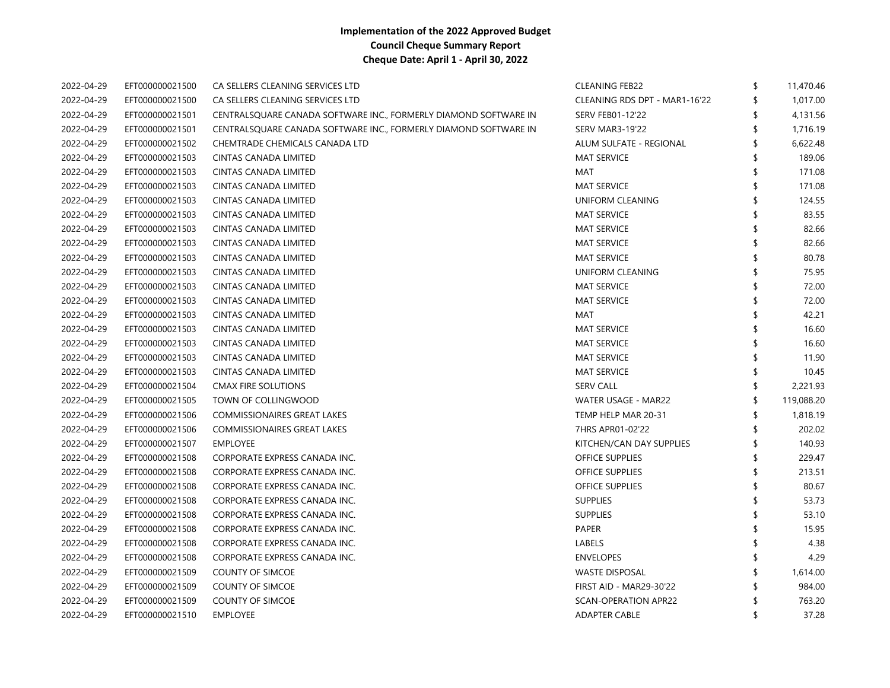| 2022-04-29 | EFT000000021500 | CA SELLERS CLEANING SERVICES LTD                                 | <b>CLEANING FEB22</b>         | \$  | 11,470.46  |
|------------|-----------------|------------------------------------------------------------------|-------------------------------|-----|------------|
| 2022-04-29 | EFT000000021500 | CA SELLERS CLEANING SERVICES LTD                                 | CLEANING RDS DPT - MAR1-16'22 |     | 1,017.00   |
| 2022-04-29 | EFT000000021501 | CENTRALSQUARE CANADA SOFTWARE INC., FORMERLY DIAMOND SOFTWARE IN | <b>SERV FEB01-12'22</b>       | \$  | 4,131.56   |
| 2022-04-29 | EFT000000021501 | CENTRALSQUARE CANADA SOFTWARE INC., FORMERLY DIAMOND SOFTWARE IN | <b>SERV MAR3-19'22</b>        |     | 1,716.19   |
| 2022-04-29 | EFT000000021502 | CHEMTRADE CHEMICALS CANADA LTD                                   | ALUM SULFATE - REGIONAL       |     | 6,622.48   |
| 2022-04-29 | EFT000000021503 | CINTAS CANADA LIMITED                                            | <b>MAT SERVICE</b>            |     | 189.06     |
| 2022-04-29 | EFT000000021503 | CINTAS CANADA LIMITED                                            | MAT                           |     | 171.08     |
| 2022-04-29 | EFT000000021503 | CINTAS CANADA LIMITED                                            | <b>MAT SERVICE</b>            |     | 171.08     |
| 2022-04-29 | EFT000000021503 | CINTAS CANADA LIMITED                                            | UNIFORM CLEANING              |     | 124.55     |
| 2022-04-29 | EFT000000021503 | CINTAS CANADA LIMITED                                            | <b>MAT SERVICE</b>            |     | 83.55      |
| 2022-04-29 | EFT000000021503 | CINTAS CANADA LIMITED                                            | <b>MAT SERVICE</b>            |     | 82.66      |
| 2022-04-29 | EFT000000021503 | CINTAS CANADA LIMITED                                            | <b>MAT SERVICE</b>            |     | 82.66      |
| 2022-04-29 | EFT000000021503 | CINTAS CANADA LIMITED                                            | <b>MAT SERVICE</b>            |     | 80.78      |
| 2022-04-29 | EFT000000021503 | CINTAS CANADA LIMITED                                            | UNIFORM CLEANING              | \$  | 75.95      |
| 2022-04-29 | EFT000000021503 | CINTAS CANADA LIMITED                                            | <b>MAT SERVICE</b>            | \$  | 72.00      |
| 2022-04-29 | EFT000000021503 | <b>CINTAS CANADA LIMITED</b>                                     | <b>MAT SERVICE</b>            | \$  | 72.00      |
| 2022-04-29 | EFT000000021503 | CINTAS CANADA LIMITED                                            | MAT                           |     | 42.21      |
| 2022-04-29 | EFT000000021503 | CINTAS CANADA LIMITED                                            | <b>MAT SERVICE</b>            |     | 16.60      |
| 2022-04-29 | EFT000000021503 | CINTAS CANADA LIMITED                                            | <b>MAT SERVICE</b>            | \$. | 16.60      |
| 2022-04-29 | EFT000000021503 | CINTAS CANADA LIMITED                                            | <b>MAT SERVICE</b>            |     | 11.90      |
| 2022-04-29 | EFT000000021503 | CINTAS CANADA LIMITED                                            | <b>MAT SERVICE</b>            |     | 10.45      |
| 2022-04-29 | EFT000000021504 | <b>CMAX FIRE SOLUTIONS</b>                                       | <b>SERV CALL</b>              | \$  | 2,221.93   |
| 2022-04-29 | EFT000000021505 | TOWN OF COLLINGWOOD                                              | WATER USAGE - MAR22           | \$  | 119,088.20 |
| 2022-04-29 | EFT000000021506 | <b>COMMISSIONAIRES GREAT LAKES</b>                               | TEMP HELP MAR 20-31           | \$. | 1,818.19   |
| 2022-04-29 | EFT000000021506 | <b>COMMISSIONAIRES GREAT LAKES</b>                               | 7HRS APR01-02'22              |     | 202.02     |
| 2022-04-29 | EFT000000021507 | <b>EMPLOYEE</b>                                                  | KITCHEN/CAN DAY SUPPLIES      | \$  | 140.93     |
| 2022-04-29 | EFT000000021508 | CORPORATE EXPRESS CANADA INC.                                    | <b>OFFICE SUPPLIES</b>        | \$  | 229.47     |
| 2022-04-29 | EFT000000021508 | CORPORATE EXPRESS CANADA INC.                                    | <b>OFFICE SUPPLIES</b>        | \$  | 213.51     |
| 2022-04-29 | EFT000000021508 | CORPORATE EXPRESS CANADA INC.                                    | <b>OFFICE SUPPLIES</b>        | \$  | 80.67      |
| 2022-04-29 | EFT000000021508 | CORPORATE EXPRESS CANADA INC.                                    | <b>SUPPLIES</b>               | \$  | 53.73      |
| 2022-04-29 | EFT000000021508 | CORPORATE EXPRESS CANADA INC.                                    | <b>SUPPLIES</b>               | \$. | 53.10      |
| 2022-04-29 | EFT000000021508 | CORPORATE EXPRESS CANADA INC.                                    | PAPER                         |     | 15.95      |
| 2022-04-29 | EFT000000021508 | CORPORATE EXPRESS CANADA INC.                                    | LABELS                        |     | 4.38       |
| 2022-04-29 | EFT000000021508 | CORPORATE EXPRESS CANADA INC.                                    | <b>ENVELOPES</b>              |     | 4.29       |
| 2022-04-29 | EFT000000021509 | <b>COUNTY OF SIMCOE</b>                                          | <b>WASTE DISPOSAL</b>         |     | 1,614.00   |
| 2022-04-29 | EFT000000021509 | <b>COUNTY OF SIMCOE</b>                                          | FIRST AID - MAR29-30'22       |     | 984.00     |
| 2022-04-29 | EFT000000021509 | <b>COUNTY OF SIMCOE</b>                                          | <b>SCAN-OPERATION APR22</b>   |     | 763.20     |
| 2022-04-29 | EFT000000021510 | <b>EMPLOYEE</b>                                                  | <b>ADAPTER CABLE</b>          | \$  | 37.28      |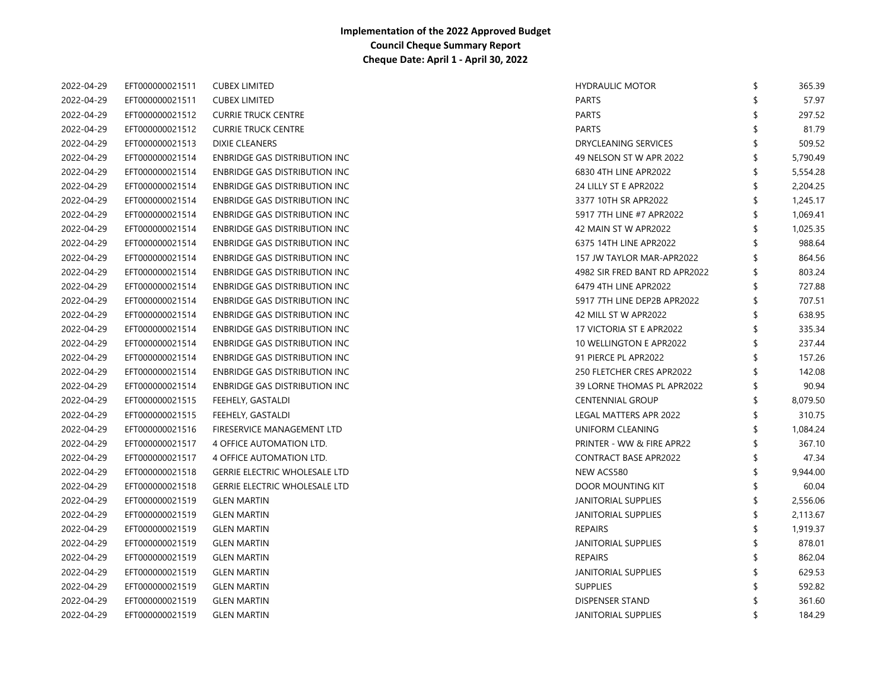| 2022-04-29 | EFT000000021511 | <b>CUBEX LIMITED</b>                 | <b>HYDRAULIC MOTOR</b>        | \$<br>365.39   |
|------------|-----------------|--------------------------------------|-------------------------------|----------------|
| 2022-04-29 | EFT000000021511 | <b>CUBEX LIMITED</b>                 | <b>PARTS</b>                  | 57.97          |
| 2022-04-29 | EFT000000021512 | <b>CURRIE TRUCK CENTRE</b>           | PARTS                         | \$<br>297.52   |
| 2022-04-29 | EFT000000021512 | <b>CURRIE TRUCK CENTRE</b>           | <b>PARTS</b>                  | \$<br>81.79    |
| 2022-04-29 | EFT000000021513 | <b>DIXIE CLEANERS</b>                | <b>DRYCLEANING SERVICES</b>   | 509.52         |
| 2022-04-29 | EFT000000021514 | <b>ENBRIDGE GAS DISTRIBUTION INC</b> | 49 NELSON ST W APR 2022       | \$<br>5,790.49 |
| 2022-04-29 | EFT000000021514 | <b>ENBRIDGE GAS DISTRIBUTION INC</b> | 6830 4TH LINE APR2022         | \$<br>5,554.28 |
| 2022-04-29 | EFT000000021514 | ENBRIDGE GAS DISTRIBUTION INC        | 24 LILLY ST E APR2022         | \$<br>2,204.25 |
| 2022-04-29 | EFT000000021514 | <b>ENBRIDGE GAS DISTRIBUTION INC</b> | 3377 10TH SR APR2022          | \$<br>1,245.17 |
| 2022-04-29 | EFT000000021514 | <b>ENBRIDGE GAS DISTRIBUTION INC</b> | 5917 7TH LINE #7 APR2022      | \$<br>1,069.41 |
| 2022-04-29 | EFT000000021514 | ENBRIDGE GAS DISTRIBUTION INC        | 42 MAIN ST W APR2022          | \$<br>1,025.35 |
| 2022-04-29 | EFT000000021514 | <b>ENBRIDGE GAS DISTRIBUTION INC</b> | 6375 14TH LINE APR2022        | \$<br>988.64   |
| 2022-04-29 | EFT000000021514 | <b>ENBRIDGE GAS DISTRIBUTION INC</b> | 157 JW TAYLOR MAR-APR2022     | \$<br>864.56   |
| 2022-04-29 | EFT000000021514 | <b>ENBRIDGE GAS DISTRIBUTION INC</b> | 4982 SIR FRED BANT RD APR2022 | \$<br>803.24   |
| 2022-04-29 | EFT000000021514 | ENBRIDGE GAS DISTRIBUTION INC        | 6479 4TH LINE APR2022         | \$<br>727.88   |
| 2022-04-29 | EFT000000021514 | <b>ENBRIDGE GAS DISTRIBUTION INC</b> | 5917 7TH LINE DEP2B APR2022   | \$<br>707.51   |
| 2022-04-29 | EFT000000021514 | <b>ENBRIDGE GAS DISTRIBUTION INC</b> | 42 MILL ST W APR2022          | \$<br>638.95   |
| 2022-04-29 | EFT000000021514 | ENBRIDGE GAS DISTRIBUTION INC        | 17 VICTORIA ST E APR2022      | \$<br>335.34   |
| 2022-04-29 | EFT000000021514 | <b>ENBRIDGE GAS DISTRIBUTION INC</b> | 10 WELLINGTON E APR2022       | \$<br>237.44   |
| 2022-04-29 | EFT000000021514 | <b>ENBRIDGE GAS DISTRIBUTION INC</b> | 91 PIERCE PL APR2022          | \$<br>157.26   |
| 2022-04-29 | EFT000000021514 | <b>ENBRIDGE GAS DISTRIBUTION INC</b> | 250 FLETCHER CRES APR2022     | \$<br>142.08   |
| 2022-04-29 | EFT000000021514 | <b>ENBRIDGE GAS DISTRIBUTION INC</b> | 39 LORNE THOMAS PL APR2022    | \$<br>90.94    |
| 2022-04-29 | EFT000000021515 | FEEHELY, GASTALDI                    | <b>CENTENNIAL GROUP</b>       | \$<br>8,079.50 |
| 2022-04-29 | EFT000000021515 | FEEHELY, GASTALDI                    | <b>LEGAL MATTERS APR 2022</b> | \$<br>310.75   |
| 2022-04-29 | EFT000000021516 | FIRESERVICE MANAGEMENT LTD           | UNIFORM CLEANING              | \$<br>1,084.24 |
| 2022-04-29 | EFT000000021517 | 4 OFFICE AUTOMATION LTD.             | PRINTER - WW & FIRE APR22     | \$<br>367.10   |
| 2022-04-29 | EFT000000021517 | 4 OFFICE AUTOMATION LTD.             | <b>CONTRACT BASE APR2022</b>  | \$<br>47.34    |
| 2022-04-29 | EFT000000021518 | <b>GERRIE ELECTRIC WHOLESALE LTD</b> | NEW ACS580                    | \$<br>9,944.00 |
| 2022-04-29 | EFT000000021518 | <b>GERRIE ELECTRIC WHOLESALE LTD</b> | DOOR MOUNTING KIT             | \$<br>60.04    |
| 2022-04-29 | EFT000000021519 | <b>GLEN MARTIN</b>                   | JANITORIAL SUPPLIES           | \$<br>2,556.06 |
| 2022-04-29 | EFT000000021519 | <b>GLEN MARTIN</b>                   | <b>JANITORIAL SUPPLIES</b>    | \$<br>2,113.67 |
| 2022-04-29 | EFT000000021519 | <b>GLEN MARTIN</b>                   | <b>REPAIRS</b>                | \$<br>1,919.37 |
| 2022-04-29 | EFT000000021519 | <b>GLEN MARTIN</b>                   | JANITORIAL SUPPLIES           | \$<br>878.01   |
| 2022-04-29 | EFT000000021519 | <b>GLEN MARTIN</b>                   | <b>REPAIRS</b>                | \$<br>862.04   |
| 2022-04-29 | EFT000000021519 | <b>GLEN MARTIN</b>                   | <b>JANITORIAL SUPPLIES</b>    | 629.53         |
| 2022-04-29 | EFT000000021519 | <b>GLEN MARTIN</b>                   | <b>SUPPLIES</b>               | 592.82         |
| 2022-04-29 | EFT000000021519 | <b>GLEN MARTIN</b>                   | DISPENSER STAND               | 361.60         |
| 2022-04-29 | EFT000000021519 | <b>GLEN MARTIN</b>                   | <b>JANITORIAL SUPPLIES</b>    | \$<br>184.29   |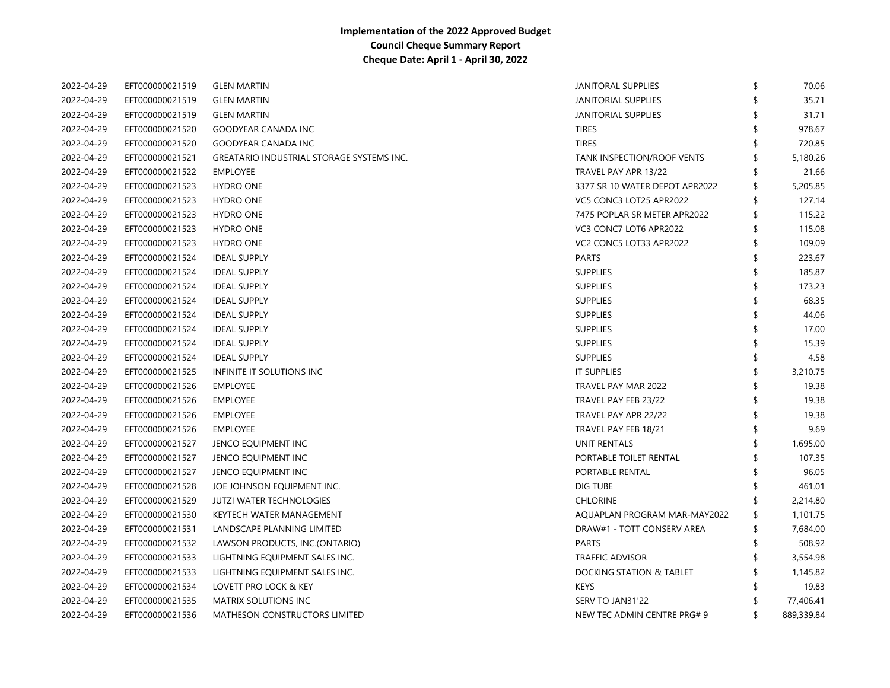| 2022-04-29 | EFT000000021519 | <b>GLEN MARTIN</b>                                       | JANITORAL SUPPLIES<br>\$             | 70.06      |
|------------|-----------------|----------------------------------------------------------|--------------------------------------|------------|
| 2022-04-29 | EFT000000021519 | <b>GLEN MARTIN</b>                                       | <b>JANITORIAL SUPPLIES</b>           | 35.71      |
| 2022-04-29 | EFT000000021519 | <b>GLEN MARTIN</b>                                       | JANITORIAL SUPPLIES                  | 31.71      |
| 2022-04-29 | EFT000000021520 | <b>TIRES</b><br><b>GOODYEAR CANADA INC</b>               |                                      | 978.67     |
| 2022-04-29 | EFT000000021520 | <b>TIRES</b><br><b>GOODYEAR CANADA INC</b>               |                                      | 720.85     |
| 2022-04-29 | EFT000000021521 | <b>GREATARIO INDUSTRIAL STORAGE SYSTEMS INC.</b>         | TANK INSPECTION/ROOF VENTS           | 5,180.26   |
| 2022-04-29 | EFT000000021522 | <b>EMPLOYEE</b>                                          | TRAVEL PAY APR 13/22<br>S            | 21.66      |
| 2022-04-29 | EFT000000021523 | <b>HYDRO ONE</b>                                         | 3377 SR 10 WATER DEPOT APR2022<br>\$ | 5,205.85   |
| 2022-04-29 | EFT000000021523 | <b>HYDRO ONE</b>                                         | VC5 CONC3 LOT25 APR2022<br>\$        | 127.14     |
| 2022-04-29 | EFT000000021523 | <b>HYDRO ONE</b>                                         | 7475 POPLAR SR METER APR2022<br>\$   | 115.22     |
| 2022-04-29 | EFT000000021523 | <b>HYDRO ONE</b>                                         | VC3 CONC7 LOT6 APR2022<br>\$         | 115.08     |
| 2022-04-29 | EFT000000021523 | <b>HYDRO ONE</b>                                         | VC2 CONC5 LOT33 APR2022<br>\$        | 109.09     |
| 2022-04-29 | EFT000000021524 | <b>PARTS</b><br><b>IDEAL SUPPLY</b>                      | \$                                   | 223.67     |
| 2022-04-29 | EFT000000021524 | <b>SUPPLIES</b><br><b>IDEAL SUPPLY</b>                   | \$                                   | 185.87     |
| 2022-04-29 | EFT000000021524 | <b>SUPPLIES</b><br><b>IDEAL SUPPLY</b>                   | \$                                   | 173.23     |
| 2022-04-29 | EFT000000021524 | <b>SUPPLIES</b><br><b>IDEAL SUPPLY</b>                   |                                      | 68.35      |
| 2022-04-29 | EFT000000021524 | <b>SUPPLIES</b><br><b>IDEAL SUPPLY</b>                   |                                      | 44.06      |
| 2022-04-29 | EFT000000021524 | <b>IDEAL SUPPLY</b><br><b>SUPPLIES</b>                   |                                      | 17.00      |
| 2022-04-29 | EFT000000021524 | <b>IDEAL SUPPLY</b><br><b>SUPPLIES</b>                   |                                      | 15.39      |
| 2022-04-29 | EFT000000021524 | <b>IDEAL SUPPLY</b><br><b>SUPPLIES</b>                   |                                      | 4.58       |
| 2022-04-29 | EFT000000021525 | INFINITE IT SOLUTIONS INC<br><b>IT SUPPLIES</b>          | \$                                   | 3,210.75   |
| 2022-04-29 | EFT000000021526 | <b>EMPLOYEE</b>                                          | TRAVEL PAY MAR 2022                  | 19.38      |
| 2022-04-29 | EFT000000021526 | <b>EMPLOYEE</b>                                          | TRAVEL PAY FEB 23/22                 | 19.38      |
| 2022-04-29 | EFT000000021526 | <b>EMPLOYEE</b>                                          | TRAVEL PAY APR 22/22                 | 19.38      |
| 2022-04-29 | EFT000000021526 | <b>EMPLOYEE</b>                                          | TRAVEL PAY FEB 18/21                 | 9.69       |
| 2022-04-29 | EFT000000021527 | UNIT RENTALS<br>JENCO EQUIPMENT INC                      |                                      | 1,695.00   |
| 2022-04-29 | EFT000000021527 | JENCO EQUIPMENT INC                                      | PORTABLE TOILET RENTAL               | 107.35     |
| 2022-04-29 | EFT000000021527 | PORTABLE RENTAL<br>JENCO EQUIPMENT INC                   |                                      | 96.05      |
| 2022-04-29 | EFT000000021528 | DIG TUBE<br>JOE JOHNSON EQUIPMENT INC.                   |                                      | 461.01     |
| 2022-04-29 | EFT000000021529 | JUTZI WATER TECHNOLOGIES<br><b>CHLORINE</b>              |                                      | 2,214.80   |
| 2022-04-29 | EFT000000021530 | KEYTECH WATER MANAGEMENT                                 | AQUAPLAN PROGRAM MAR-MAY2022<br>\$   | 1,101.75   |
| 2022-04-29 | EFT000000021531 | LANDSCAPE PLANNING LIMITED                               | DRAW#1 - TOTT CONSERV AREA<br>\$     | 7,684.00   |
| 2022-04-29 | EFT000000021532 | <b>PARTS</b><br>LAWSON PRODUCTS, INC.(ONTARIO)           |                                      | 508.92     |
| 2022-04-29 | EFT000000021533 | LIGHTNING EQUIPMENT SALES INC.<br><b>TRAFFIC ADVISOR</b> |                                      | 3,554.98   |
| 2022-04-29 | EFT000000021533 | LIGHTNING EQUIPMENT SALES INC.                           | <b>DOCKING STATION &amp; TABLET</b>  | 1,145.82   |
| 2022-04-29 | EFT000000021534 | <b>KEYS</b><br>LOVETT PRO LOCK & KEY                     |                                      | 19.83      |
| 2022-04-29 | EFT000000021535 | <b>MATRIX SOLUTIONS INC</b><br>SERV TO JAN31'22          |                                      | 77,406.41  |
| 2022-04-29 | EFT000000021536 | MATHESON CONSTRUCTORS LIMITED                            | NEW TEC ADMIN CENTRE PRG# 9<br>S     | 889,339.84 |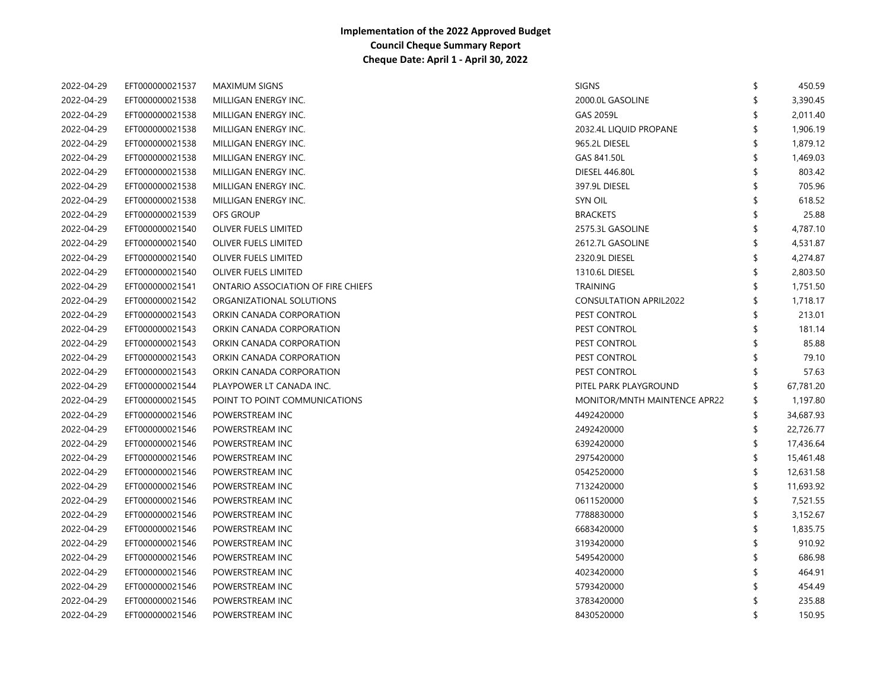| 2022-04-29 | EFT000000021537 | <b>MAXIMUM SIGNS</b>               | <b>SIGNS</b>                  | \$<br>450.59    |
|------------|-----------------|------------------------------------|-------------------------------|-----------------|
| 2022-04-29 | EFT000000021538 | MILLIGAN ENERGY INC.               | 2000.0L GASOLINE              | \$<br>3,390.45  |
| 2022-04-29 | EFT000000021538 | MILLIGAN ENERGY INC.               | GAS 2059L                     | 2,011.40        |
| 2022-04-29 | EFT000000021538 | MILLIGAN ENERGY INC.               | 2032.4L LIQUID PROPANE        | 1,906.19        |
| 2022-04-29 | EFT000000021538 | MILLIGAN ENERGY INC.               | 965.2L DIESEL                 | \$<br>1,879.12  |
| 2022-04-29 | EFT000000021538 | MILLIGAN ENERGY INC.               | GAS 841.50L                   | \$<br>1,469.03  |
| 2022-04-29 | EFT000000021538 | MILLIGAN ENERGY INC.               | <b>DIESEL 446.80L</b>         | \$<br>803.42    |
| 2022-04-29 | EFT000000021538 | MILLIGAN ENERGY INC.               | 397.9L DIESEL                 | \$<br>705.96    |
| 2022-04-29 | EFT000000021538 | MILLIGAN ENERGY INC.               | <b>SYN OIL</b>                | \$<br>618.52    |
| 2022-04-29 | EFT000000021539 | <b>OFS GROUP</b>                   | <b>BRACKETS</b>               | 25.88           |
| 2022-04-29 | EFT000000021540 | OLIVER FUELS LIMITED               | 2575.3L GASOLINE              | \$<br>4,787.10  |
| 2022-04-29 | EFT000000021540 | <b>OLIVER FUELS LIMITED</b>        | 2612.7L GASOLINE              | \$<br>4,531.87  |
| 2022-04-29 | EFT000000021540 | OLIVER FUELS LIMITED               | 2320.9L DIESEL                | 4,274.87        |
| 2022-04-29 | EFT000000021540 | OLIVER FUELS LIMITED               | 1310.6L DIESEL                | \$<br>2,803.50  |
| 2022-04-29 | EFT000000021541 | ONTARIO ASSOCIATION OF FIRE CHIEFS | <b>TRAINING</b>               | 1,751.50        |
| 2022-04-29 | EFT000000021542 | ORGANIZATIONAL SOLUTIONS           | <b>CONSULTATION APRIL2022</b> | \$<br>1,718.17  |
| 2022-04-29 | EFT000000021543 | ORKIN CANADA CORPORATION           | PEST CONTROL                  | 213.01          |
| 2022-04-29 | EFT000000021543 | ORKIN CANADA CORPORATION           | PEST CONTROL                  | \$<br>181.14    |
| 2022-04-29 | EFT000000021543 | ORKIN CANADA CORPORATION           | PEST CONTROL                  | \$<br>85.88     |
| 2022-04-29 | EFT000000021543 | ORKIN CANADA CORPORATION           | PEST CONTROL                  | \$<br>79.10     |
| 2022-04-29 | EFT000000021543 | ORKIN CANADA CORPORATION           | PEST CONTROL                  | \$<br>57.63     |
| 2022-04-29 | EFT000000021544 | PLAYPOWER LT CANADA INC.           | PITEL PARK PLAYGROUND         | \$<br>67,781.20 |
| 2022-04-29 | EFT000000021545 | POINT TO POINT COMMUNICATIONS      | MONITOR/MNTH MAINTENCE APR22  | \$<br>1,197.80  |
| 2022-04-29 | EFT000000021546 | POWERSTREAM INC                    | 4492420000                    | \$<br>34,687.93 |
| 2022-04-29 | EFT000000021546 | POWERSTREAM INC                    | 2492420000                    | \$<br>22,726.77 |
| 2022-04-29 | EFT000000021546 | POWERSTREAM INC                    | 6392420000                    | \$<br>17,436.64 |
| 2022-04-29 | EFT000000021546 | POWERSTREAM INC                    | 2975420000                    | \$<br>15,461.48 |
| 2022-04-29 | EFT000000021546 | POWERSTREAM INC                    | 0542520000                    | \$<br>12,631.58 |
| 2022-04-29 | EFT000000021546 | POWERSTREAM INC                    | 7132420000                    | \$<br>11,693.92 |
| 2022-04-29 | EFT000000021546 | POWERSTREAM INC                    | 0611520000                    | \$<br>7,521.55  |
| 2022-04-29 | EFT000000021546 | POWERSTREAM INC                    | 7788830000                    | \$<br>3,152.67  |
| 2022-04-29 | EFT000000021546 | POWERSTREAM INC                    | 6683420000                    | \$<br>1,835.75  |
| 2022-04-29 | EFT000000021546 | POWERSTREAM INC                    | 3193420000                    | \$<br>910.92    |
| 2022-04-29 | EFT000000021546 | POWERSTREAM INC                    | 5495420000                    | \$<br>686.98    |
| 2022-04-29 | EFT000000021546 | POWERSTREAM INC                    | 4023420000                    | \$<br>464.91    |
| 2022-04-29 | EFT000000021546 | POWERSTREAM INC                    | 5793420000                    | 454.49          |
| 2022-04-29 | EFT000000021546 | POWERSTREAM INC                    | 3783420000                    | 235.88          |
| 2022-04-29 | EFT000000021546 | POWERSTREAM INC                    | 8430520000                    | \$<br>150.95    |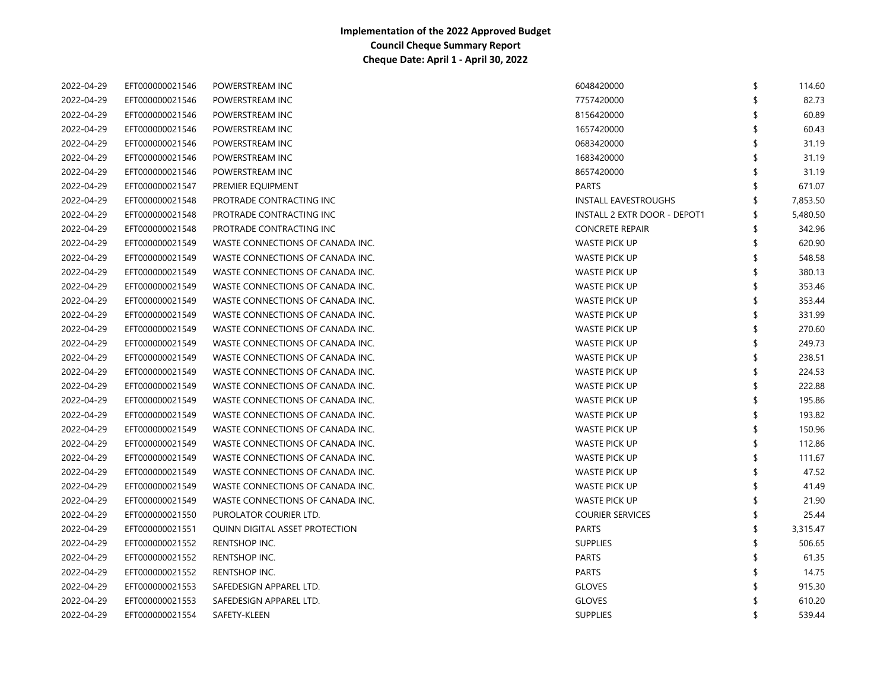| 2022-04-29 | EFT000000021546 | POWERSTREAM INC                  | 6048420000                   | ß.  | 114.60   |
|------------|-----------------|----------------------------------|------------------------------|-----|----------|
| 2022-04-29 | EFT000000021546 | POWERSTREAM INC                  | 7757420000                   |     | 82.73    |
| 2022-04-29 | EFT000000021546 | POWERSTREAM INC                  | 8156420000                   |     | 60.89    |
| 2022-04-29 | EFT000000021546 | POWERSTREAM INC                  | 1657420000                   |     | 60.43    |
| 2022-04-29 | EFT000000021546 | POWERSTREAM INC                  | 0683420000                   |     | 31.19    |
| 2022-04-29 | EFT000000021546 | POWERSTREAM INC                  | 1683420000                   |     | 31.19    |
| 2022-04-29 | EFT000000021546 | POWERSTREAM INC                  | 8657420000                   |     | 31.19    |
| 2022-04-29 | EFT000000021547 | PREMIER EQUIPMENT                | <b>PARTS</b>                 |     | 671.07   |
| 2022-04-29 | EFT000000021548 | PROTRADE CONTRACTING INC         | INSTALL EAVESTROUGHS         |     | 7,853.50 |
| 2022-04-29 | EFT000000021548 | PROTRADE CONTRACTING INC         | INSTALL 2 EXTR DOOR - DEPOT1 | \$  | 5,480.50 |
| 2022-04-29 | EFT000000021548 | PROTRADE CONTRACTING INC         | <b>CONCRETE REPAIR</b>       | \$  | 342.96   |
| 2022-04-29 | EFT000000021549 | WASTE CONNECTIONS OF CANADA INC. | <b>WASTE PICK UP</b>         | \$  | 620.90   |
| 2022-04-29 | EFT000000021549 | WASTE CONNECTIONS OF CANADA INC. | <b>WASTE PICK UP</b>         | \$  | 548.58   |
| 2022-04-29 | EFT000000021549 | WASTE CONNECTIONS OF CANADA INC. | <b>WASTE PICK UP</b>         | ≮   | 380.13   |
| 2022-04-29 | EFT000000021549 | WASTE CONNECTIONS OF CANADA INC. | WASTE PICK UP                |     | 353.46   |
| 2022-04-29 | EFT000000021549 | WASTE CONNECTIONS OF CANADA INC. | WASTE PICK UP                |     | 353.44   |
| 2022-04-29 | EFT000000021549 | WASTE CONNECTIONS OF CANADA INC. | <b>WASTE PICK UP</b>         |     | 331.99   |
| 2022-04-29 | EFT000000021549 | WASTE CONNECTIONS OF CANADA INC. | <b>WASTE PICK UP</b>         |     | 270.60   |
| 2022-04-29 | EFT000000021549 | WASTE CONNECTIONS OF CANADA INC. | <b>WASTE PICK UP</b>         |     | 249.73   |
| 2022-04-29 | EFT000000021549 | WASTE CONNECTIONS OF CANADA INC. | WASTE PICK UP                | S   | 238.51   |
| 2022-04-29 | EFT000000021549 | WASTE CONNECTIONS OF CANADA INC. | WASTE PICK UP                | \$  | 224.53   |
| 2022-04-29 | EFT000000021549 | WASTE CONNECTIONS OF CANADA INC. | WASTE PICK UP                | \$. | 222.88   |
| 2022-04-29 | EFT000000021549 | WASTE CONNECTIONS OF CANADA INC. | <b>WASTE PICK UP</b>         |     | 195.86   |
| 2022-04-29 | EFT000000021549 | WASTE CONNECTIONS OF CANADA INC. | <b>WASTE PICK UP</b>         |     | 193.82   |
| 2022-04-29 | EFT000000021549 | WASTE CONNECTIONS OF CANADA INC. | WASTE PICK UP                | \$  | 150.96   |
| 2022-04-29 | EFT000000021549 | WASTE CONNECTIONS OF CANADA INC. | WASTE PICK UP                | \$. | 112.86   |
| 2022-04-29 | EFT000000021549 | WASTE CONNECTIONS OF CANADA INC. | WASTE PICK UP                | \$. | 111.67   |
| 2022-04-29 | EFT000000021549 | WASTE CONNECTIONS OF CANADA INC. | <b>WASTE PICK UP</b>         | \$. | 47.52    |
| 2022-04-29 | EFT000000021549 | WASTE CONNECTIONS OF CANADA INC. | <b>WASTE PICK UP</b>         |     | 41.49    |
| 2022-04-29 | EFT000000021549 | WASTE CONNECTIONS OF CANADA INC. | WASTE PICK UP                |     | 21.90    |
| 2022-04-29 | EFT000000021550 | PUROLATOR COURIER LTD.           | <b>COURIER SERVICES</b>      |     | 25.44    |
| 2022-04-29 | EFT000000021551 | QUINN DIGITAL ASSET PROTECTION   | <b>PARTS</b>                 | \$. | 3,315.47 |
| 2022-04-29 | EFT000000021552 | RENTSHOP INC.                    | <b>SUPPLIES</b>              |     | 506.65   |
| 2022-04-29 | EFT000000021552 | RENTSHOP INC.                    | <b>PARTS</b>                 |     | 61.35    |
| 2022-04-29 | EFT000000021552 | RENTSHOP INC.                    | <b>PARTS</b>                 | ¢   | 14.75    |
| 2022-04-29 | EFT000000021553 | SAFEDESIGN APPAREL LTD.          | <b>GLOVES</b>                |     | 915.30   |
| 2022-04-29 | EFT000000021553 | SAFEDESIGN APPAREL LTD.          | <b>GLOVES</b>                |     | 610.20   |
| 2022-04-29 | EFT000000021554 | SAFETY-KLEEN                     | <b>SUPPLIES</b>              | ≮   | 539.44   |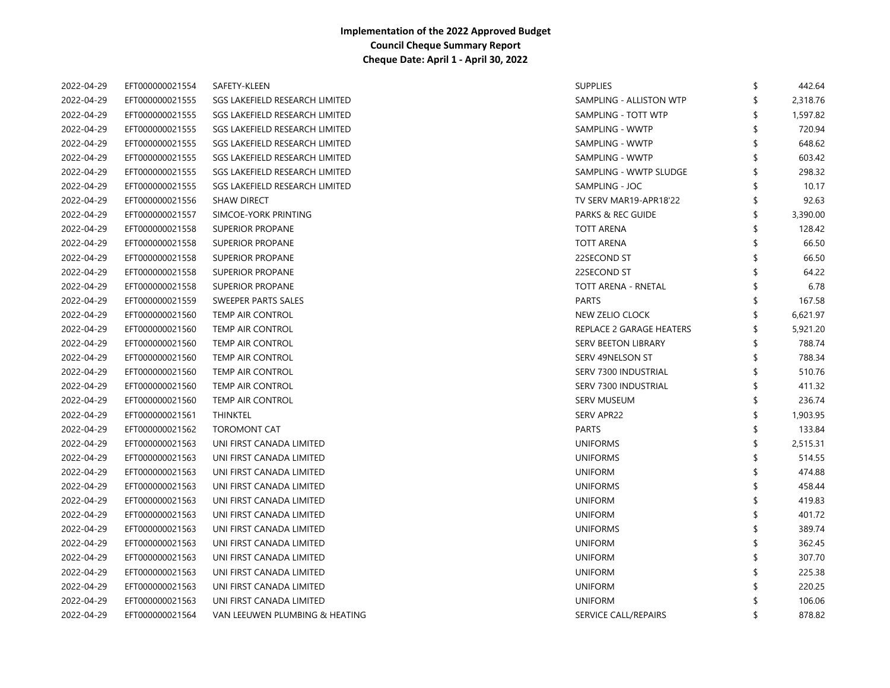| 2022-04-29 | EFT000000021554 | SAFETY-KLEEN                   | <b>SUPPLIES</b>              | \$  | 442.64   |
|------------|-----------------|--------------------------------|------------------------------|-----|----------|
| 2022-04-29 | EFT000000021555 | SGS LAKEFIELD RESEARCH LIMITED | SAMPLING - ALLISTON WTP      | \$  | 2,318.76 |
| 2022-04-29 | EFT000000021555 | SGS LAKEFIELD RESEARCH LIMITED | SAMPLING - TOTT WTP          |     | 1,597.82 |
| 2022-04-29 | EFT000000021555 | SGS LAKEFIELD RESEARCH LIMITED | SAMPLING - WWTP              |     | 720.94   |
| 2022-04-29 | EFT000000021555 | SGS LAKEFIELD RESEARCH LIMITED | SAMPLING - WWTP              | S   | 648.62   |
| 2022-04-29 | EFT000000021555 | SGS LAKEFIELD RESEARCH LIMITED | SAMPLING - WWTP              | \$  | 603.42   |
| 2022-04-29 | EFT000000021555 | SGS LAKEFIELD RESEARCH LIMITED | SAMPLING - WWTP SLUDGE       | \$  | 298.32   |
| 2022-04-29 | EFT000000021555 | SGS LAKEFIELD RESEARCH LIMITED | SAMPLING - JOC               | \$  | 10.17    |
| 2022-04-29 | EFT000000021556 | <b>SHAW DIRECT</b>             | TV SERV MAR19-APR18'22       | \$. | 92.63    |
| 2022-04-29 | EFT000000021557 | SIMCOE-YORK PRINTING           | <b>PARKS &amp; REC GUIDE</b> | \$  | 3,390.00 |
| 2022-04-29 | EFT000000021558 | <b>SUPERIOR PROPANE</b>        | <b>TOTT ARENA</b>            | \$  | 128.42   |
| 2022-04-29 | EFT000000021558 | <b>SUPERIOR PROPANE</b>        | <b>TOTT ARENA</b>            |     | 66.50    |
| 2022-04-29 | EFT000000021558 | <b>SUPERIOR PROPANE</b>        | 22SECOND ST                  |     | 66.50    |
| 2022-04-29 | EFT000000021558 | <b>SUPERIOR PROPANE</b>        | 22SECOND ST                  |     | 64.22    |
| 2022-04-29 | EFT000000021558 | <b>SUPERIOR PROPANE</b>        | TOTT ARENA - RNETAL          |     | 6.78     |
| 2022-04-29 | EFT000000021559 | SWEEPER PARTS SALES            | <b>PARTS</b>                 |     | 167.58   |
| 2022-04-29 | EFT000000021560 | <b>TEMP AIR CONTROL</b>        | NEW ZELIO CLOCK              |     | 6,621.97 |
| 2022-04-29 | EFT000000021560 | <b>TEMP AIR CONTROL</b>        | REPLACE 2 GARAGE HEATERS     | \$  | 5,921.20 |
| 2022-04-29 | EFT000000021560 | TEMP AIR CONTROL               | SERV BEETON LIBRARY          | \$  | 788.74   |
| 2022-04-29 | EFT000000021560 | TEMP AIR CONTROL               | SERV 49NELSON ST             | S   | 788.34   |
| 2022-04-29 | EFT000000021560 | <b>TEMP AIR CONTROL</b>        | SERV 7300 INDUSTRIAL         | \$  | 510.76   |
| 2022-04-29 | EFT000000021560 | <b>TEMP AIR CONTROL</b>        | SERV 7300 INDUSTRIAL         | \$  | 411.32   |
| 2022-04-29 | EFT000000021560 | <b>TEMP AIR CONTROL</b>        | <b>SERV MUSEUM</b>           | \$  | 236.74   |
| 2022-04-29 | EFT000000021561 | <b>THINKTEL</b>                | SERV APR22                   | \$  | 1,903.95 |
| 2022-04-29 | EFT000000021562 | <b>TOROMONT CAT</b>            | <b>PARTS</b>                 |     | 133.84   |
| 2022-04-29 | EFT000000021563 | UNI FIRST CANADA LIMITED       | <b>UNIFORMS</b>              | \$  | 2,515.31 |
| 2022-04-29 | EFT000000021563 | UNI FIRST CANADA LIMITED       | <b>UNIFORMS</b>              |     | 514.55   |
| 2022-04-29 | EFT000000021563 | UNI FIRST CANADA LIMITED       | <b>UNIFORM</b>               |     | 474.88   |
| 2022-04-29 | EFT000000021563 | UNI FIRST CANADA LIMITED       | <b>UNIFORMS</b>              |     | 458.44   |
| 2022-04-29 | EFT000000021563 | UNI FIRST CANADA LIMITED       | <b>UNIFORM</b>               |     | 419.83   |
| 2022-04-29 | EFT000000021563 | UNI FIRST CANADA LIMITED       | <b>UNIFORM</b>               |     | 401.72   |
| 2022-04-29 | EFT000000021563 | UNI FIRST CANADA LIMITED       | <b>UNIFORMS</b>              |     | 389.74   |
| 2022-04-29 | EFT000000021563 | UNI FIRST CANADA LIMITED       | <b>UNIFORM</b>               | \$. | 362.45   |
| 2022-04-29 | EFT000000021563 | UNI FIRST CANADA LIMITED       | <b>UNIFORM</b>               | \$. | 307.70   |
| 2022-04-29 | EFT000000021563 | UNI FIRST CANADA LIMITED       | <b>UNIFORM</b>               | S   | 225.38   |
| 2022-04-29 | EFT000000021563 | UNI FIRST CANADA LIMITED       | <b>UNIFORM</b>               |     | 220.25   |
| 2022-04-29 | EFT000000021563 | UNI FIRST CANADA LIMITED       | <b>UNIFORM</b>               |     | 106.06   |
| 2022-04-29 | EFT000000021564 | VAN LEEUWEN PLUMBING & HEATING | SERVICE CALL/REPAIRS         | ≮   | 878.82   |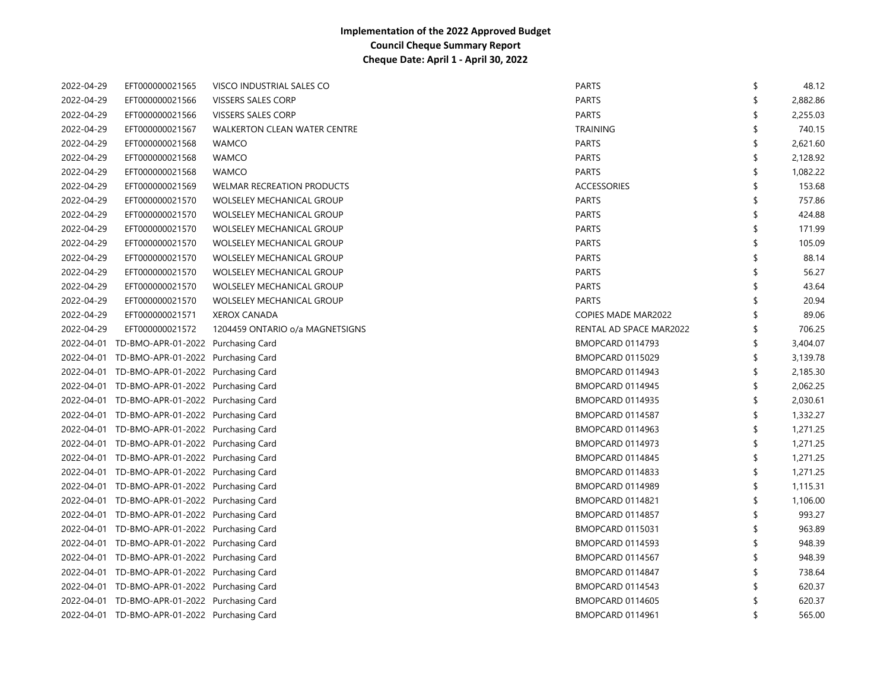| 2022-04-29 | EFT000000021565                               | VISCO INDUSTRIAL SALES CO           | <b>PARTS</b>               | \$ | 48.12    |
|------------|-----------------------------------------------|-------------------------------------|----------------------------|----|----------|
| 2022-04-29 | EFT000000021566                               | <b>VISSERS SALES CORP</b>           | <b>PARTS</b>               | \$ | 2,882.86 |
| 2022-04-29 | EFT000000021566                               | <b>VISSERS SALES CORP</b>           | <b>PARTS</b>               | \$ | 2,255.03 |
| 2022-04-29 | EFT000000021567                               | <b>WALKERTON CLEAN WATER CENTRE</b> | <b>TRAINING</b>            | \$ | 740.15   |
| 2022-04-29 | EFT000000021568                               | <b>WAMCO</b>                        | <b>PARTS</b>               | \$ | 2,621.60 |
| 2022-04-29 | EFT000000021568                               | <b>WAMCO</b>                        | <b>PARTS</b>               | \$ | 2,128.92 |
| 2022-04-29 | EFT000000021568                               | <b>WAMCO</b>                        | <b>PARTS</b>               | \$ | 1,082.22 |
| 2022-04-29 | EFT000000021569                               | <b>WELMAR RECREATION PRODUCTS</b>   | <b>ACCESSORIES</b>         | \$ | 153.68   |
| 2022-04-29 | EFT000000021570                               | <b>WOLSELEY MECHANICAL GROUP</b>    | <b>PARTS</b>               | \$ | 757.86   |
| 2022-04-29 | EFT000000021570                               | <b>WOLSELEY MECHANICAL GROUP</b>    | <b>PARTS</b>               | \$ | 424.88   |
| 2022-04-29 | EFT000000021570                               | <b>WOLSELEY MECHANICAL GROUP</b>    | <b>PARTS</b>               | \$ | 171.99   |
| 2022-04-29 | EFT000000021570                               | <b>WOLSELEY MECHANICAL GROUP</b>    | <b>PARTS</b>               | \$ | 105.09   |
| 2022-04-29 | EFT000000021570                               | <b>WOLSELEY MECHANICAL GROUP</b>    | <b>PARTS</b>               | \$ | 88.14    |
| 2022-04-29 | EFT000000021570                               | <b>WOLSELEY MECHANICAL GROUP</b>    | <b>PARTS</b>               | \$ | 56.27    |
| 2022-04-29 | EFT000000021570                               | <b>WOLSELEY MECHANICAL GROUP</b>    | <b>PARTS</b>               | \$ | 43.64    |
| 2022-04-29 | EFT000000021570                               | WOLSELEY MECHANICAL GROUP           | <b>PARTS</b>               | \$ | 20.94    |
| 2022-04-29 | EFT000000021571                               | <b>XEROX CANADA</b>                 | <b>COPIES MADE MAR2022</b> | \$ | 89.06    |
| 2022-04-29 | EFT000000021572                               | 1204459 ONTARIO o/a MAGNETSIGNS     | RENTAL AD SPACE MAR2022    | \$ | 706.25   |
|            | 2022-04-01 TD-BMO-APR-01-2022 Purchasing Card |                                     | BMOPCARD 0114793           | \$ | 3,404.07 |
|            | 2022-04-01 TD-BMO-APR-01-2022 Purchasing Card |                                     | BMOPCARD 0115029           | \$ | 3,139.78 |
|            | 2022-04-01 TD-BMO-APR-01-2022 Purchasing Card |                                     | BMOPCARD 0114943           | \$ | 2,185.30 |
|            | 2022-04-01 TD-BMO-APR-01-2022 Purchasing Card |                                     | BMOPCARD 0114945           | \$ | 2,062.25 |
|            | 2022-04-01 TD-BMO-APR-01-2022 Purchasing Card |                                     | <b>BMOPCARD 0114935</b>    | \$ | 2,030.61 |
|            | 2022-04-01 TD-BMO-APR-01-2022 Purchasing Card |                                     | BMOPCARD 0114587           | \$ | 1,332.27 |
|            | 2022-04-01 TD-BMO-APR-01-2022 Purchasing Card |                                     | BMOPCARD 0114963           | \$ | 1,271.25 |
|            | 2022-04-01 TD-BMO-APR-01-2022 Purchasing Card |                                     | BMOPCARD 0114973           | \$ | 1,271.25 |
|            | 2022-04-01 TD-BMO-APR-01-2022 Purchasing Card |                                     | BMOPCARD 0114845           | \$ | 1,271.25 |
|            | 2022-04-01 TD-BMO-APR-01-2022 Purchasing Card |                                     | BMOPCARD 0114833           | \$ | 1,271.25 |
|            | 2022-04-01 TD-BMO-APR-01-2022 Purchasing Card |                                     | BMOPCARD 0114989           | \$ | 1,115.31 |
|            | 2022-04-01 TD-BMO-APR-01-2022 Purchasing Card |                                     | BMOPCARD 0114821           | \$ | 1,106.00 |
|            | 2022-04-01 TD-BMO-APR-01-2022 Purchasing Card |                                     | BMOPCARD 0114857           | \$ | 993.27   |
|            | 2022-04-01 TD-BMO-APR-01-2022 Purchasing Card |                                     | BMOPCARD 0115031           | \$ | 963.89   |
|            | 2022-04-01 TD-BMO-APR-01-2022 Purchasing Card |                                     | BMOPCARD 0114593           | \$ | 948.39   |
|            | 2022-04-01 TD-BMO-APR-01-2022 Purchasing Card |                                     | BMOPCARD 0114567           | \$ | 948.39   |
|            | 2022-04-01 TD-BMO-APR-01-2022 Purchasing Card |                                     | BMOPCARD 0114847           | \$ | 738.64   |
|            | 2022-04-01 TD-BMO-APR-01-2022 Purchasing Card |                                     | BMOPCARD 0114543           | \$ | 620.37   |
|            | 2022-04-01 TD-BMO-APR-01-2022 Purchasing Card |                                     | <b>BMOPCARD 0114605</b>    | S  | 620.37   |
|            | 2022-04-01 TD-BMO-APR-01-2022 Purchasing Card |                                     | BMOPCARD 0114961           | ≮  | 565.00   |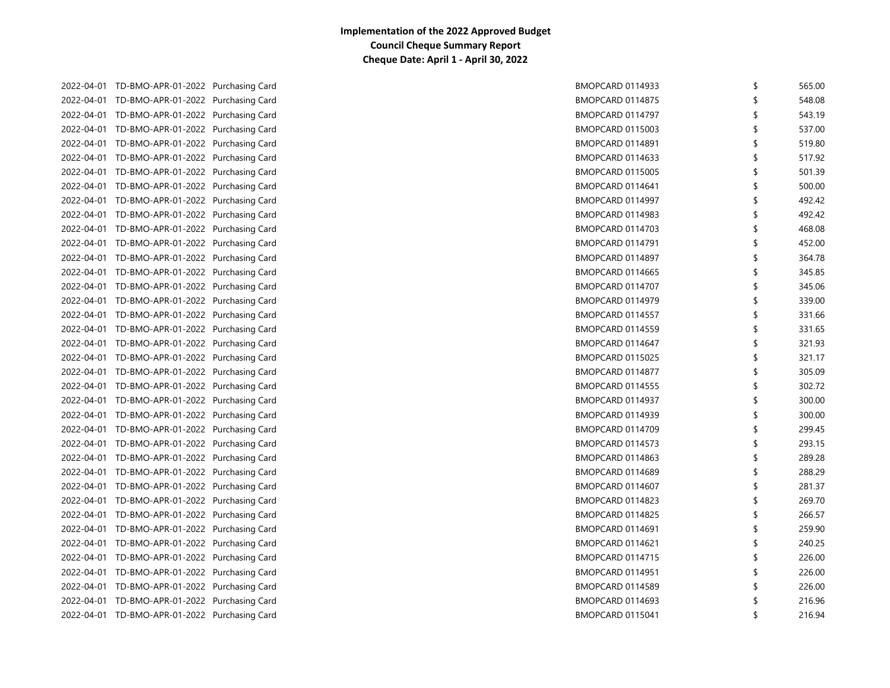|  | 2022-04-01 TD-BMO-APR-01-2022 Purchasing Card |  | <b>BMOPCARD 0114933</b> | \$ | 565.00 |
|--|-----------------------------------------------|--|-------------------------|----|--------|
|  | 2022-04-01 TD-BMO-APR-01-2022 Purchasing Card |  | <b>BMOPCARD 0114875</b> |    | 548.08 |
|  | 2022-04-01 TD-BMO-APR-01-2022 Purchasing Card |  | BMOPCARD 0114797        | \$ | 543.19 |
|  | 2022-04-01 TD-BMO-APR-01-2022 Purchasing Card |  | BMOPCARD 0115003        | S  | 537.00 |
|  | 2022-04-01 TD-BMO-APR-01-2022 Purchasing Card |  | <b>BMOPCARD 0114891</b> | S  | 519.80 |
|  | 2022-04-01 TD-BMO-APR-01-2022 Purchasing Card |  | BMOPCARD 0114633        | \$ | 517.92 |
|  | 2022-04-01 TD-BMO-APR-01-2022 Purchasing Card |  | <b>BMOPCARD 0115005</b> | \$ | 501.39 |
|  | 2022-04-01 TD-BMO-APR-01-2022 Purchasing Card |  | BMOPCARD 0114641        | \$ | 500.00 |
|  | 2022-04-01 TD-BMO-APR-01-2022 Purchasing Card |  | BMOPCARD 0114997        | \$ | 492.42 |
|  | 2022-04-01 TD-BMO-APR-01-2022 Purchasing Card |  | BMOPCARD 0114983        | \$ | 492.42 |
|  | 2022-04-01 TD-BMO-APR-01-2022 Purchasing Card |  | BMOPCARD 0114703        |    | 468.08 |
|  | 2022-04-01 TD-BMO-APR-01-2022 Purchasing Card |  | <b>BMOPCARD 0114791</b> |    | 452.00 |
|  | 2022-04-01 TD-BMO-APR-01-2022 Purchasing Card |  | BMOPCARD 0114897        | \$ | 364.78 |
|  | 2022-04-01 TD-BMO-APR-01-2022 Purchasing Card |  | BMOPCARD 0114665        | \$ | 345.85 |
|  | 2022-04-01 TD-BMO-APR-01-2022 Purchasing Card |  | BMOPCARD 0114707        | S  | 345.06 |
|  | 2022-04-01 TD-BMO-APR-01-2022 Purchasing Card |  | BMOPCARD 0114979        | \$ | 339.00 |
|  | 2022-04-01 TD-BMO-APR-01-2022 Purchasing Card |  | BMOPCARD 0114557        | \$ | 331.66 |
|  | 2022-04-01 TD-BMO-APR-01-2022 Purchasing Card |  | BMOPCARD 0114559        | \$ | 331.65 |
|  | 2022-04-01 TD-BMO-APR-01-2022 Purchasing Card |  | BMOPCARD 0114647        | \$ | 321.93 |
|  | 2022-04-01 TD-BMO-APR-01-2022 Purchasing Card |  | <b>BMOPCARD 0115025</b> | \$ | 321.17 |
|  | 2022-04-01 TD-BMO-APR-01-2022 Purchasing Card |  | BMOPCARD 0114877        | \$ | 305.09 |
|  | 2022-04-01 TD-BMO-APR-01-2022 Purchasing Card |  | <b>BMOPCARD 0114555</b> | \$ | 302.72 |
|  | 2022-04-01 TD-BMO-APR-01-2022 Purchasing Card |  | BMOPCARD 0114937        | \$ | 300.00 |
|  | 2022-04-01 TD-BMO-APR-01-2022 Purchasing Card |  | <b>BMOPCARD 0114939</b> | \$ | 300.00 |
|  | 2022-04-01 TD-BMO-APR-01-2022 Purchasing Card |  | BMOPCARD 0114709        | \$ | 299.45 |
|  | 2022-04-01 TD-BMO-APR-01-2022 Purchasing Card |  | BMOPCARD 0114573        | \$ | 293.15 |
|  | 2022-04-01 TD-BMO-APR-01-2022 Purchasing Card |  | BMOPCARD 0114863        | \$ | 289.28 |
|  | 2022-04-01 TD-BMO-APR-01-2022 Purchasing Card |  | BMOPCARD 0114689        | \$ | 288.29 |
|  | 2022-04-01 TD-BMO-APR-01-2022 Purchasing Card |  | BMOPCARD 0114607        | \$ | 281.37 |
|  | 2022-04-01 TD-BMO-APR-01-2022 Purchasing Card |  | BMOPCARD 0114823        | \$ | 269.70 |
|  | 2022-04-01 TD-BMO-APR-01-2022 Purchasing Card |  | BMOPCARD 0114825        | \$ | 266.57 |
|  | 2022-04-01 TD-BMO-APR-01-2022 Purchasing Card |  | <b>BMOPCARD 0114691</b> | \$ | 259.90 |
|  | 2022-04-01 TD-BMO-APR-01-2022 Purchasing Card |  | BMOPCARD 0114621        | \$ | 240.25 |
|  | 2022-04-01 TD-BMO-APR-01-2022 Purchasing Card |  | <b>BMOPCARD 0114715</b> | \$ | 226.00 |
|  | 2022-04-01 TD-BMO-APR-01-2022 Purchasing Card |  | BMOPCARD 0114951        | \$ | 226.00 |
|  | 2022-04-01 TD-BMO-APR-01-2022 Purchasing Card |  | BMOPCARD 0114589        |    | 226.00 |
|  | 2022-04-01 TD-BMO-APR-01-2022 Purchasing Card |  | BMOPCARD 0114693        |    | 216.96 |
|  | 2022-04-01 TD-BMO-APR-01-2022 Purchasing Card |  | <b>BMOPCARD 0115041</b> | \$ | 216.94 |
|  |                                               |  |                         |    |        |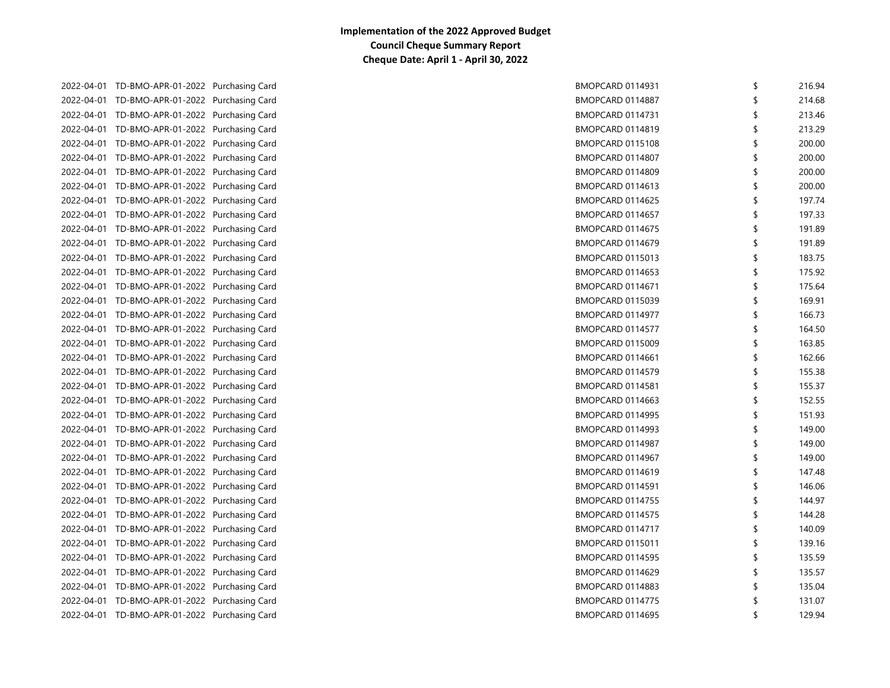|  | 2022-04-01 TD-BMO-APR-01-2022 Purchasing Card | <b>BMOPCARD 0114931</b> | \$<br>216.94 |
|--|-----------------------------------------------|-------------------------|--------------|
|  | 2022-04-01 TD-BMO-APR-01-2022 Purchasing Card | BMOPCARD 0114887        | 214.68       |
|  | 2022-04-01 TD-BMO-APR-01-2022 Purchasing Card | BMOPCARD 0114731        | \$<br>213.46 |
|  | 2022-04-01 TD-BMO-APR-01-2022 Purchasing Card | BMOPCARD 0114819        | \$<br>213.29 |
|  | 2022-04-01 TD-BMO-APR-01-2022 Purchasing Card | BMOPCARD 0115108        | \$<br>200.00 |
|  | 2022-04-01 TD-BMO-APR-01-2022 Purchasing Card | BMOPCARD 0114807        | \$<br>200.00 |
|  | 2022-04-01 TD-BMO-APR-01-2022 Purchasing Card | BMOPCARD 0114809        | \$<br>200.00 |
|  | 2022-04-01 TD-BMO-APR-01-2022 Purchasing Card | BMOPCARD 0114613        | \$<br>200.00 |
|  | 2022-04-01 TD-BMO-APR-01-2022 Purchasing Card | BMOPCARD 0114625        | \$<br>197.74 |
|  | 2022-04-01 TD-BMO-APR-01-2022 Purchasing Card | BMOPCARD 0114657        | 197.33       |
|  | 2022-04-01 TD-BMO-APR-01-2022 Purchasing Card | BMOPCARD 0114675        | 191.89       |
|  | 2022-04-01 TD-BMO-APR-01-2022 Purchasing Card | BMOPCARD 0114679        | 191.89       |
|  | 2022-04-01 TD-BMO-APR-01-2022 Purchasing Card | BMOPCARD 0115013        | 183.75       |
|  | 2022-04-01 TD-BMO-APR-01-2022 Purchasing Card | BMOPCARD 0114653        | \$<br>175.92 |
|  | 2022-04-01 TD-BMO-APR-01-2022 Purchasing Card | BMOPCARD 0114671        | \$<br>175.64 |
|  | 2022-04-01 TD-BMO-APR-01-2022 Purchasing Card | BMOPCARD 0115039        | \$<br>169.91 |
|  | 2022-04-01 TD-BMO-APR-01-2022 Purchasing Card | BMOPCARD 0114977        | \$<br>166.73 |
|  | 2022-04-01 TD-BMO-APR-01-2022 Purchasing Card | BMOPCARD 0114577        | \$<br>164.50 |
|  | 2022-04-01 TD-BMO-APR-01-2022 Purchasing Card | BMOPCARD 0115009        | \$<br>163.85 |
|  | 2022-04-01 TD-BMO-APR-01-2022 Purchasing Card | BMOPCARD 0114661        | \$<br>162.66 |
|  | 2022-04-01 TD-BMO-APR-01-2022 Purchasing Card | BMOPCARD 0114579        | \$<br>155.38 |
|  | 2022-04-01 TD-BMO-APR-01-2022 Purchasing Card | BMOPCARD 0114581        | \$<br>155.37 |
|  | 2022-04-01 TD-BMO-APR-01-2022 Purchasing Card | BMOPCARD 0114663        | \$<br>152.55 |
|  | 2022-04-01 TD-BMO-APR-01-2022 Purchasing Card | BMOPCARD 0114995        | \$<br>151.93 |
|  | 2022-04-01 TD-BMO-APR-01-2022 Purchasing Card | BMOPCARD 0114993        | \$<br>149.00 |
|  | 2022-04-01 TD-BMO-APR-01-2022 Purchasing Card | BMOPCARD 0114987        | \$<br>149.00 |
|  | 2022-04-01 TD-BMO-APR-01-2022 Purchasing Card | BMOPCARD 0114967        | \$<br>149.00 |
|  | 2022-04-01 TD-BMO-APR-01-2022 Purchasing Card | BMOPCARD 0114619        | \$<br>147.48 |
|  | 2022-04-01 TD-BMO-APR-01-2022 Purchasing Card | BMOPCARD 0114591        | \$<br>146.06 |
|  | 2022-04-01 TD-BMO-APR-01-2022 Purchasing Card | BMOPCARD 0114755        | 144.97       |
|  | 2022-04-01 TD-BMO-APR-01-2022 Purchasing Card | BMOPCARD 0114575        | 144.28       |
|  | 2022-04-01 TD-BMO-APR-01-2022 Purchasing Card | BMOPCARD 0114717        | 140.09       |
|  | 2022-04-01 TD-BMO-APR-01-2022 Purchasing Card | BMOPCARD 0115011        | 139.16       |
|  | 2022-04-01 TD-BMO-APR-01-2022 Purchasing Card | BMOPCARD 0114595        | \$<br>135.59 |
|  | 2022-04-01 TD-BMO-APR-01-2022 Purchasing Card | BMOPCARD 0114629        | \$<br>135.57 |
|  | 2022-04-01 TD-BMO-APR-01-2022 Purchasing Card | BMOPCARD 0114883        | 135.04       |
|  | 2022-04-01 TD-BMO-APR-01-2022 Purchasing Card | BMOPCARD 0114775        | 131.07       |
|  | 2022-04-01 TD-BMO-APR-01-2022 Purchasing Card | BMOPCARD 0114695        | \$<br>129.94 |
|  |                                               |                         |              |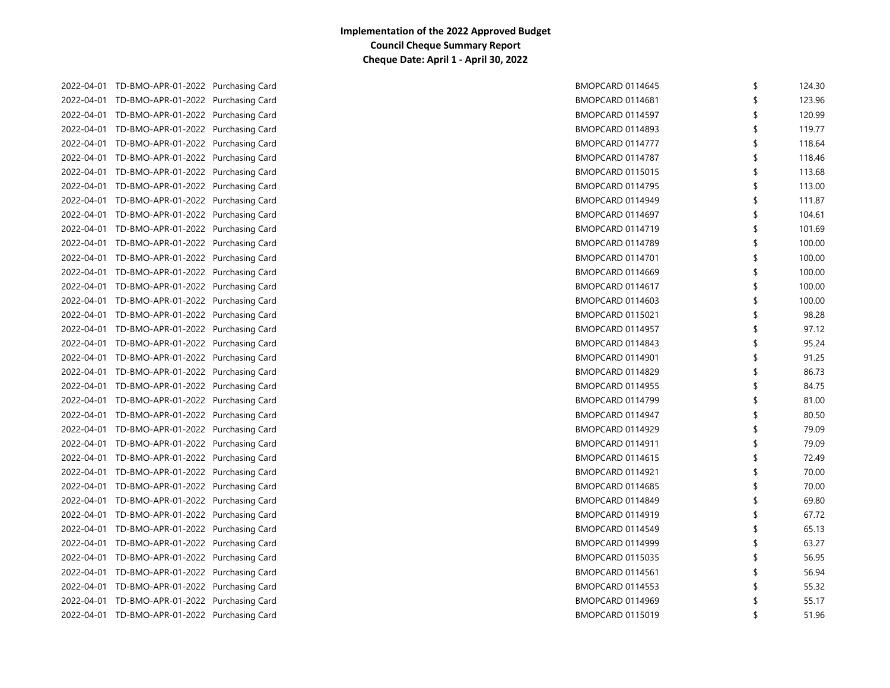| 2022-04-01 TD-BMO-APR-01-2022 Purchasing Card | BMOPCARD 0114645        | \$ | 124.30 |
|-----------------------------------------------|-------------------------|----|--------|
| 2022-04-01 TD-BMO-APR-01-2022 Purchasing Card | BMOPCARD 0114681        |    | 123.96 |
| 2022-04-01 TD-BMO-APR-01-2022 Purchasing Card | BMOPCARD 0114597        | S  | 120.99 |
| 2022-04-01 TD-BMO-APR-01-2022 Purchasing Card | BMOPCARD 0114893        | \$ | 119.77 |
| 2022-04-01 TD-BMO-APR-01-2022 Purchasing Card | BMOPCARD 0114777        | \$ | 118.64 |
| 2022-04-01 TD-BMO-APR-01-2022 Purchasing Card | BMOPCARD 0114787        | \$ | 118.46 |
| 2022-04-01 TD-BMO-APR-01-2022 Purchasing Card | BMOPCARD 0115015        | \$ | 113.68 |
| 2022-04-01 TD-BMO-APR-01-2022 Purchasing Card | <b>BMOPCARD 0114795</b> | \$ | 113.00 |
| 2022-04-01 TD-BMO-APR-01-2022 Purchasing Card | BMOPCARD 0114949        | \$ | 111.87 |
| 2022-04-01 TD-BMO-APR-01-2022 Purchasing Card | BMOPCARD 0114697        | \$ | 104.61 |
| 2022-04-01 TD-BMO-APR-01-2022 Purchasing Card | BMOPCARD 0114719        |    | 101.69 |
| 2022-04-01 TD-BMO-APR-01-2022 Purchasing Card | BMOPCARD 0114789        |    | 100.00 |
| 2022-04-01 TD-BMO-APR-01-2022 Purchasing Card | BMOPCARD 0114701        |    | 100.00 |
| 2022-04-01 TD-BMO-APR-01-2022 Purchasing Card | BMOPCARD 0114669        |    | 100.00 |
| 2022-04-01 TD-BMO-APR-01-2022 Purchasing Card | BMOPCARD 0114617        |    | 100.00 |
| 2022-04-01 TD-BMO-APR-01-2022 Purchasing Card | BMOPCARD 0114603        |    | 100.00 |
| 2022-04-01 TD-BMO-APR-01-2022 Purchasing Card | BMOPCARD 0115021        |    | 98.28  |
| 2022-04-01 TD-BMO-APR-01-2022 Purchasing Card | BMOPCARD 0114957        |    | 97.12  |
| 2022-04-01 TD-BMO-APR-01-2022 Purchasing Card | BMOPCARD 0114843        | \$ | 95.24  |
| 2022-04-01 TD-BMO-APR-01-2022 Purchasing Card | BMOPCARD 0114901        | \$ | 91.25  |
| 2022-04-01 TD-BMO-APR-01-2022 Purchasing Card | BMOPCARD 0114829        | \$ | 86.73  |
| 2022-04-01 TD-BMO-APR-01-2022 Purchasing Card | <b>BMOPCARD 0114955</b> | \$ | 84.75  |
| 2022-04-01 TD-BMO-APR-01-2022 Purchasing Card | BMOPCARD 0114799        | \$ | 81.00  |
| 2022-04-01 TD-BMO-APR-01-2022 Purchasing Card | BMOPCARD 0114947        | \$ | 80.50  |
| 2022-04-01 TD-BMO-APR-01-2022 Purchasing Card | BMOPCARD 0114929        | \$ | 79.09  |
| 2022-04-01 TD-BMO-APR-01-2022 Purchasing Card | BMOPCARD 0114911        | \$ | 79.09  |
| 2022-04-01 TD-BMO-APR-01-2022 Purchasing Card | BMOPCARD 0114615        | \$ | 72.49  |
| 2022-04-01 TD-BMO-APR-01-2022 Purchasing Card | BMOPCARD 0114921        | \$ | 70.00  |
| 2022-04-01 TD-BMO-APR-01-2022 Purchasing Card | BMOPCARD 0114685        | \$ | 70.00  |
| 2022-04-01 TD-BMO-APR-01-2022 Purchasing Card | BMOPCARD 0114849        | \$ | 69.80  |
| 2022-04-01 TD-BMO-APR-01-2022 Purchasing Card | BMOPCARD 0114919        | \$ | 67.72  |
| 2022-04-01 TD-BMO-APR-01-2022 Purchasing Card | BMOPCARD 0114549        | \$ | 65.13  |
| 2022-04-01 TD-BMO-APR-01-2022 Purchasing Card | BMOPCARD 0114999        | \$ | 63.27  |
| 2022-04-01 TD-BMO-APR-01-2022 Purchasing Card | <b>BMOPCARD 0115035</b> | \$ | 56.95  |
| 2022-04-01 TD-BMO-APR-01-2022 Purchasing Card | BMOPCARD 0114561        | \$ | 56.94  |
| 2022-04-01 TD-BMO-APR-01-2022 Purchasing Card | BMOPCARD 0114553        |    | 55.32  |
| 2022-04-01 TD-BMO-APR-01-2022 Purchasing Card | BMOPCARD 0114969        |    | 55.17  |
| 2022-04-01 TD-BMO-APR-01-2022 Purchasing Card | BMOPCARD 0115019        |    | 51.96  |
|                                               |                         |    |        |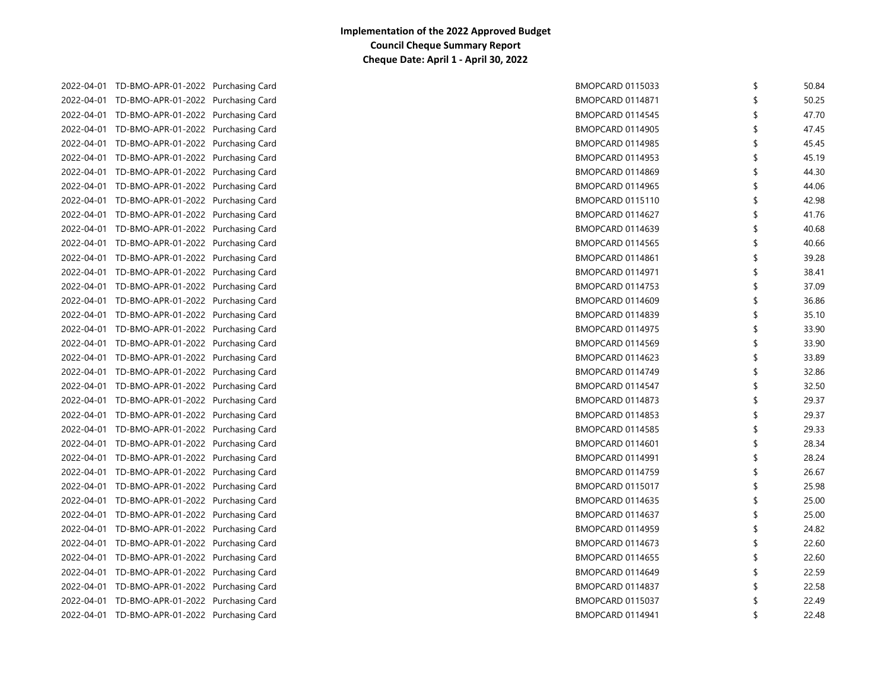| 2022-04-01 TD-BMO-APR-01-2022 Purchasing Card | <b>BMOPCARD 0115033</b> | \$<br>50.84 |
|-----------------------------------------------|-------------------------|-------------|
| 2022-04-01 TD-BMO-APR-01-2022 Purchasing Card | <b>BMOPCARD 0114871</b> | 50.25       |
| 2022-04-01 TD-BMO-APR-01-2022 Purchasing Card | BMOPCARD 0114545        | 47.70       |
| 2022-04-01 TD-BMO-APR-01-2022 Purchasing Card | BMOPCARD 0114905        | \$<br>47.45 |
| 2022-04-01 TD-BMO-APR-01-2022 Purchasing Card | BMOPCARD 0114985        | 45.45       |
| 2022-04-01 TD-BMO-APR-01-2022 Purchasing Card | BMOPCARD 0114953        | 45.19       |
| 2022-04-01 TD-BMO-APR-01-2022 Purchasing Card | BMOPCARD 0114869        | 44.30       |
| 2022-04-01 TD-BMO-APR-01-2022 Purchasing Card | BMOPCARD 0114965        | 44.06       |
| 2022-04-01 TD-BMO-APR-01-2022 Purchasing Card | BMOPCARD 0115110        | 42.98       |
| 2022-04-01 TD-BMO-APR-01-2022 Purchasing Card | BMOPCARD 0114627        | 41.76       |
| 2022-04-01 TD-BMO-APR-01-2022 Purchasing Card | BMOPCARD 0114639        | 40.68       |
| 2022-04-01 TD-BMO-APR-01-2022 Purchasing Card | BMOPCARD 0114565        | 40.66       |
| 2022-04-01 TD-BMO-APR-01-2022 Purchasing Card | BMOPCARD 0114861        | 39.28       |
| 2022-04-01 TD-BMO-APR-01-2022 Purchasing Card | BMOPCARD 0114971        | 38.41       |
| 2022-04-01 TD-BMO-APR-01-2022 Purchasing Card | BMOPCARD 0114753        | 37.09       |
| 2022-04-01 TD-BMO-APR-01-2022 Purchasing Card | BMOPCARD 0114609        | 36.86       |
| 2022-04-01 TD-BMO-APR-01-2022 Purchasing Card | BMOPCARD 0114839        | 35.10       |
| 2022-04-01 TD-BMO-APR-01-2022 Purchasing Card | BMOPCARD 0114975        | 33.90       |
| 2022-04-01 TD-BMO-APR-01-2022 Purchasing Card | BMOPCARD 0114569        | \$<br>33.90 |
| 2022-04-01 TD-BMO-APR-01-2022 Purchasing Card | BMOPCARD 0114623        | \$<br>33.89 |
| 2022-04-01 TD-BMO-APR-01-2022 Purchasing Card | BMOPCARD 0114749        | \$<br>32.86 |
| 2022-04-01 TD-BMO-APR-01-2022 Purchasing Card | BMOPCARD 0114547        | \$<br>32.50 |
| 2022-04-01 TD-BMO-APR-01-2022 Purchasing Card | BMOPCARD 0114873        | \$<br>29.37 |
| 2022-04-01 TD-BMO-APR-01-2022 Purchasing Card | BMOPCARD 0114853        | \$<br>29.37 |
| 2022-04-01 TD-BMO-APR-01-2022 Purchasing Card | BMOPCARD 0114585        | \$<br>29.33 |
| 2022-04-01 TD-BMO-APR-01-2022 Purchasing Card | BMOPCARD 0114601        | \$<br>28.34 |
| 2022-04-01 TD-BMO-APR-01-2022 Purchasing Card | BMOPCARD 0114991        | \$<br>28.24 |
| 2022-04-01 TD-BMO-APR-01-2022 Purchasing Card | BMOPCARD 0114759        | \$<br>26.67 |
| 2022-04-01 TD-BMO-APR-01-2022 Purchasing Card | BMOPCARD 0115017        | \$<br>25.98 |
| 2022-04-01 TD-BMO-APR-01-2022 Purchasing Card | BMOPCARD 0114635        | \$<br>25.00 |
| 2022-04-01 TD-BMO-APR-01-2022 Purchasing Card | BMOPCARD 0114637        | \$<br>25.00 |
| 2022-04-01 TD-BMO-APR-01-2022 Purchasing Card | BMOPCARD 0114959        | \$<br>24.82 |
| 2022-04-01 TD-BMO-APR-01-2022 Purchasing Card | BMOPCARD 0114673        | \$<br>22.60 |
| 2022-04-01 TD-BMO-APR-01-2022 Purchasing Card | <b>BMOPCARD 0114655</b> | \$<br>22.60 |
| 2022-04-01 TD-BMO-APR-01-2022 Purchasing Card | BMOPCARD 0114649        | \$<br>22.59 |
| 2022-04-01 TD-BMO-APR-01-2022 Purchasing Card | BMOPCARD 0114837        | 22.58       |
| 2022-04-01 TD-BMO-APR-01-2022 Purchasing Card | BMOPCARD 0115037        | 22.49       |
| 2022-04-01 TD-BMO-APR-01-2022 Purchasing Card | <b>BMOPCARD 0114941</b> | 22.48       |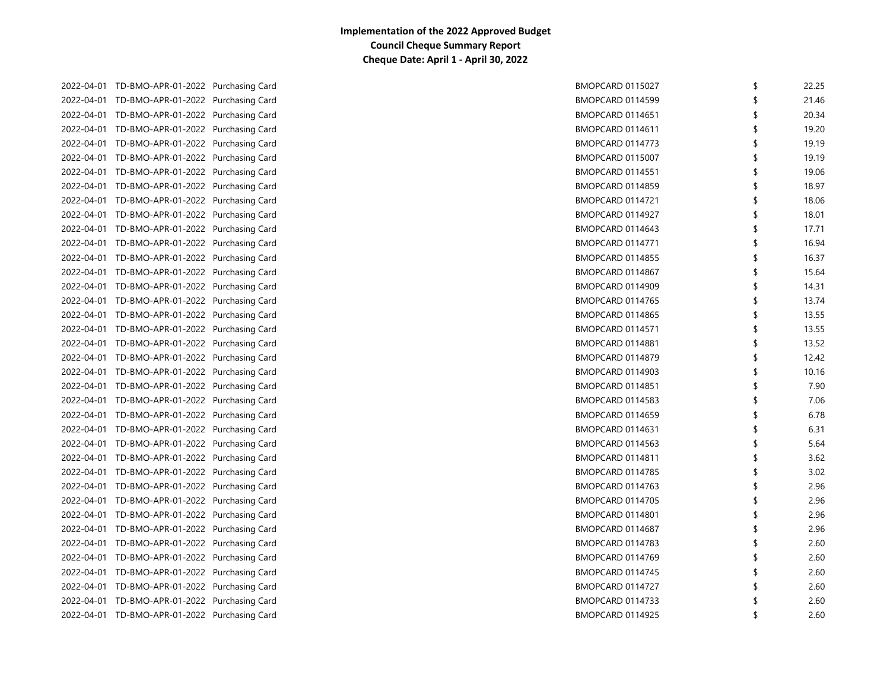| 2022-04-01 TD-BMO-APR-01-2022 Purchasing Card | BMOPCARD 0115027        | S  | 22.25 |
|-----------------------------------------------|-------------------------|----|-------|
| 2022-04-01 TD-BMO-APR-01-2022 Purchasing Card | <b>BMOPCARD 0114599</b> |    | 21.46 |
| 2022-04-01 TD-BMO-APR-01-2022 Purchasing Card | <b>BMOPCARD 0114651</b> | -S | 20.34 |
| 2022-04-01 TD-BMO-APR-01-2022 Purchasing Card | <b>BMOPCARD 0114611</b> | S  | 19.20 |
| 2022-04-01 TD-BMO-APR-01-2022 Purchasing Card | BMOPCARD 0114773        |    | 19.19 |
| 2022-04-01 TD-BMO-APR-01-2022 Purchasing Card | <b>BMOPCARD 0115007</b> |    | 19.19 |
| 2022-04-01 TD-BMO-APR-01-2022 Purchasing Card | <b>BMOPCARD 0114551</b> |    | 19.06 |
| 2022-04-01 TD-BMO-APR-01-2022 Purchasing Card | <b>BMOPCARD 0114859</b> |    | 18.97 |
| 2022-04-01 TD-BMO-APR-01-2022 Purchasing Card | <b>BMOPCARD 0114721</b> |    | 18.06 |
| 2022-04-01 TD-BMO-APR-01-2022 Purchasing Card | BMOPCARD 0114927        |    | 18.01 |
| 2022-04-01 TD-BMO-APR-01-2022 Purchasing Card | BMOPCARD 0114643        |    | 17.71 |
| 2022-04-01 TD-BMO-APR-01-2022 Purchasing Card | <b>BMOPCARD 0114771</b> |    | 16.94 |
| 2022-04-01 TD-BMO-APR-01-2022 Purchasing Card | <b>BMOPCARD 0114855</b> |    | 16.37 |
| 2022-04-01 TD-BMO-APR-01-2022 Purchasing Card | BMOPCARD 0114867        | \$ | 15.64 |
| 2022-04-01 TD-BMO-APR-01-2022 Purchasing Card | <b>BMOPCARD 0114909</b> |    | 14.31 |
| 2022-04-01 TD-BMO-APR-01-2022 Purchasing Card | <b>BMOPCARD 0114765</b> |    | 13.74 |
| 2022-04-01 TD-BMO-APR-01-2022 Purchasing Card | <b>BMOPCARD 0114865</b> |    | 13.55 |
| 2022-04-01 TD-BMO-APR-01-2022 Purchasing Card | <b>BMOPCARD 0114571</b> |    | 13.55 |
| 2022-04-01 TD-BMO-APR-01-2022 Purchasing Card | BMOPCARD 0114881        |    | 13.52 |
| 2022-04-01 TD-BMO-APR-01-2022 Purchasing Card | <b>BMOPCARD 0114879</b> |    | 12.42 |
| 2022-04-01 TD-BMO-APR-01-2022 Purchasing Card | BMOPCARD 0114903        | \$ | 10.16 |
| 2022-04-01 TD-BMO-APR-01-2022 Purchasing Card | <b>BMOPCARD 0114851</b> | \$ | 7.90  |
| 2022-04-01 TD-BMO-APR-01-2022 Purchasing Card | <b>BMOPCARD 0114583</b> | \$ | 7.06  |
| 2022-04-01 TD-BMO-APR-01-2022 Purchasing Card | <b>BMOPCARD 0114659</b> | \$ | 6.78  |
| 2022-04-01 TD-BMO-APR-01-2022 Purchasing Card | BMOPCARD 0114631        | \$ | 6.31  |
| 2022-04-01 TD-BMO-APR-01-2022 Purchasing Card | BMOPCARD 0114563        | \$ | 5.64  |
| 2022-04-01 TD-BMO-APR-01-2022 Purchasing Card | <b>BMOPCARD 0114811</b> | \$ | 3.62  |
| 2022-04-01 TD-BMO-APR-01-2022 Purchasing Card | <b>BMOPCARD 0114785</b> | \$ | 3.02  |
| 2022-04-01 TD-BMO-APR-01-2022 Purchasing Card | BMOPCARD 0114763        | \$ | 2.96  |
| 2022-04-01 TD-BMO-APR-01-2022 Purchasing Card | <b>BMOPCARD 0114705</b> | \$ | 2.96  |
| 2022-04-01 TD-BMO-APR-01-2022 Purchasing Card | <b>BMOPCARD 0114801</b> | \$ | 2.96  |
| 2022-04-01 TD-BMO-APR-01-2022 Purchasing Card | BMOPCARD 0114687        | \$ | 2.96  |
| 2022-04-01 TD-BMO-APR-01-2022 Purchasing Card | BMOPCARD 0114783        | \$ | 2.60  |
| 2022-04-01 TD-BMO-APR-01-2022 Purchasing Card | BMOPCARD 0114769        | \$ | 2.60  |
| 2022-04-01 TD-BMO-APR-01-2022 Purchasing Card | BMOPCARD 0114745        | \$ | 2.60  |
| 2022-04-01 TD-BMO-APR-01-2022 Purchasing Card | BMOPCARD 0114727        |    | 2.60  |
| 2022-04-01 TD-BMO-APR-01-2022 Purchasing Card | BMOPCARD 0114733        |    | 2.60  |
| 2022-04-01 TD-BMO-APR-01-2022 Purchasing Card | <b>BMOPCARD 0114925</b> |    | 2.60  |
|                                               |                         |    |       |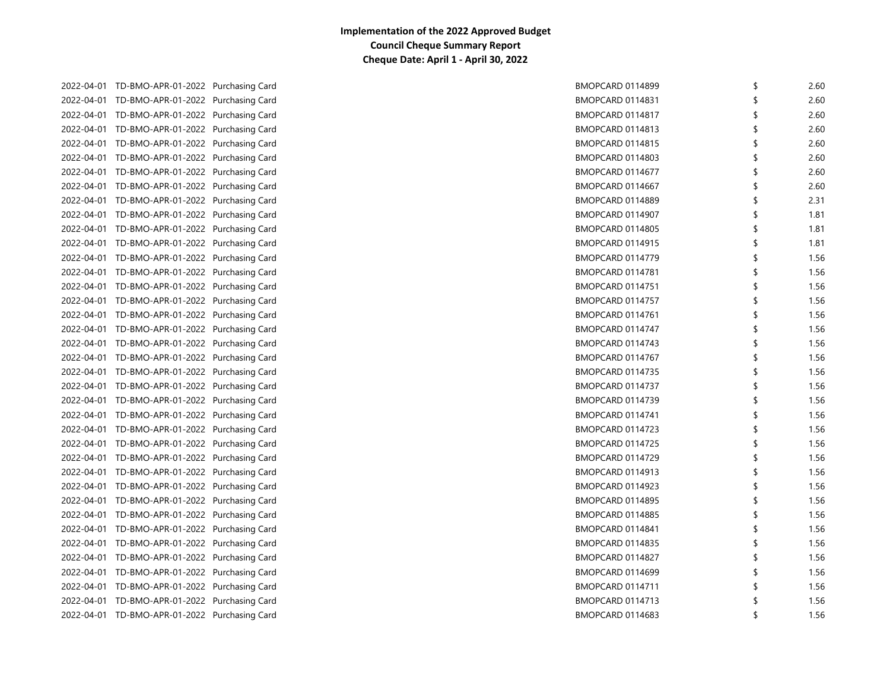| 2022-04-01 TD-BMO-APR-01-2022 Purchasing Card | BMOPCARD 0114899        | \$<br>2.60 |
|-----------------------------------------------|-------------------------|------------|
| 2022-04-01 TD-BMO-APR-01-2022 Purchasing Card | <b>BMOPCARD 0114831</b> | 2.60       |
| 2022-04-01 TD-BMO-APR-01-2022 Purchasing Card | BMOPCARD 0114817        | 2.60       |
| 2022-04-01 TD-BMO-APR-01-2022 Purchasing Card | BMOPCARD 0114813        | \$<br>2.60 |
| 2022-04-01 TD-BMO-APR-01-2022 Purchasing Card | <b>BMOPCARD 0114815</b> | \$<br>2.60 |
| 2022-04-01 TD-BMO-APR-01-2022 Purchasing Card | <b>BMOPCARD 0114803</b> | 2.60       |
| 2022-04-01 TD-BMO-APR-01-2022 Purchasing Card | BMOPCARD 0114677        | \$<br>2.60 |
| 2022-04-01 TD-BMO-APR-01-2022 Purchasing Card | BMOPCARD 0114667        | \$<br>2.60 |
| 2022-04-01 TD-BMO-APR-01-2022 Purchasing Card | <b>BMOPCARD 0114889</b> | \$<br>2.31 |
| 2022-04-01 TD-BMO-APR-01-2022 Purchasing Card | BMOPCARD 0114907        | \$<br>1.81 |
| 2022-04-01 TD-BMO-APR-01-2022 Purchasing Card | <b>BMOPCARD 0114805</b> | 1.81       |
| 2022-04-01 TD-BMO-APR-01-2022 Purchasing Card | <b>BMOPCARD 0114915</b> | 1.81       |
| 2022-04-01 TD-BMO-APR-01-2022 Purchasing Card | BMOPCARD 0114779        | 1.56       |
| 2022-04-01 TD-BMO-APR-01-2022 Purchasing Card | BMOPCARD 0114781        | 1.56       |
| 2022-04-01 TD-BMO-APR-01-2022 Purchasing Card | <b>BMOPCARD 0114751</b> | 1.56       |
| 2022-04-01 TD-BMO-APR-01-2022 Purchasing Card | BMOPCARD 0114757        | 1.56       |
| 2022-04-01 TD-BMO-APR-01-2022 Purchasing Card | BMOPCARD 0114761        | 1.56       |
| 2022-04-01 TD-BMO-APR-01-2022 Purchasing Card | BMOPCARD 0114747        | \$<br>1.56 |
| 2022-04-01 TD-BMO-APR-01-2022 Purchasing Card | BMOPCARD 0114743        | \$<br>1.56 |
| 2022-04-01 TD-BMO-APR-01-2022 Purchasing Card | BMOPCARD 0114767        | \$<br>1.56 |
| 2022-04-01 TD-BMO-APR-01-2022 Purchasing Card | BMOPCARD 0114735        | \$<br>1.56 |
| 2022-04-01 TD-BMO-APR-01-2022 Purchasing Card | BMOPCARD 0114737        | \$<br>1.56 |
| 2022-04-01 TD-BMO-APR-01-2022 Purchasing Card | <b>BMOPCARD 0114739</b> | \$<br>1.56 |
| 2022-04-01 TD-BMO-APR-01-2022 Purchasing Card | <b>BMOPCARD 0114741</b> | \$<br>1.56 |
| 2022-04-01 TD-BMO-APR-01-2022 Purchasing Card | BMOPCARD 0114723        | \$<br>1.56 |
| 2022-04-01 TD-BMO-APR-01-2022 Purchasing Card | BMOPCARD 0114725        | \$<br>1.56 |
| 2022-04-01 TD-BMO-APR-01-2022 Purchasing Card | BMOPCARD 0114729        | \$<br>1.56 |
| 2022-04-01 TD-BMO-APR-01-2022 Purchasing Card | BMOPCARD 0114913        | \$<br>1.56 |
| 2022-04-01 TD-BMO-APR-01-2022 Purchasing Card | BMOPCARD 0114923        | \$<br>1.56 |
| 2022-04-01 TD-BMO-APR-01-2022 Purchasing Card | BMOPCARD 0114895        | \$<br>1.56 |
| 2022-04-01 TD-BMO-APR-01-2022 Purchasing Card | BMOPCARD 0114885        | \$<br>1.56 |
| 2022-04-01 TD-BMO-APR-01-2022 Purchasing Card | <b>BMOPCARD 0114841</b> | \$<br>1.56 |
| 2022-04-01 TD-BMO-APR-01-2022 Purchasing Card | BMOPCARD 0114835        | \$<br>1.56 |
| 2022-04-01 TD-BMO-APR-01-2022 Purchasing Card | BMOPCARD 0114827        | \$<br>1.56 |
| 2022-04-01 TD-BMO-APR-01-2022 Purchasing Card | BMOPCARD 0114699        | \$<br>1.56 |
| 2022-04-01 TD-BMO-APR-01-2022 Purchasing Card | BMOPCARD 0114711        | 1.56       |
| 2022-04-01 TD-BMO-APR-01-2022 Purchasing Card | BMOPCARD 0114713        | 1.56       |
| 2022-04-01 TD-BMO-APR-01-2022 Purchasing Card | BMOPCARD 0114683        | 1.56       |
|                                               |                         |            |